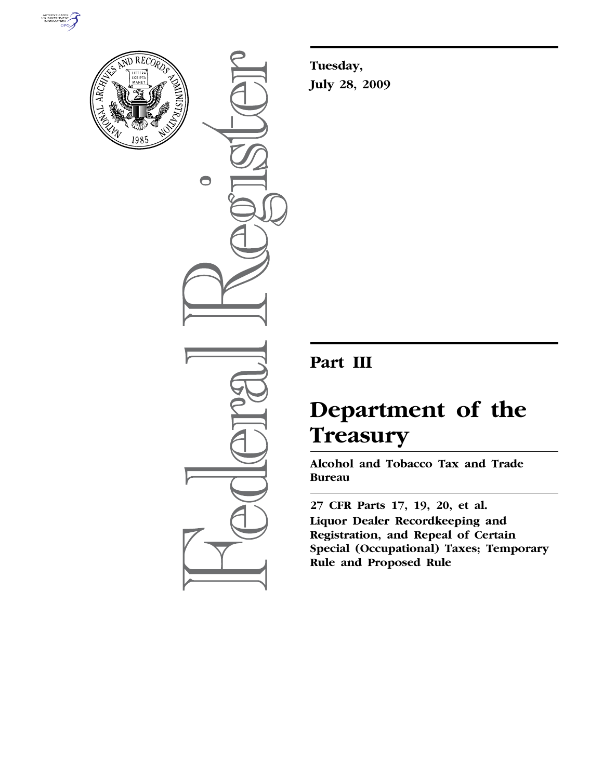



 $\bigcirc$ 

**Tuesday, July 28, 2009** 

## **Part III**

# **Department of the Treasury**

**Alcohol and Tobacco Tax and Trade Bureau** 

**27 CFR Parts 17, 19, 20, et al. Liquor Dealer Recordkeeping and Registration, and Repeal of Certain Special (Occupational) Taxes; Temporary Rule and Proposed Rule**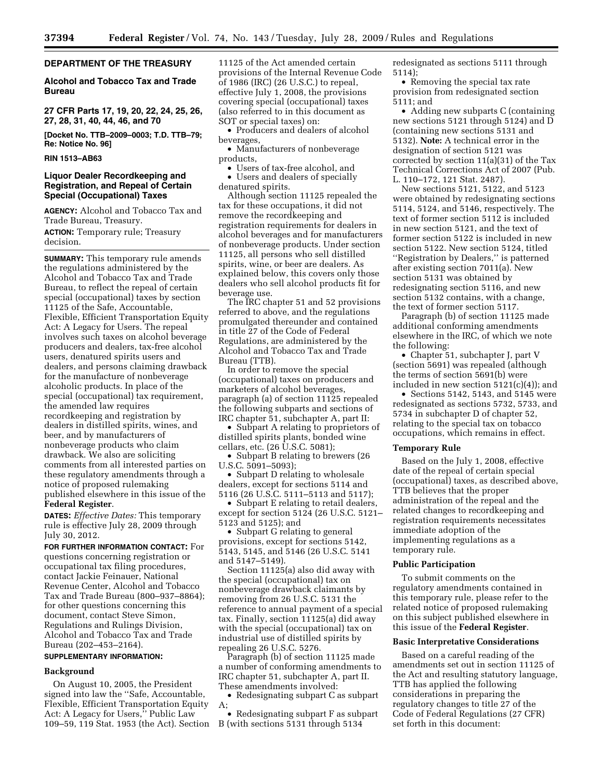## **DEPARTMENT OF THE TREASURY**

**Alcohol and Tobacco Tax and Trade Bureau** 

**27 CFR Parts 17, 19, 20, 22, 24, 25, 26, 27, 28, 31, 40, 44, 46, and 70** 

**[Docket No. TTB–2009–0003; T.D. TTB–79; Re: Notice No. 96]** 

## **RIN 1513–AB63**

## **Liquor Dealer Recordkeeping and Registration, and Repeal of Certain Special (Occupational) Taxes**

**AGENCY:** Alcohol and Tobacco Tax and Trade Bureau, Treasury. **ACTION:** Temporary rule; Treasury

decision.

**SUMMARY:** This temporary rule amends the regulations administered by the Alcohol and Tobacco Tax and Trade Bureau, to reflect the repeal of certain special (occupational) taxes by section 11125 of the Safe, Accountable, Flexible, Efficient Transportation Equity Act: A Legacy for Users. The repeal involves such taxes on alcohol beverage producers and dealers, tax-free alcohol users, denatured spirits users and dealers, and persons claiming drawback for the manufacture of nonbeverage alcoholic products. In place of the special (occupational) tax requirement, the amended law requires recordkeeping and registration by dealers in distilled spirits, wines, and beer, and by manufacturers of nonbeverage products who claim drawback. We also are soliciting comments from all interested parties on these regulatory amendments through a notice of proposed rulemaking published elsewhere in this issue of the **Federal Register**.

**DATES:** *Effective Dates:* This temporary rule is effective July 28, 2009 through July 30, 2012.

**FOR FURTHER INFORMATION CONTACT:** For questions concerning registration or occupational tax filing procedures, contact Jackie Feinauer, National Revenue Center, Alcohol and Tobacco Tax and Trade Bureau (800–937–8864); for other questions concerning this document, contact Steve Simon, Regulations and Rulings Division, Alcohol and Tobacco Tax and Trade Bureau (202–453–2164).

## **SUPPLEMENTARY INFORMATION:**

## **Background**

On August 10, 2005, the President signed into law the ''Safe, Accountable, Flexible, Efficient Transportation Equity Act: A Legacy for Users,'' Public Law 109–59, 119 Stat. 1953 (the Act). Section 11125 of the Act amended certain provisions of the Internal Revenue Code of 1986 (IRC) (26 U.S.C.) to repeal, effective July 1, 2008, the provisions covering special (occupational) taxes (also referred to in this document as SOT or special taxes) on:

• Producers and dealers of alcohol beverages,

• Manufacturers of nonbeverage products,

• Users of tax-free alcohol, and • Users and dealers of specially denatured spirits.

Although section 11125 repealed the tax for these occupations, it did not remove the recordkeeping and registration requirements for dealers in alcohol beverages and for manufacturers of nonbeverage products. Under section 11125, all persons who sell distilled spirits, wine, or beer are dealers. As explained below, this covers only those dealers who sell alcohol products fit for beverage use.

The IRC chapter 51 and 52 provisions referred to above, and the regulations promulgated thereunder and contained in title 27 of the Code of Federal Regulations, are administered by the Alcohol and Tobacco Tax and Trade Bureau (TTB).

In order to remove the special (occupational) taxes on producers and marketers of alcohol beverages, paragraph (a) of section 11125 repealed the following subparts and sections of IRC chapter 51, subchapter A, part II:

• Subpart A relating to proprietors of distilled spirits plants, bonded wine cellars, etc. (26 U.S.C. 5081);

• Subpart B relating to brewers (26) U.S.C. 5091–5093);

• Subpart D relating to wholesale dealers, except for sections 5114 and 5116 (26 U.S.C. 5111–5113 and 5117);

• Subpart E relating to retail dealers, except for section 5124 (26 U.S.C. 5121– 5123 and 5125); and

• Subpart G relating to general provisions, except for sections 5142, 5143, 5145, and 5146 (26 U.S.C. 5141 and 5147–5149).

Section 11125(a) also did away with the special (occupational) tax on nonbeverage drawback claimants by removing from 26 U.S.C. 5131 the reference to annual payment of a special tax. Finally, section 11125(a) did away with the special (occupational) tax on industrial use of distilled spirits by repealing 26 U.S.C. 5276.

Paragraph (b) of section 11125 made a number of conforming amendments to IRC chapter 51, subchapter A, part II. These amendments involved:

• Redesignating subpart C as subpart A;

• Redesignating subpart F as subpart B (with sections 5131 through 5134

redesignated as sections 5111 through 5114);

• Removing the special tax rate provision from redesignated section 5111; and

• Adding new subparts C (containing new sections 5121 through 5124) and D (containing new sections 5131 and 5132). **Note:** A technical error in the designation of section 5121 was corrected by section 11(a)(31) of the Tax Technical Corrections Act of 2007 (Pub. L. 110–172, 121 Stat. 2487).

New sections 5121, 5122, and 5123 were obtained by redesignating sections 5114, 5124, and 5146, respectively. The text of former section 5112 is included in new section 5121, and the text of former section 5122 is included in new section 5122. New section 5124, titled ''Registration by Dealers,'' is patterned after existing section 7011(a). New section 5131 was obtained by redesignating section 5116, and new section 5132 contains, with a change, the text of former section 5117.

Paragraph (b) of section 11125 made additional conforming amendments elsewhere in the IRC, of which we note the following:

• Chapter 51, subchapter J, part V (section 5691) was repealed (although the terms of section 5691(b) were included in new section 5121(c)(4)); and

• Sections 5142, 5143, and 5145 were redesignated as sections 5732, 5733, and 5734 in subchapter D of chapter 52, relating to the special tax on tobacco occupations, which remains in effect.

#### **Temporary Rule**

Based on the July 1, 2008, effective date of the repeal of certain special (occupational) taxes, as described above, TTB believes that the proper administration of the repeal and the related changes to recordkeeping and registration requirements necessitates immediate adoption of the implementing regulations as a temporary rule.

#### **Public Participation**

To submit comments on the regulatory amendments contained in this temporary rule, please refer to the related notice of proposed rulemaking on this subject published elsewhere in this issue of the **Federal Register**.

#### **Basic Interpretative Considerations**

Based on a careful reading of the amendments set out in section 11125 of the Act and resulting statutory language, TTB has applied the following considerations in preparing the regulatory changes to title 27 of the Code of Federal Regulations (27 CFR) set forth in this document: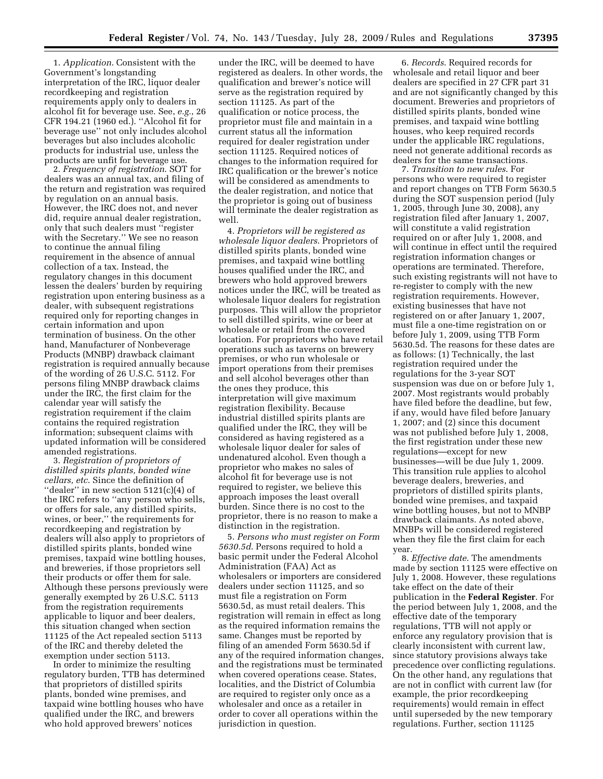1. *Application*. Consistent with the Government's longstanding interpretation of the IRC, liquor dealer recordkeeping and registration requirements apply only to dealers in alcohol fit for beverage use. See, *e.g.*, 26 CFR 194.21 (1960 ed.). ''Alcohol fit for beverage use'' not only includes alcohol beverages but also includes alcoholic products for industrial use, unless the products are unfit for beverage use.

2. *Frequency of registration*. SOT for dealers was an annual tax, and filing of the return and registration was required by regulation on an annual basis. However, the IRC does not, and never did, require annual dealer registration, only that such dealers must ''register with the Secretary.'' We see no reason to continue the annual filing requirement in the absence of annual collection of a tax. Instead, the regulatory changes in this document lessen the dealers' burden by requiring registration upon entering business as a dealer, with subsequent registrations required only for reporting changes in certain information and upon termination of business. On the other hand, Manufacturer of Nonbeverage Products (MNBP) drawback claimant registration is required annually because of the wording of 26 U.S.C. 5112. For persons filing MNBP drawback claims under the IRC, the first claim for the calendar year will satisfy the registration requirement if the claim contains the required registration information; subsequent claims with updated information will be considered amended registrations.

3. *Registration of proprietors of distilled spirits plants, bonded wine cellars, etc*. Since the definition of ''dealer'' in new section 5121(c)(4) of the IRC refers to ''any person who sells, or offers for sale, any distilled spirits, wines, or beer,'' the requirements for recordkeeping and registration by dealers will also apply to proprietors of distilled spirits plants, bonded wine premises, taxpaid wine bottling houses, and breweries, if those proprietors sell their products or offer them for sale. Although these persons previously were generally exempted by 26 U.S.C. 5113 from the registration requirements applicable to liquor and beer dealers, this situation changed when section 11125 of the Act repealed section 5113 of the IRC and thereby deleted the exemption under section 5113.

In order to minimize the resulting regulatory burden, TTB has determined that proprietors of distilled spirits plants, bonded wine premises, and taxpaid wine bottling houses who have qualified under the IRC, and brewers who hold approved brewers' notices

under the IRC, will be deemed to have registered as dealers. In other words, the qualification and brewer's notice will serve as the registration required by section 11125. As part of the qualification or notice process, the proprietor must file and maintain in a current status all the information required for dealer registration under section 11125. Required notices of changes to the information required for IRC qualification or the brewer's notice will be considered as amendments to the dealer registration, and notice that the proprietor is going out of business will terminate the dealer registration as well.

4. *Proprietors will be registered as wholesale liquor dealers*. Proprietors of distilled spirits plants, bonded wine premises, and taxpaid wine bottling houses qualified under the IRC, and brewers who hold approved brewers notices under the IRC, will be treated as wholesale liquor dealers for registration purposes. This will allow the proprietor to sell distilled spirits, wine or beer at wholesale or retail from the covered location. For proprietors who have retail operations such as taverns on brewery premises, or who run wholesale or import operations from their premises and sell alcohol beverages other than the ones they produce, this interpretation will give maximum registration flexibility. Because industrial distilled spirits plants are qualified under the IRC, they will be considered as having registered as a wholesale liquor dealer for sales of undenatured alcohol. Even though a proprietor who makes no sales of alcohol fit for beverage use is not required to register, we believe this approach imposes the least overall burden. Since there is no cost to the proprietor, there is no reason to make a distinction in the registration.

5. *Persons who must register on Form 5630.5d*. Persons required to hold a basic permit under the Federal Alcohol Administration (FAA) Act as wholesalers or importers are considered dealers under section 11125, and so must file a registration on Form 5630.5d, as must retail dealers. This registration will remain in effect as long as the required information remains the same. Changes must be reported by filing of an amended Form 5630.5d if any of the required information changes, and the registrations must be terminated when covered operations cease. States, localities, and the District of Columbia are required to register only once as a wholesaler and once as a retailer in order to cover all operations within the jurisdiction in question.

6. *Records*. Required records for wholesale and retail liquor and beer dealers are specified in 27 CFR part 31 and are not significantly changed by this document. Breweries and proprietors of distilled spirits plants, bonded wine premises, and taxpaid wine bottling houses, who keep required records under the applicable IRC regulations, need not generate additional records as dealers for the same transactions.

7. *Transition to new rules*. For persons who were required to register and report changes on TTB Form 5630.5 during the SOT suspension period (July 1, 2005, through June 30, 2008), any registration filed after January 1, 2007, will constitute a valid registration required on or after July 1, 2008, and will continue in effect until the required registration information changes or operations are terminated. Therefore, such existing registrants will not have to re-register to comply with the new registration requirements. However, existing businesses that have not registered on or after January 1, 2007, must file a one-time registration on or before July 1, 2009, using TTB Form 5630.5d. The reasons for these dates are as follows: (1) Technically, the last registration required under the regulations for the 3-year SOT suspension was due on or before July 1, 2007. Most registrants would probably have filed before the deadline, but few, if any, would have filed before January 1, 2007; and (2) since this document was not published before July 1, 2008, the first registration under these new regulations—except for new businesses—will be due July 1, 2009. This transition rule applies to alcohol beverage dealers, breweries, and proprietors of distilled spirits plants, bonded wine premises, and taxpaid wine bottling houses, but not to MNBP drawback claimants. As noted above, MNBPs will be considered registered when they file the first claim for each year.

8. *Effective date*. The amendments made by section 11125 were effective on July 1, 2008. However, these regulations take effect on the date of their publication in the **Federal Register**. For the period between July 1, 2008, and the effective date of the temporary regulations, TTB will not apply or enforce any regulatory provision that is clearly inconsistent with current law, since statutory provisions always take precedence over conflicting regulations. On the other hand, any regulations that are not in conflict with current law (for example, the prior recordkeeping requirements) would remain in effect until superseded by the new temporary regulations. Further, section 11125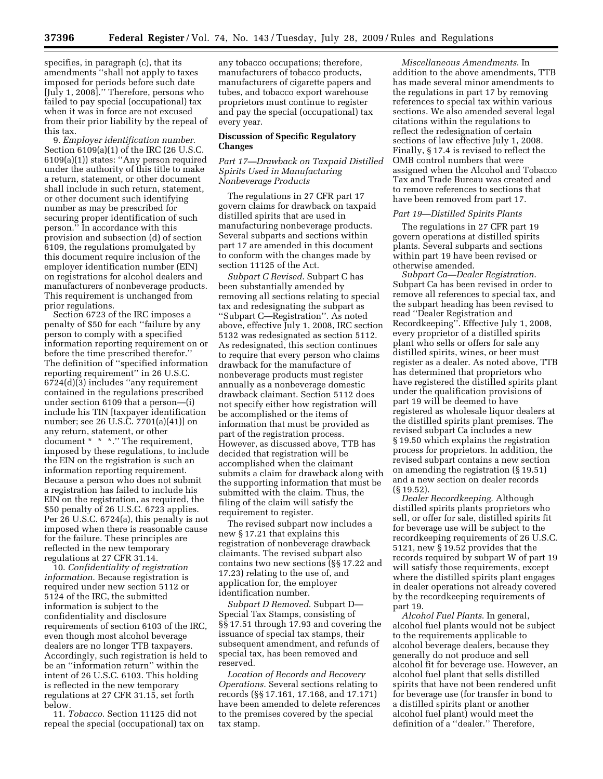specifies, in paragraph (c), that its amendments ''shall not apply to taxes imposed for periods before such date [July 1, 2008].'' Therefore, persons who failed to pay special (occupational) tax when it was in force are not excused from their prior liability by the repeal of this tax.

9. *Employer identification number*. Section 6109(a)(1) of the IRC (26 U.S.C. 6109(a)(1)) states: ''Any person required under the authority of this title to make a return, statement, or other document shall include in such return, statement, or other document such identifying number as may be prescribed for securing proper identification of such person.'' In accordance with this provision and subsection (d) of section 6109, the regulations promulgated by this document require inclusion of the employer identification number (EIN) on registrations for alcohol dealers and manufacturers of nonbeverage products. This requirement is unchanged from prior regulations.

Section 6723 of the IRC imposes a penalty of \$50 for each ''failure by any person to comply with a specified information reporting requirement on or before the time prescribed therefor.'' The definition of ''specified information reporting requirement'' in 26 U.S.C. 6724(d)(3) includes ''any requirement contained in the regulations prescribed under section 6109 that a person—(i) include his TIN [taxpayer identification number; see 26 U.S.C. 7701(a)(41)] on any return, statement, or other document \* \* \*.'' The requirement, imposed by these regulations, to include the EIN on the registration is such an information reporting requirement. Because a person who does not submit a registration has failed to include his EIN on the registration, as required, the \$50 penalty of 26 U.S.C. 6723 applies. Per 26 U.S.C. 6724(a), this penalty is not imposed when there is reasonable cause for the failure. These principles are reflected in the new temporary regulations at 27 CFR 31.14.

10. *Confidentiality of registration information*. Because registration is required under new section 5112 or 5124 of the IRC, the submitted information is subject to the confidentiality and disclosure requirements of section 6103 of the IRC, even though most alcohol beverage dealers are no longer TTB taxpayers. Accordingly, such registration is held to be an ''information return'' within the intent of 26 U.S.C. 6103. This holding is reflected in the new temporary regulations at 27 CFR 31.15, set forth below.

11. *Tobacco*. Section 11125 did not repeal the special (occupational) tax on

any tobacco occupations; therefore, manufacturers of tobacco products, manufacturers of cigarette papers and tubes, and tobacco export warehouse proprietors must continue to register and pay the special (occupational) tax every year.

## **Discussion of Specific Regulatory Changes**

## *Part 17—Drawback on Taxpaid Distilled Spirits Used in Manufacturing Nonbeverage Products*

The regulations in 27 CFR part 17 govern claims for drawback on taxpaid distilled spirits that are used in manufacturing nonbeverage products. Several subparts and sections within part 17 are amended in this document to conform with the changes made by section 11125 of the Act.

*Subpart C Revised*. Subpart C has been substantially amended by removing all sections relating to special tax and redesignating the subpart as ''Subpart C—Registration''. As noted above, effective July 1, 2008, IRC section 5132 was redesignated as section 5112. As redesignated, this section continues to require that every person who claims drawback for the manufacture of nonbeverage products must register annually as a nonbeverage domestic drawback claimant. Section 5112 does not specify either how registration will be accomplished or the items of information that must be provided as part of the registration process. However, as discussed above, TTB has decided that registration will be accomplished when the claimant submits a claim for drawback along with the supporting information that must be submitted with the claim. Thus, the filing of the claim will satisfy the requirement to register.

The revised subpart now includes a new § 17.21 that explains this registration of nonbeverage drawback claimants. The revised subpart also contains two new sections (§§ 17.22 and 17.23) relating to the use of, and application for, the employer identification number.

*Subpart D Removed*. Subpart D— Special Tax Stamps, consisting of §§ 17.51 through 17.93 and covering the issuance of special tax stamps, their subsequent amendment, and refunds of special tax, has been removed and reserved.

*Location of Records and Recovery Operations*. Several sections relating to records (§§ 17.161, 17.168, and 17.171) have been amended to delete references to the premises covered by the special tax stamp.

*Miscellaneous Amendments*. In addition to the above amendments, TTB has made several minor amendments to the regulations in part 17 by removing references to special tax within various sections. We also amended several legal citations within the regulations to reflect the redesignation of certain sections of law effective July 1, 2008. Finally, § 17.4 is revised to reflect the OMB control numbers that were assigned when the Alcohol and Tobacco Tax and Trade Bureau was created and to remove references to sections that have been removed from part 17.

#### *Part 19—Distilled Spirits Plants*

The regulations in 27 CFR part 19 govern operations at distilled spirits plants. Several subparts and sections within part 19 have been revised or otherwise amended.

*Subpart Ca—Dealer Registration*. Subpart Ca has been revised in order to remove all references to special tax, and the subpart heading has been revised to read ''Dealer Registration and Recordkeeping''. Effective July 1, 2008, every proprietor of a distilled spirits plant who sells or offers for sale any distilled spirits, wines, or beer must register as a dealer. As noted above, TTB has determined that proprietors who have registered the distilled spirits plant under the qualification provisions of part 19 will be deemed to have registered as wholesale liquor dealers at the distilled spirits plant premises. The revised subpart Ca includes a new § 19.50 which explains the registration process for proprietors. In addition, the revised subpart contains a new section on amending the registration (§ 19.51) and a new section on dealer records (§ 19.52).

*Dealer Recordkeeping*. Although distilled spirits plants proprietors who sell, or offer for sale, distilled spirits fit for beverage use will be subject to the recordkeeping requirements of 26 U.S.C. 5121, new § 19.52 provides that the records required by subpart W of part 19 will satisfy those requirements, except where the distilled spirits plant engages in dealer operations not already covered by the recordkeeping requirements of part 19.

*Alcohol Fuel Plants*. In general, alcohol fuel plants would not be subject to the requirements applicable to alcohol beverage dealers, because they generally do not produce and sell alcohol fit for beverage use. However, an alcohol fuel plant that sells distilled spirits that have not been rendered unfit for beverage use (for transfer in bond to a distilled spirits plant or another alcohol fuel plant) would meet the definition of a ''dealer.'' Therefore,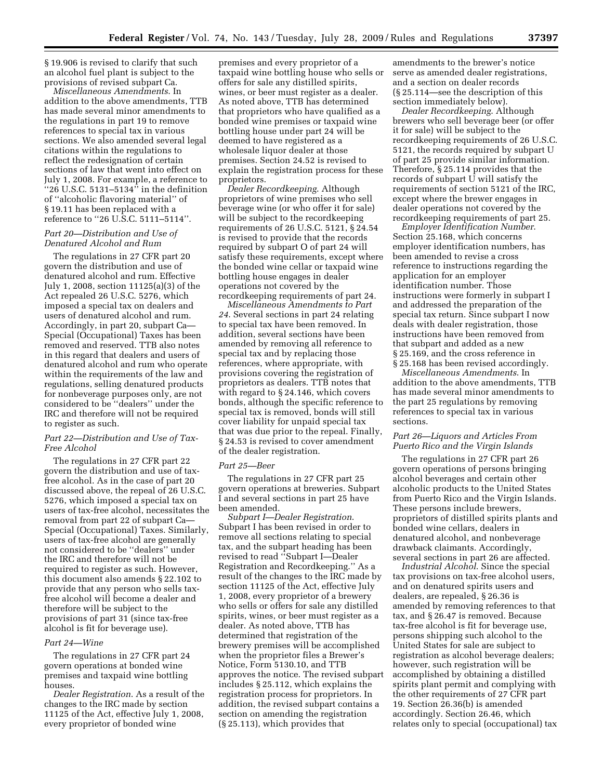§ 19.906 is revised to clarify that such an alcohol fuel plant is subject to the provisions of revised subpart Ca.

*Miscellaneous Amendments*. In addition to the above amendments, TTB has made several minor amendments to the regulations in part 19 to remove references to special tax in various sections. We also amended several legal citations within the regulations to reflect the redesignation of certain sections of law that went into effect on July 1, 2008. For example, a reference to "26 U.S.C.  $5131 - 5134$ " in the definition of ''alcoholic flavoring material'' of § 19.11 has been replaced with a reference to ''26 U.S.C. 5111–5114''.

## *Part 20—Distribution and Use of Denatured Alcohol and Rum*

The regulations in 27 CFR part 20 govern the distribution and use of denatured alcohol and rum. Effective July 1, 2008, section 11125(a)(3) of the Act repealed 26 U.S.C. 5276, which imposed a special tax on dealers and users of denatured alcohol and rum. Accordingly, in part 20, subpart Ca— Special (Occupational) Taxes has been removed and reserved. TTB also notes in this regard that dealers and users of denatured alcohol and rum who operate within the requirements of the law and regulations, selling denatured products for nonbeverage purposes only, are not considered to be ''dealers'' under the IRC and therefore will not be required to register as such.

## *Part 22—Distribution and Use of Tax-Free Alcohol*

The regulations in 27 CFR part 22 govern the distribution and use of taxfree alcohol. As in the case of part 20 discussed above, the repeal of 26 U.S.C. 5276, which imposed a special tax on users of tax-free alcohol, necessitates the removal from part 22 of subpart Ca— Special (Occupational) Taxes. Similarly, users of tax-free alcohol are generally not considered to be ''dealers'' under the IRC and therefore will not be required to register as such. However, this document also amends § 22.102 to provide that any person who sells taxfree alcohol will become a dealer and therefore will be subject to the provisions of part 31 (since tax-free alcohol is fit for beverage use).

## *Part 24—Wine*

The regulations in 27 CFR part 24 govern operations at bonded wine premises and taxpaid wine bottling houses.

*Dealer Registration*. As a result of the changes to the IRC made by section 11125 of the Act, effective July 1, 2008, every proprietor of bonded wine

premises and every proprietor of a taxpaid wine bottling house who sells or offers for sale any distilled spirits, wines, or beer must register as a dealer. As noted above, TTB has determined that proprietors who have qualified as a bonded wine premises or taxpaid wine bottling house under part 24 will be deemed to have registered as a wholesale liquor dealer at those premises. Section 24.52 is revised to explain the registration process for these proprietors.

*Dealer Recordkeeping*. Although proprietors of wine premises who sell beverage wine (or who offer it for sale) will be subject to the recordkeeping requirements of 26 U.S.C. 5121, § 24.54 is revised to provide that the records required by subpart O of part 24 will satisfy these requirements, except where the bonded wine cellar or taxpaid wine bottling house engages in dealer operations not covered by the recordkeeping requirements of part 24.

*Miscellaneous Amendments to Part 24*. Several sections in part 24 relating to special tax have been removed. In addition, several sections have been amended by removing all reference to special tax and by replacing those references, where appropriate, with provisions covering the registration of proprietors as dealers. TTB notes that with regard to § 24.146, which covers bonds, although the specific reference to special tax is removed, bonds will still cover liability for unpaid special tax that was due prior to the repeal. Finally, § 24.53 is revised to cover amendment of the dealer registration.

## *Part 25—Beer*

The regulations in 27 CFR part 25 govern operations at breweries. Subpart I and several sections in part 25 have been amended.

*Subpart I—Dealer Registration*. Subpart I has been revised in order to remove all sections relating to special tax, and the subpart heading has been revised to read ''Subpart I—Dealer Registration and Recordkeeping.'' As a result of the changes to the IRC made by section 11125 of the Act, effective July 1, 2008, every proprietor of a brewery who sells or offers for sale any distilled spirits, wines, or beer must register as a dealer. As noted above, TTB has determined that registration of the brewery premises will be accomplished when the proprietor files a Brewer's Notice, Form 5130.10, and TTB approves the notice. The revised subpart includes § 25.112, which explains the registration process for proprietors. In addition, the revised subpart contains a section on amending the registration (§ 25.113), which provides that

amendments to the brewer's notice serve as amended dealer registrations, and a section on dealer records (§ 25.114—see the description of this section immediately below).

*Dealer Recordkeeping*. Although brewers who sell beverage beer (or offer it for sale) will be subject to the recordkeeping requirements of 26 U.S.C. 5121, the records required by subpart U of part 25 provide similar information. Therefore, § 25.114 provides that the records of subpart U will satisfy the requirements of section 5121 of the IRC, except where the brewer engages in dealer operations not covered by the recordkeeping requirements of part 25.

*Employer Identification Number*. Section 25.168, which concerns employer identification numbers, has been amended to revise a cross reference to instructions regarding the application for an employer identification number. Those instructions were formerly in subpart I and addressed the preparation of the special tax return. Since subpart I now deals with dealer registration, those instructions have been removed from that subpart and added as a new § 25.169, and the cross reference in § 25.168 has been revised accordingly.

*Miscellaneous Amendments*. In addition to the above amendments, TTB has made several minor amendments to the part 25 regulations by removing references to special tax in various sections.

## *Part 26—Liquors and Articles From Puerto Rico and the Virgin Islands*

The regulations in 27 CFR part 26 govern operations of persons bringing alcohol beverages and certain other alcoholic products to the United States from Puerto Rico and the Virgin Islands. These persons include brewers, proprietors of distilled spirits plants and bonded wine cellars, dealers in denatured alcohol, and nonbeverage drawback claimants. Accordingly, several sections in part 26 are affected.

*Industrial Alcohol*. Since the special tax provisions on tax-free alcohol users, and on denatured spirits users and dealers, are repealed, § 26.36 is amended by removing references to that tax, and § 26.47 is removed. Because tax-free alcohol is fit for beverage use, persons shipping such alcohol to the United States for sale are subject to registration as alcohol beverage dealers; however, such registration will be accomplished by obtaining a distilled spirits plant permit and complying with the other requirements of 27 CFR part 19. Section 26.36(b) is amended accordingly. Section 26.46, which relates only to special (occupational) tax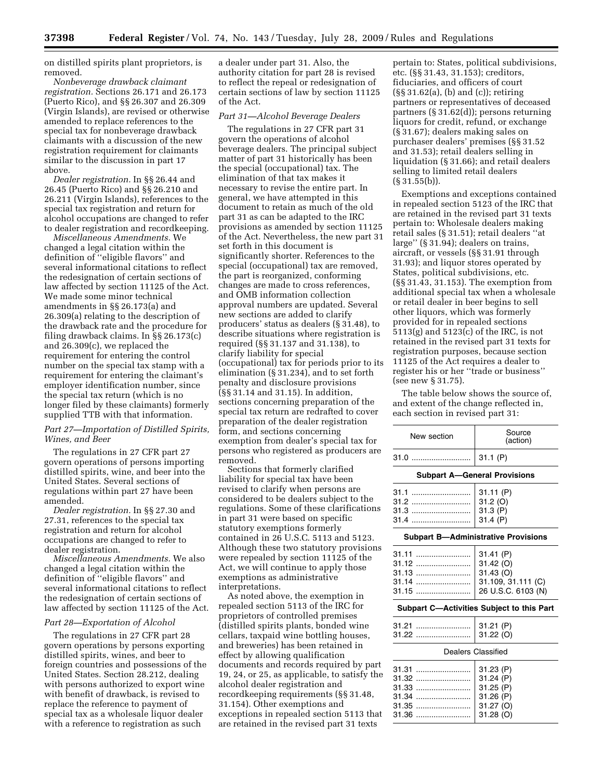on distilled spirits plant proprietors, is removed.

*Nonbeverage drawback claimant registration.* Sections 26.171 and 26.173 (Puerto Rico), and §§ 26.307 and 26.309 (Virgin Islands), are revised or otherwise amended to replace references to the special tax for nonbeverage drawback claimants with a discussion of the new registration requirement for claimants similar to the discussion in part 17 above.

*Dealer registration.* In §§ 26.44 and 26.45 (Puerto Rico) and §§ 26.210 and 26.211 (Virgin Islands), references to the special tax registration and return for alcohol occupations are changed to refer to dealer registration and recordkeeping.

*Miscellaneous Amendments.* We changed a legal citation within the definition of ''eligible flavors'' and several informational citations to reflect the redesignation of certain sections of law affected by section 11125 of the Act. We made some minor technical amendments in §§ 26.173(a) and 26.309(a) relating to the description of the drawback rate and the procedure for filing drawback claims. In §§ 26.173(c) and 26.309(c), we replaced the requirement for entering the control number on the special tax stamp with a requirement for entering the claimant's employer identification number, since the special tax return (which is no longer filed by these claimants) formerly supplied TTB with that information.

## *Part 27—Importation of Distilled Spirits, Wines, and Beer*

The regulations in 27 CFR part 27 govern operations of persons importing distilled spirits, wine, and beer into the United States. Several sections of regulations within part 27 have been amended.

*Dealer registration.* In §§ 27.30 and 27.31, references to the special tax registration and return for alcohol occupations are changed to refer to dealer registration.

*Miscellaneous Amendments.* We also changed a legal citation within the definition of ''eligible flavors'' and several informational citations to reflect the redesignation of certain sections of law affected by section 11125 of the Act.

#### *Part 28—Exportation of Alcohol*

The regulations in 27 CFR part 28 govern operations by persons exporting distilled spirits, wines, and beer to foreign countries and possessions of the United States. Section 28.212, dealing with persons authorized to export wine with benefit of drawback, is revised to replace the reference to payment of special tax as a wholesale liquor dealer with a reference to registration as such

a dealer under part 31. Also, the authority citation for part 28 is revised to reflect the repeal or redesignation of certain sections of law by section 11125 of the Act.

## *Part 31—Alcohol Beverage Dealers*

The regulations in 27 CFR part 31 govern the operations of alcohol beverage dealers. The principal subject matter of part 31 historically has been the special (occupational) tax. The elimination of that tax makes it necessary to revise the entire part. In general, we have attempted in this document to retain as much of the old part 31 as can be adapted to the IRC provisions as amended by section 11125 of the Act. Nevertheless, the new part 31 set forth in this document is significantly shorter. References to the special (occupational) tax are removed, the part is reorganized, conforming changes are made to cross references, and OMB information collection approval numbers are updated. Several new sections are added to clarify producers' status as dealers (§ 31.48), to describe situations where registration is required (§§ 31.137 and 31.138), to clarify liability for special (occupational) tax for periods prior to its elimination (§ 31.234), and to set forth penalty and disclosure provisions (§§ 31.14 and 31.15). In addition, sections concerning preparation of the special tax return are redrafted to cover preparation of the dealer registration form, and sections concerning exemption from dealer's special tax for persons who registered as producers are removed.

Sections that formerly clarified liability for special tax have been revised to clarify when persons are considered to be dealers subject to the regulations. Some of these clarifications in part 31 were based on specific statutory exemptions formerly contained in 26 U.S.C. 5113 and 5123. Although these two statutory provisions were repealed by section 11125 of the Act, we will continue to apply those exemptions as administrative interpretations.

As noted above, the exemption in repealed section 5113 of the IRC for proprietors of controlled premises (distilled spirits plants, bonded wine cellars, taxpaid wine bottling houses, and breweries) has been retained in effect by allowing qualification documents and records required by part 19, 24, or 25, as applicable, to satisfy the alcohol dealer registration and recordkeeping requirements (§§ 31.48, 31.154). Other exemptions and exceptions in repealed section 5113 that are retained in the revised part 31 texts

pertain to: States, political subdivisions, etc. (§§ 31.43, 31.153); creditors, fiduciaries, and officers of court (§§ 31.62(a), (b) and (c)); retiring partners or representatives of deceased partners (§ 31.62(d)); persons returning liquors for credit, refund, or exchange (§ 31.67); dealers making sales on purchaser dealers' premises (§§ 31.52 and 31.53); retail dealers selling in liquidation (§ 31.66); and retail dealers selling to limited retail dealers  $(S \ 31.55(b))$ .

Exemptions and exceptions contained in repealed section 5123 of the IRC that are retained in the revised part 31 texts pertain to: Wholesale dealers making retail sales (§ 31.51); retail dealers ''at large'' (§ 31.94); dealers on trains, aircraft, or vessels (§§ 31.91 through 31.93); and liquor stores operated by States, political subdivisions, etc. (§§ 31.43, 31.153). The exemption from additional special tax when a wholesale or retail dealer in beer begins to sell other liquors, which was formerly provided for in repealed sections 5113(g) and 5123(c) of the IRC, is not retained in the revised part 31 texts for registration purposes, because section 11125 of the Act requires a dealer to register his or her ''trade or business'' (see new § 31.75).

The table below shows the source of, and extent of the change reflected in, each section in revised part 31:

| New section                                          | Source<br>(action)                                                              |  |
|------------------------------------------------------|---------------------------------------------------------------------------------|--|
| 31.0                                                 | 31.1(P)                                                                         |  |
|                                                      | <b>Subpart A-General Provisions</b>                                             |  |
| 31.1<br>31.2<br>31.3<br>31.4                         | 31.11 (P)<br>31.2 (O)<br>31.3 (P)<br>31.4 (P)                                   |  |
| <b>Subpart B-Administrative Provisions</b>           |                                                                                 |  |
| 31.11<br>31.12<br>31.13<br>31.14<br>31.15            | 31.41 (P)<br>31.42 (O)<br>31.43 (O)<br>31.109, 31.111 (C)<br>26 U.S.C. 6103 (N) |  |
| Subpart C-Activities Subject to this Part            |                                                                                 |  |
| 31.21<br>31.22                                       | 31.21 (P)<br>31.22 (O)                                                          |  |
|                                                      | Dealers Classified                                                              |  |
| 31.31<br>31.32<br>31.33<br>31.34<br>$31.35$<br>31.36 | 31.23 (P)<br>31.24 (P)<br>31.25 (P)<br>31.26 (P)<br>31.27 (O)<br>31.28 (O)      |  |
|                                                      |                                                                                 |  |

 $\overline{a}$ 

 $\overline{a}$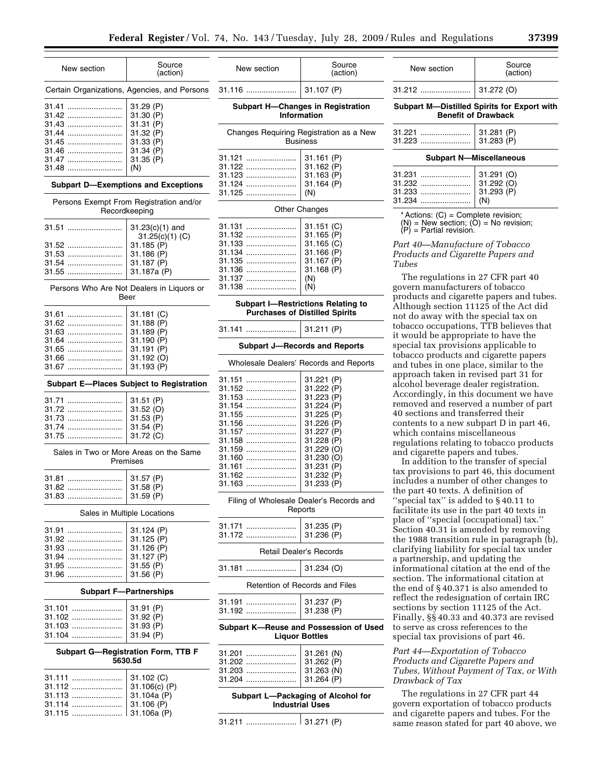New section Source

**Subpart H—Changes in Registration Information**  Changes Requiring Registration as a New

31.116 ....................... 31.107 (P)

 $\overline{a}$ 

 $\overline{a}$ 

(action)

| New section                                                            | Source<br>(action)                                                                                                                      |  |
|------------------------------------------------------------------------|-----------------------------------------------------------------------------------------------------------------------------------------|--|
|                                                                        | Certain Organizations, Agencies, and Persons                                                                                            |  |
| 31.41<br>31.42<br>31.43<br>31.44<br>31.45<br>31.46<br>31.47<br>$31.48$ | 31.29 (P)<br>31.30 (P)<br>31.31 (P)<br>31.32 (P)<br>31.33 (P)<br>31.34 (P)<br>31.35 (P)<br>(N)                                          |  |
|                                                                        | <b>Subpart D-Exemptions and Exceptions</b>                                                                                              |  |
|                                                                        | Persons Exempt From Registration and/or<br>Recordkeeping                                                                                |  |
| 31.51<br>31.52<br>31.53<br>31.54<br>31.55                              | 31.23(c)(1) and<br>31.25(c)(1)(C)<br>31.185 (P)<br>31.186 (P)<br>31.187 (P)<br>31.187a (P)<br>Persons Who Are Not Dealers in Liquors or |  |
|                                                                        | Beer                                                                                                                                    |  |
| 31.61<br>31.62<br>31.63<br>31.64<br>31.65<br>31.66<br>31.67            | 31.181 (C)<br>31.188 (P)<br>31.189 (P)<br>31.190 (P)<br>31.191 (P)<br>31.192 (O)<br>31.193 (P)                                          |  |
|                                                                        | <b>Subpart E-Places Subject to Registration</b>                                                                                         |  |
| 31.71<br>31.72<br>31.73<br>31.74<br>31.75                              | 31.51 (P)<br>31.52 (O)<br>31.53 (P)<br>31.54 (P)<br>31.72 (C)                                                                           |  |
| Sales in Two or More Areas on the Same<br>Premises                     |                                                                                                                                         |  |
| 31.81<br>31.82<br><br>31.83                                            | 31.57 (P)<br>31.58 (P)<br>31.59 (P)                                                                                                     |  |
| Sales in Multiple Locations                                            |                                                                                                                                         |  |
| 31.91<br>31.92<br>31.94<br>31.95<br>31.96                              | 31.124 (P)<br>31.125 (P)<br>31.126 (P)<br>31.127 (P)<br>31.55 (P)<br>31.56 (P)                                                          |  |
| <b>Subpart F-Partnerships</b>                                          |                                                                                                                                         |  |
| 31.101<br>31.102<br>31.103<br>31.104                                   | 31.91 (P)<br>31.92 (P)<br>31.93 (P)<br>31.94 (P)                                                                                        |  |
| Subpart G-Registration Form, TTB F<br>5630.5d                          |                                                                                                                                         |  |
| .31.111                                                                | 31.102 (C)                                                                                                                              |  |

31.112 ....................... 31.106(c) (P)

31.114 ....................... 31.106 (P) 31.115 ....................... 31.106a (P)

31.113 ....................... 31.104a (P)

|                                                                                                                                                | Business                                                                                                                                                                              |  |
|------------------------------------------------------------------------------------------------------------------------------------------------|---------------------------------------------------------------------------------------------------------------------------------------------------------------------------------------|--|
| 31.121<br><br>31.122<br>31.123<br>31.124<br>31.125                                                                                             | 31.161 (P)<br>31.162 (P)<br>31.163 (P)<br>31.164 (P)<br>(N)                                                                                                                           |  |
|                                                                                                                                                | <b>Other Changes</b>                                                                                                                                                                  |  |
| 31.131<br>31.132<br>31.133<br>31.134<br><br>31.135<br>31.136<br>31.137<br>31.138<br>                                                           | 31.151 (C)<br>31.165 (P)<br>31.165 (C)<br>31.166 (P)<br>31.167 (P)<br>31.168 (P)<br>(N)<br>(N)                                                                                        |  |
|                                                                                                                                                | <b>Subpart I-Restrictions Relating to</b><br><b>Purchases of Distilled Spirits</b>                                                                                                    |  |
| 31.141                                                                                                                                         | 31.211 (P)                                                                                                                                                                            |  |
|                                                                                                                                                | <b>Subpart J-Records and Reports</b>                                                                                                                                                  |  |
| Wholesale Dealers' Records and Reports                                                                                                         |                                                                                                                                                                                       |  |
| 31.151<br>31.152<br>31.153<br>31.154<br><br>31.155<br>31.156<br><br>31.157<br>31.158<br><br>31.159<br>31.160<br>31.161<br>31.162<br><br>31.163 | 31.221 (P)<br>31.222 (P)<br>31.223 (P)<br>31.224 (P)<br>31.225 (P)<br>31.226 (P)<br>31.227 (P)<br>31.228 (P)<br>31.229 (O)<br>31.230 (O)<br>31.231<br>(P)<br>31.232 (P)<br>31.233 (P) |  |
| Filing of Wholesale Dealer's Records and<br>Reports                                                                                            |                                                                                                                                                                                       |  |
| 31.171<br>31.172                                                                                                                               | 31.235 (P)<br>31.236 (P)                                                                                                                                                              |  |
|                                                                                                                                                | Retail Dealer's Records                                                                                                                                                               |  |
| 31.181                                                                                                                                         | 31.234 (O)                                                                                                                                                                            |  |
| Retention of Records and Files                                                                                                                 |                                                                                                                                                                                       |  |
| 31.191<br>31.192                                                                                                                               | 31.237 (P)<br>31.238 (P)                                                                                                                                                              |  |
| Subpart K-Reuse and Possession of Used<br><b>Liquor Bottles</b>                                                                                |                                                                                                                                                                                       |  |
| 31.201<br>31.202<br>31.203<br>31.204                                                                                                           | 31.261 (N)<br>31.262 (P)<br>31.263 (N)<br>31.264 (P)                                                                                                                                  |  |
| Subpart L-Packaging of Alcohol for<br><b>Industrial Uses</b>                                                                                   |                                                                                                                                                                                       |  |
| 31.211                                                                                                                                         | 31.271 (P)                                                                                                                                                                            |  |

| New section                          | Source<br>(action)                                                        |
|--------------------------------------|---------------------------------------------------------------------------|
| 31.212                               | 31.272 (O)                                                                |
|                                      | Subpart M-Distilled Spirits for Export with<br><b>Benefit of Drawback</b> |
| 31.221                               | 31.281 (P)<br>31.283 (P)                                                  |
|                                      | <b>Subpart N-Miscellaneous</b>                                            |
| 31.231<br>31.232<br>31.233<br>31.234 | 31.291 (O)<br>31.292 (O)<br>31.293 (P)<br>(N)                             |
| $\cdots$ $\cdots$ $\cdots$ $\cdots$  |                                                                           |

Actions:  $(C)$  = Complete revision;  $(N)$  = New section;  $(O)$  = No revision;

 $(P)$  = Partial revision.

## *Part 40—Manufacture of Tobacco Products and Cigarette Papers and Tubes*

The regulations in 27 CFR part 40 govern manufacturers of tobacco products and cigarette papers and tubes. Although section 11125 of the Act did not do away with the special tax on tobacco occupations, TTB believes that it would be appropriate to have the special tax provisions applicable to tobacco products and cigarette papers and tubes in one place, similar to the approach taken in revised part 31 for alcohol beverage dealer registration. Accordingly, in this document we have removed and reserved a number of part 40 sections and transferred their contents to a new subpart D in part 46, which contains miscellaneous regulations relating to tobacco products and cigarette papers and tubes.

In addition to the transfer of special tax provisions to part 46, this document includes a number of other changes to the part 40 texts. A definition of ''special tax'' is added to § 40.11 to facilitate its use in the part 40 texts in place of ''special (occupational) tax.'' Section 40.31 is amended by removing the 1988 transition rule in paragraph (b), clarifying liability for special tax under a partnership, and updating the informational citation at the end of the section. The informational citation at the end of § 40.371 is also amended to reflect the redesignation of certain IRC sections by section 11125 of the Act. Finally, §§ 40.33 and 40.373 are revised to serve as cross references to the special tax provisions of part 46.

## *Part 44—Exportation of Tobacco Products and Cigarette Papers and Tubes, Without Payment of Tax, or With Drawback of Tax*

The regulations in 27 CFR part 44 govern exportation of tobacco products and cigarette papers and tubes. For the same reason stated for part 40 above, we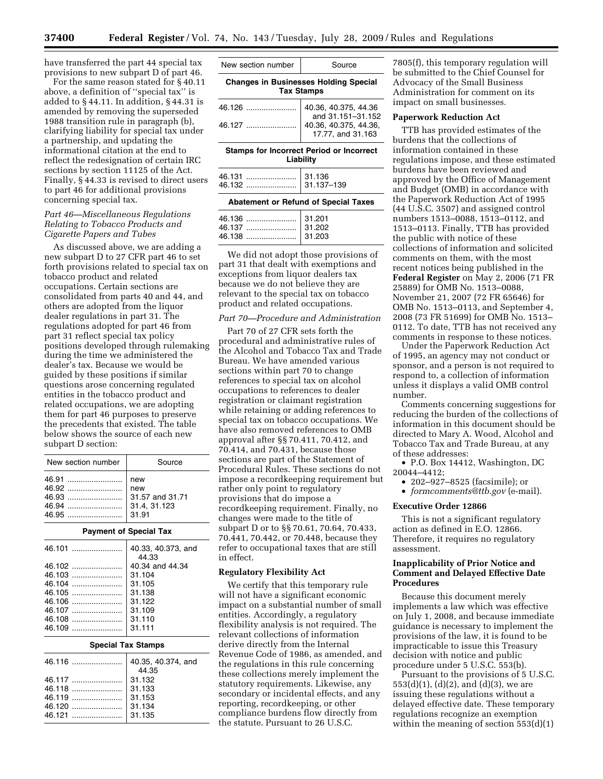have transferred the part 44 special tax provisions to new subpart D of part 46.

For the same reason stated for § 40.11 above, a definition of ''special tax'' is added to § 44.11. In addition, § 44.31 is amended by removing the superseded 1988 transition rule in paragraph (b), clarifying liability for special tax under a partnership, and updating the informational citation at the end to reflect the redesignation of certain IRC sections by section 11125 of the Act. Finally, § 44.33 is revised to direct users to part 46 for additional provisions concerning special tax.

## *Part 46—Miscellaneous Regulations Relating to Tobacco Products and Cigarette Papers and Tubes*

As discussed above, we are adding a new subpart D to 27 CFR part 46 to set forth provisions related to special tax on tobacco product and related occupations. Certain sections are consolidated from parts 40 and 44, and others are adopted from the liquor dealer regulations in part 31. The regulations adopted for part 46 from part 31 reflect special tax policy positions developed through rulemaking during the time we administered the dealer's tax. Because we would be guided by these positions if similar questions arose concerning regulated entities in the tobacco product and related occupations, we are adopting them for part 46 purposes to preserve the precedents that existed. The table below shows the source of each new subpart D section:

| New section number | Source     |
|--------------------|------------|
|                    | new<br>new |

## **Payment of Special Tax**

|          | 40.33, 40.373, and       |
|----------|--------------------------|
|          | 44.33<br>40.34 and 44.34 |
|          | 31.104                   |
|          | 31.105                   |
|          | 31.138                   |
| $46.106$ | 31.122                   |
|          | 31.109                   |
|          | 31.110                   |
|          | 31.111                   |
|          |                          |

| <b>Special Tax Stamps</b> |                             |
|---------------------------|-----------------------------|
|                           | 40.35, 40.374, and<br>44.35 |
|                           | 31.132                      |
|                           | 31.133                      |
|                           | 31.153                      |
| 46.120                    | 31.134                      |
|                           | 31.135                      |

| New section number | Source<br><b>Changes in Businesses Holding Special</b> |
|--------------------|--------------------------------------------------------|
| <b>Tax Stamps</b>  |                                                        |

| 46.127 | 40.36, 40.375, 44.36,<br>17.77, and 31.163 |
|--------|--------------------------------------------|
|        |                                            |
|        |                                            |

**Stamps for Incorrect Period or Incorrect Liability** 

| <b>Abatement or Refund of Special Taxes</b> |  |
|---------------------------------------------|--|
|                                             |  |
|                                             |  |

We did not adopt those provisions of part 31 that dealt with exemptions and exceptions from liquor dealers tax because we do not believe they are relevant to the special tax on tobacco product and related occupations.

### *Part 70—Procedure and Administration*

Part 70 of 27 CFR sets forth the procedural and administrative rules of the Alcohol and Tobacco Tax and Trade Bureau. We have amended various sections within part 70 to change references to special tax on alcohol occupations to references to dealer registration or claimant registration while retaining or adding references to special tax on tobacco occupations. We have also removed references to OMB approval after §§ 70.411, 70.412, and 70.414, and 70.431, because those sections are part of the Statement of Procedural Rules. These sections do not impose a recordkeeping requirement but rather only point to regulatory provisions that do impose a recordkeeping requirement. Finally, no changes were made to the title of subpart D or to §§ 70.61, 70.64, 70.433, 70.441, 70.442, or 70.448, because they refer to occupational taxes that are still in effect.

#### **Regulatory Flexibility Act**

We certify that this temporary rule will not have a significant economic impact on a substantial number of small entities. Accordingly, a regulatory flexibility analysis is not required. The relevant collections of information derive directly from the Internal Revenue Code of 1986, as amended, and the regulations in this rule concerning these collections merely implement the statutory requirements. Likewise, any secondary or incidental effects, and any reporting, recordkeeping, or other compliance burdens flow directly from the statute. Pursuant to 26 U.S.C.

7805(f), this temporary regulation will be submitted to the Chief Counsel for Advocacy of the Small Business Administration for comment on its impact on small businesses.

## **Paperwork Reduction Act**

TTB has provided estimates of the burdens that the collections of information contained in these regulations impose, and these estimated burdens have been reviewed and approved by the Office of Management and Budget (OMB) in accordance with the Paperwork Reduction Act of 1995 (44 U.S.C. 3507) and assigned control numbers 1513–0088, 1513–0112, and 1513–0113. Finally, TTB has provided the public with notice of these collections of information and solicited comments on them, with the most recent notices being published in the **Federal Register** on May 2, 2006 (71 FR 25889) for OMB No. 1513–0088, November 21, 2007 (72 FR 65646) for OMB No. 1513–0113, and September 4, 2008 (73 FR 51699) for OMB No. 1513– 0112. To date, TTB has not received any comments in response to these notices.

Under the Paperwork Reduction Act of 1995, an agency may not conduct or sponsor, and a person is not required to respond to, a collection of information unless it displays a valid OMB control number.

Comments concerning suggestions for reducing the burden of the collections of information in this document should be directed to Mary A. Wood, Alcohol and Tobacco Tax and Trade Bureau, at any of these addresses:

• P.O. Box 14412, Washington, DC 20044–4412;

• 202–927–8525 (facsimile); or

• *formcomments@ttb.gov* (e-mail).

## **Executive Order 12866**

This is not a significant regulatory action as defined in E.O. 12866. Therefore, it requires no regulatory assessment.

## **Inapplicability of Prior Notice and Comment and Delayed Effective Date Procedures**

Because this document merely implements a law which was effective on July 1, 2008, and because immediate guidance is necessary to implement the provisions of the law, it is found to be impracticable to issue this Treasury decision with notice and public procedure under 5 U.S.C. 553(b).

Pursuant to the provisions of 5 U.S.C. 553(d)(1), (d)(2), and (d)(3), we are issuing these regulations without a delayed effective date. These temporary regulations recognize an exemption within the meaning of section 553(d)(1)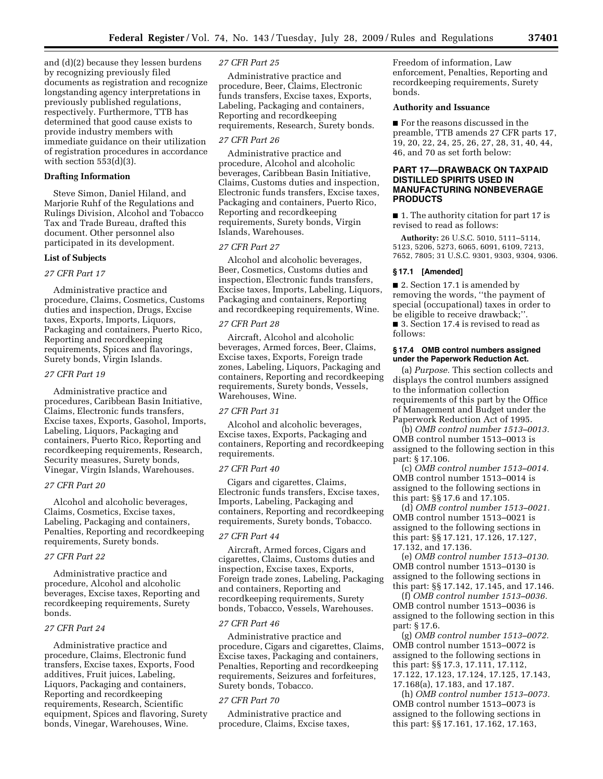and (d)(2) because they lessen burdens by recognizing previously filed documents as registration and recognize longstanding agency interpretations in previously published regulations, respectively. Furthermore, TTB has determined that good cause exists to provide industry members with immediate guidance on their utilization of registration procedures in accordance with section  $553(d)(3)$ .

## **Drafting Information**

Steve Simon, Daniel Hiland, and Marjorie Ruhf of the Regulations and Rulings Division, Alcohol and Tobacco Tax and Trade Bureau, drafted this document. Other personnel also participated in its development.

#### **List of Subjects**

## *27 CFR Part 17*

Administrative practice and procedure, Claims, Cosmetics, Customs duties and inspection, Drugs, Excise taxes, Exports, Imports, Liquors, Packaging and containers, Puerto Rico, Reporting and recordkeeping requirements, Spices and flavorings, Surety bonds, Virgin Islands.

## *27 CFR Part 19*

Administrative practice and procedures, Caribbean Basin Initiative, Claims, Electronic funds transfers, Excise taxes, Exports, Gasohol, Imports, Labeling, Liquors, Packaging and containers, Puerto Rico, Reporting and recordkeeping requirements, Research, Security measures, Surety bonds, Vinegar, Virgin Islands, Warehouses.

## *27 CFR Part 20*

Alcohol and alcoholic beverages, Claims, Cosmetics, Excise taxes, Labeling, Packaging and containers, Penalties, Reporting and recordkeeping requirements, Surety bonds.

## *27 CFR Part 22*

Administrative practice and procedure, Alcohol and alcoholic beverages, Excise taxes, Reporting and recordkeeping requirements, Surety bonds.

## *27 CFR Part 24*

Administrative practice and procedure, Claims, Electronic fund transfers, Excise taxes, Exports, Food additives, Fruit juices, Labeling, Liquors, Packaging and containers, Reporting and recordkeeping requirements, Research, Scientific equipment, Spices and flavoring, Surety bonds, Vinegar, Warehouses, Wine.

## *27 CFR Part 25*

Administrative practice and procedure, Beer, Claims, Electronic funds transfers, Excise taxes, Exports, Labeling, Packaging and containers, Reporting and recordkeeping requirements, Research, Surety bonds.

#### *27 CFR Part 26*

Administrative practice and procedure, Alcohol and alcoholic beverages, Caribbean Basin Initiative, Claims, Customs duties and inspection, Electronic funds transfers, Excise taxes, Packaging and containers, Puerto Rico, Reporting and recordkeeping requirements, Surety bonds, Virgin Islands, Warehouses.

#### *27 CFR Part 27*

Alcohol and alcoholic beverages, Beer, Cosmetics, Customs duties and inspection, Electronic funds transfers, Excise taxes, Imports, Labeling, Liquors, Packaging and containers, Reporting and recordkeeping requirements, Wine.

#### *27 CFR Part 28*

Aircraft, Alcohol and alcoholic beverages, Armed forces, Beer, Claims, Excise taxes, Exports, Foreign trade zones, Labeling, Liquors, Packaging and containers, Reporting and recordkeeping requirements, Surety bonds, Vessels, Warehouses, Wine.

## *27 CFR Part 31*

Alcohol and alcoholic beverages, Excise taxes, Exports, Packaging and containers, Reporting and recordkeeping requirements.

#### *27 CFR Part 40*

Cigars and cigarettes, Claims, Electronic funds transfers, Excise taxes, Imports, Labeling, Packaging and containers, Reporting and recordkeeping requirements, Surety bonds, Tobacco.

#### *27 CFR Part 44*

Aircraft, Armed forces, Cigars and cigarettes, Claims, Customs duties and inspection, Excise taxes, Exports, Foreign trade zones, Labeling, Packaging and containers, Reporting and recordkeeping requirements, Surety bonds, Tobacco, Vessels, Warehouses.

## *27 CFR Part 46*

Administrative practice and procedure, Cigars and cigarettes, Claims, Excise taxes, Packaging and containers, Penalties, Reporting and recordkeeping requirements, Seizures and forfeitures, Surety bonds, Tobacco.

## *27 CFR Part 70*

Administrative practice and procedure, Claims, Excise taxes,

Freedom of information, Law enforcement, Penalties, Reporting and recordkeeping requirements, Surety bonds.

## **Authority and Issuance**

■ For the reasons discussed in the preamble, TTB amends 27 CFR parts 17, 19, 20, 22, 24, 25, 26, 27, 28, 31, 40, 44, 46, and 70 as set forth below:

## **PART 17—DRAWBACK ON TAXPAID DISTILLED SPIRITS USED IN MANUFACTURING NONBEVERAGE PRODUCTS**

■ 1. The authority citation for part 17 is revised to read as follows:

**Authority:** 26 U.S.C. 5010, 5111–5114, 5123, 5206, 5273, 6065, 6091, 6109, 7213, 7652, 7805; 31 U.S.C. 9301, 9303, 9304, 9306.

#### **§ 17.1 [Amended]**

■ 2. Section 17.1 is amended by removing the words, ''the payment of special (occupational) taxes in order to be eligible to receive drawback;''. ■ 3. Section 17.4 is revised to read as follows:

#### **§ 17.4 OMB control numbers assigned under the Paperwork Reduction Act.**

(a) *Purpose.* This section collects and displays the control numbers assigned to the information collection requirements of this part by the Office of Management and Budget under the Paperwork Reduction Act of 1995.

(b) *OMB control number 1513–0013.*  OMB control number 1513–0013 is assigned to the following section in this part: § 17.106.

(c) *OMB control number 1513–0014.*  OMB control number 1513–0014 is assigned to the following sections in this part: §§ 17.6 and 17.105.

(d) *OMB control number 1513–0021.*  OMB control number 1513–0021 is assigned to the following sections in this part: §§ 17.121, 17.126, 17.127, 17.132, and 17.136.

(e) *OMB control number 1513–0130.*  OMB control number 1513–0130 is assigned to the following sections in this part: §§ 17.142, 17.145, and 17.146.

(f) *OMB control number 1513–0036.*  OMB control number 1513–0036 is assigned to the following section in this part: § 17.6.

(g) *OMB control number 1513–0072.*  OMB control number 1513–0072 is assigned to the following sections in this part: §§ 17.3, 17.111, 17.112, 17.122, 17.123, 17.124, 17.125, 17.143, 17.168(a), 17.183, and 17.187.

(h) *OMB control number 1513–0073.*  OMB control number 1513–0073 is assigned to the following sections in this part: §§ 17.161, 17.162, 17.163,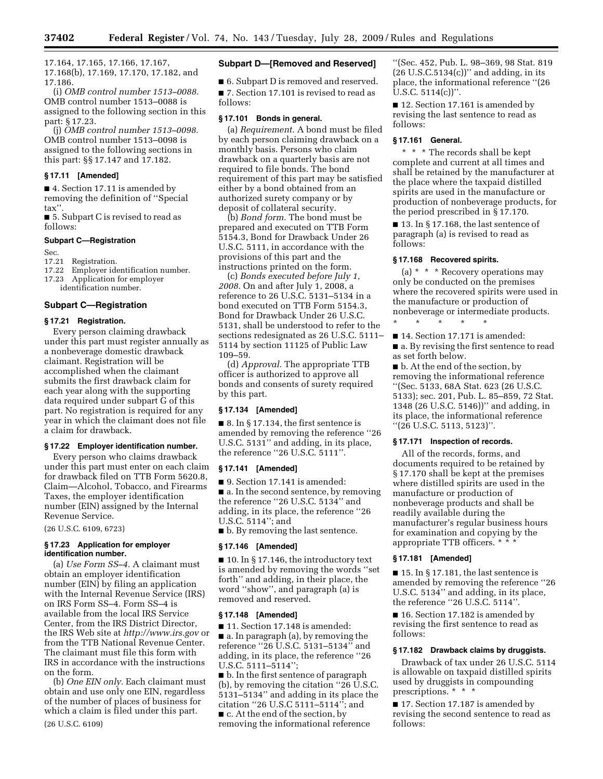17.164, 17.165, 17.166, 17.167, 17.168(b), 17.169, 17.170, 17.182, and 17.186.

(i) *OMB control number 1513–0088.*  OMB control number 1513–0088 is assigned to the following section in this part: § 17.23.

(j) *OMB control number 1513–0098.*  OMB control number 1513–0098 is assigned to the following sections in this part: §§ 17.147 and 17.182.

#### **§ 17.11 [Amended]**

■ 4. Section 17.11 is amended by removing the definition of ''Special tax''.

■ 5. Subpart C is revised to read as follows:

#### **Subpart C—Registration**

Sec.

17.21 Registration.

17.22 Employer identification number.

17.23 Application for employer identification number.

#### **Subpart C—Registration**

#### **§ 17.21 Registration.**

Every person claiming drawback under this part must register annually as a nonbeverage domestic drawback claimant. Registration will be accomplished when the claimant submits the first drawback claim for each year along with the supporting data required under subpart G of this part. No registration is required for any year in which the claimant does not file a claim for drawback.

## **§ 17.22 Employer identification number.**

Every person who claims drawback under this part must enter on each claim for drawback filed on TTB Form 5620.8, Claim—Alcohol, Tobacco, and Firearms Taxes, the employer identification number (EIN) assigned by the Internal Revenue Service.

(26 U.S.C. 6109, 6723)

## **§ 17.23 Application for employer identification number.**

(a) *Use Form SS–4.* A claimant must obtain an employer identification number (EIN) by filing an application with the Internal Revenue Service (IRS) on IRS Form SS–4. Form SS–4 is available from the local IRS Service Center, from the IRS District Director, the IRS Web site at *http://www.irs.gov* or from the TTB National Revenue Center. The claimant must file this form with IRS in accordance with the instructions on the form.

(b) *One EIN only.* Each claimant must obtain and use only one EIN, regardless of the number of places of business for which a claim is filed under this part. (26 U.S.C. 6109)

#### **Subpart D—[Removed and Reserved]**

■ 6. Subpart D is removed and reserved. ■ 7. Section 17.101 is revised to read as follows:

#### **§ 17.101 Bonds in general.**

(a) *Requirement.* A bond must be filed by each person claiming drawback on a monthly basis. Persons who claim drawback on a quarterly basis are not required to file bonds. The bond requirement of this part may be satisfied either by a bond obtained from an authorized surety company or by deposit of collateral security.

(b) *Bond form.* The bond must be prepared and executed on TTB Form 5154.3, Bond for Drawback Under 26 U.S.C. 5111, in accordance with the provisions of this part and the instructions printed on the form.

(c) *Bonds executed before July 1, 2008.* On and after July 1, 2008, a reference to 26 U.S.C. 5131–5134 in a bond executed on TTB Form 5154.3, Bond for Drawback Under 26 U.S.C. 5131, shall be understood to refer to the sections redesignated as 26 U.S.C. 5111– 5114 by section 11125 of Public Law 109–59.

(d) *Approval.* The appropriate TTB officer is authorized to approve all bonds and consents of surety required by this part.

## **§ 17.134 [Amended]**

 $\blacksquare$  8. In § 17.134, the first sentence is amended by removing the reference ''26 U.S.C. 5131'' and adding, in its place, the reference ''26 U.S.C. 5111''.

## **§ 17.141 [Amended]**

■ 9. Section 17.141 is amended: ■ a. In the second sentence, by removing the reference ''26 U.S.C. 5134'' and adding, in its place, the reference ''26 U.S.C. 5114''; and

■ b. By removing the last sentence.

#### **§ 17.146 [Amended]**

 $\blacksquare$  10. In § 17.146, the introductory text is amended by removing the words ''set forth'' and adding, in their place, the word ''show'', and paragraph (a) is removed and reserved.

## **§ 17.148 [Amended]**

■ 11. Section 17.148 is amended: ■ a. In paragraph (a), by removing the reference ''26 U.S.C. 5131–5134'' and adding, in its place, the reference ''26 U.S.C. 5111–5114'';

■ b. In the first sentence of paragraph (b), by removing the citation ''26 U.S.C. 5131–5134'' and adding in its place the citation ''26 U.S.C 5111–5114''; and ■ c. At the end of the section, by removing the informational reference

''(Sec. 452, Pub. L. 98–369, 98 Stat. 819  $(26 \text{ U.S.C.5134(c)})$ " and adding, in its place, the informational reference ''(26 U.S.C.  $5114(c)$ ".

■ 12. Section 17.161 is amended by revising the last sentence to read as follows:

## **§ 17.161 General.**

\* \* \* The records shall be kept complete and current at all times and shall be retained by the manufacturer at the place where the taxpaid distilled spirits are used in the manufacture or production of nonbeverage products, for the period prescribed in § 17.170.

■ 13. In § 17.168, the last sentence of paragraph (a) is revised to read as follows:

#### **§ 17.168 Recovered spirits.**

\* \* \* \* \*

(a) \* \* \* Recovery operations may only be conducted on the premises where the recovered spirits were used in the manufacture or production of nonbeverage or intermediate products.

■ 14. Section 17.171 is amended: ■ a. By revising the first sentence to read as set forth below.

■ b. At the end of the section, by removing the informational reference ''(Sec. 5133, 68A Stat. 623 (26 U.S.C. 5133); sec. 201, Pub. L. 85–859, 72 Stat. 1348 (26 U.S.C. 5146))'' and adding, in its place, the informational reference ''(26 U.S.C. 5113, 5123)''.

## **§ 17.171 Inspection of records.**

All of the records, forms, and documents required to be retained by § 17.170 shall be kept at the premises where distilled spirits are used in the manufacture or production of nonbeverage products and shall be readily available during the manufacturer's regular business hours for examination and copying by the appropriate TTB officers. \* \* \*

## **§ 17.181 [Amended]**

■ 15. In § 17.181, the last sentence is amended by removing the reference ''26 U.S.C. 5134'' and adding, in its place, the reference "26 U.S.C. 5114"

■ 16. Section 17.182 is amended by revising the first sentence to read as follows:

#### **§ 17.182 Drawback claims by druggists.**

Drawback of tax under 26 U.S.C. 5114 is allowable on taxpaid distilled spirits used by druggists in compounding prescriptions. \* \* \*

■ 17. Section 17.187 is amended by revising the second sentence to read as follows: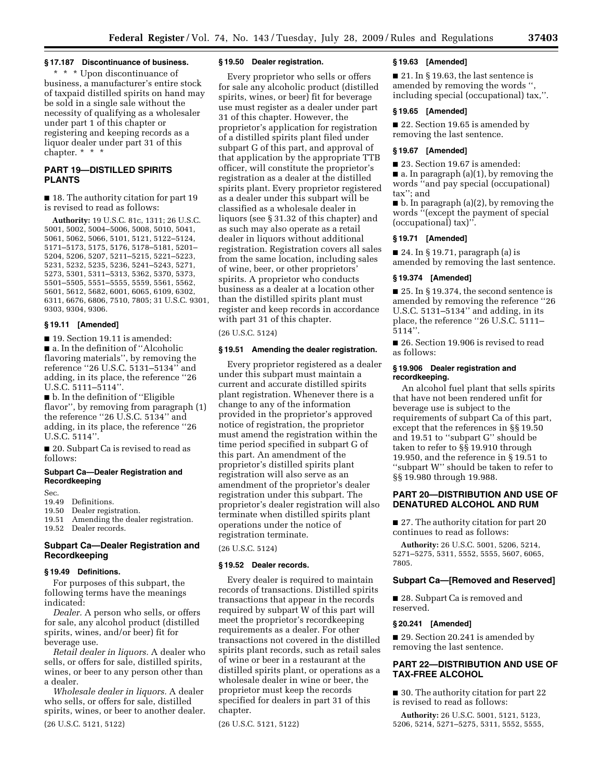## **§ 17.187 Discontinuance of business.**

\* \* \* Upon discontinuance of business, a manufacturer's entire stock of taxpaid distilled spirits on hand may be sold in a single sale without the necessity of qualifying as a wholesaler under part 1 of this chapter or registering and keeping records as a liquor dealer under part 31 of this chapter. \* \* \*

## **PART 19—DISTILLED SPIRITS PLANTS**

■ 18. The authority citation for part 19 is revised to read as follows:

**Authority:** 19 U.S.C. 81c, 1311; 26 U.S.C. 5001, 5002, 5004–5006, 5008, 5010, 5041, 5061, 5062, 5066, 5101, 5121, 5122–5124, 5171–5173, 5175, 5176, 5178–5181, 5201– 5204, 5206, 5207, 5211–5215, 5221–5223, 5231, 5232, 5235, 5236, 5241–5243, 5271, 5273, 5301, 5311–5313, 5362, 5370, 5373, 5501–5505, 5551–5555, 5559, 5561, 5562, 5601, 5612, 5682, 6001, 6065, 6109, 6302, 6311, 6676, 6806, 7510, 7805; 31 U.S.C. 9301, 9303, 9304, 9306.

## **§ 19.11 [Amended]**

■ 19. Section 19.11 is amended: ■ a. In the definition of "Alcoholic flavoring materials'', by removing the reference ''26 U.S.C. 5131–5134'' and adding, in its place, the reference ''26 U.S.C. 5111–5114''.

■ b. In the definition of "Eligible flavor'', by removing from paragraph (1) the reference ''26 U.S.C. 5134'' and adding, in its place, the reference ''26 U.S.C. 5114''.

■ 20. Subpart Ca is revised to read as follows:

## **Subpart Ca—Dealer Registration and Recordkeeping**

Sec.

19.49 Definitions.

19.50 Dealer registration.

19.51 Amending the dealer registration.

19.52 Dealer records.

## **Subpart Ca—Dealer Registration and Recordkeeping**

## **§ 19.49 Definitions.**

For purposes of this subpart, the following terms have the meanings indicated:

*Dealer.* A person who sells, or offers for sale, any alcohol product (distilled spirits, wines, and/or beer) fit for beverage use.

*Retail dealer in liquors.* A dealer who sells, or offers for sale, distilled spirits, wines, or beer to any person other than a dealer.

*Wholesale dealer in liquors.* A dealer who sells, or offers for sale, distilled spirits, wines, or beer to another dealer. (26 U.S.C. 5121, 5122)

## **§ 19.50 Dealer registration.**

Every proprietor who sells or offers for sale any alcoholic product (distilled spirits, wines, or beer) fit for beverage use must register as a dealer under part 31 of this chapter. However, the proprietor's application for registration of a distilled spirits plant filed under subpart G of this part, and approval of that application by the appropriate TTB officer, will constitute the proprietor's registration as a dealer at the distilled spirits plant. Every proprietor registered as a dealer under this subpart will be classified as a wholesale dealer in liquors (see § 31.32 of this chapter) and as such may also operate as a retail dealer in liquors without additional registration. Registration covers all sales from the same location, including sales of wine, beer, or other proprietors' spirits. A proprietor who conducts business as a dealer at a location other than the distilled spirits plant must register and keep records in accordance with part 31 of this chapter.

(26 U.S.C. 5124)

## **§ 19.51 Amending the dealer registration.**

Every proprietor registered as a dealer under this subpart must maintain a current and accurate distilled spirits plant registration. Whenever there is a change to any of the information provided in the proprietor's approved notice of registration, the proprietor must amend the registration within the time period specified in subpart G of this part. An amendment of the proprietor's distilled spirits plant registration will also serve as an amendment of the proprietor's dealer registration under this subpart. The proprietor's dealer registration will also terminate when distilled spirits plant operations under the notice of registration terminate.

(26 U.S.C. 5124)

#### **§ 19.52 Dealer records.**

Every dealer is required to maintain records of transactions. Distilled spirits transactions that appear in the records required by subpart W of this part will meet the proprietor's recordkeeping requirements as a dealer. For other transactions not covered in the distilled spirits plant records, such as retail sales of wine or beer in a restaurant at the distilled spirits plant, or operations as a wholesale dealer in wine or beer, the proprietor must keep the records specified for dealers in part 31 of this chapter.

(26 U.S.C. 5121, 5122)

## **§ 19.63 [Amended]**

■ 21. In § 19.63, the last sentence is amended by removing the words '', including special (occupational) tax,''.

## **§ 19.65 [Amended]**

■ 22. Section 19.65 is amended by removing the last sentence.

## **§ 19.67 [Amended]**

■ 23. Section 19.67 is amended:

 $\blacksquare$  a. In paragraph (a)(1), by removing the words ''and pay special (occupational) tax''; and

■ b. In paragraph (a)(2), by removing the words ''(except the payment of special (occupational) tax)''.

#### **§ 19.71 [Amended]**

■ 24. In § 19.71, paragraph (a) is amended by removing the last sentence.

#### **§ 19.374 [Amended]**

■ 25. In § 19.374, the second sentence is amended by removing the reference ''26 U.S.C. 5131–5134'' and adding, in its place, the reference ''26 U.S.C. 5111–  $5114$ ".

■ 26. Section 19.906 is revised to read as follows:

## **§ 19.906 Dealer registration and recordkeeping.**

An alcohol fuel plant that sells spirits that have not been rendered unfit for beverage use is subject to the requirements of subpart Ca of this part, except that the references in §§ 19.50 and 19.51 to ''subpart G'' should be taken to refer to §§ 19.910 through 19.950, and the reference in § 19.51 to ''subpart W'' should be taken to refer to §§ 19.980 through 19.988.

## **PART 20—DISTRIBUTION AND USE OF DENATURED ALCOHOL AND RUM**

■ 27. The authority citation for part 20 continues to read as follows:

**Authority:** 26 U.S.C. 5001, 5206, 5214, 5271–5275, 5311, 5552, 5555, 5607, 6065, 7805.

#### **Subpart Ca—[Removed and Reserved]**

■ 28. Subpart Ca is removed and reserved.

#### **§ 20.241 [Amended]**

■ 29. Section 20.241 is amended by removing the last sentence.

## **PART 22—DISTRIBUTION AND USE OF TAX-FREE ALCOHOL**

■ 30. The authority citation for part 22 is revised to read as follows:

**Authority:** 26 U.S.C. 5001, 5121, 5123, 5206, 5214, 5271–5275, 5311, 5552, 5555,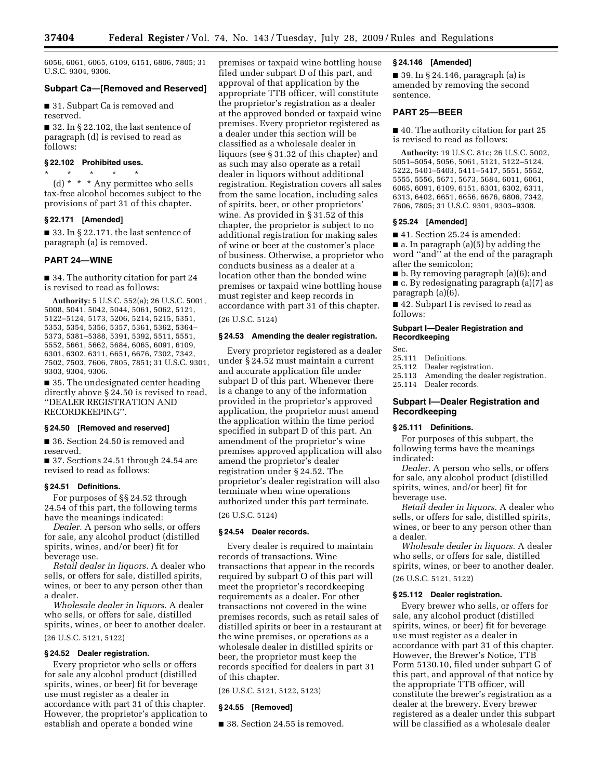6056, 6061, 6065, 6109, 6151, 6806, 7805; 31 U.S.C. 9304, 9306.

## **Subpart Ca—[Removed and Reserved]**

■ 31. Subpart Ca is removed and reserved.

■ 32. In § 22.102, the last sentence of paragraph (d) is revised to read as follows:

## **§ 22.102 Prohibited uses.**

\* \* \* \* \* (d) \* \* \* Any permittee who sells tax-free alcohol becomes subject to the provisions of part 31 of this chapter.

#### **§ 22.171 [Amended]**

■ 33. In § 22.171, the last sentence of paragraph (a) is removed.

## **PART 24—WINE**

■ 34. The authority citation for part 24 is revised to read as follows:

**Authority:** 5 U.S.C. 552(a); 26 U.S.C. 5001, 5008, 5041, 5042, 5044, 5061, 5062, 5121, 5122–5124, 5173, 5206, 5214, 5215, 5351, 5353, 5354, 5356, 5357, 5361, 5362, 5364– 5373, 5381–5388, 5391, 5392, 5511, 5551, 5552, 5661, 5662, 5684, 6065, 6091, 6109, 6301, 6302, 6311, 6651, 6676, 7302, 7342, 7502, 7503, 7606, 7805, 7851; 31 U.S.C. 9301, 9303, 9304, 9306.

■ 35. The undesignated center heading directly above § 24.50 is revised to read, ''DEALER REGISTRATION AND RECORDKEEPING''.

#### **§ 24.50 [Removed and reserved]**

■ 36. Section 24.50 is removed and reserved.

■ 37. Sections 24.51 through 24.54 are revised to read as follows:

## **§ 24.51 Definitions.**

For purposes of §§ 24.52 through 24.54 of this part, the following terms have the meanings indicated:

*Dealer.* A person who sells, or offers for sale, any alcohol product (distilled spirits, wines, and/or beer) fit for beverage use.

*Retail dealer in liquors.* A dealer who sells, or offers for sale, distilled spirits, wines, or beer to any person other than a dealer.

*Wholesale dealer in liquors.* A dealer who sells, or offers for sale, distilled spirits, wines, or beer to another dealer. (26 U.S.C. 5121, 5122)

#### **§ 24.52 Dealer registration.**

Every proprietor who sells or offers for sale any alcohol product (distilled spirits, wines, or beer) fit for beverage use must register as a dealer in accordance with part 31 of this chapter. However, the proprietor's application to establish and operate a bonded wine

premises or taxpaid wine bottling house filed under subpart D of this part, and approval of that application by the appropriate TTB officer, will constitute the proprietor's registration as a dealer at the approved bonded or taxpaid wine premises. Every proprietor registered as a dealer under this section will be classified as a wholesale dealer in liquors (see § 31.32 of this chapter) and as such may also operate as a retail dealer in liquors without additional registration. Registration covers all sales from the same location, including sales of spirits, beer, or other proprietors' wine. As provided in § 31.52 of this chapter, the proprietor is subject to no additional registration for making sales of wine or beer at the customer's place of business. Otherwise, a proprietor who conducts business as a dealer at a location other than the bonded wine premises or taxpaid wine bottling house must register and keep records in accordance with part 31 of this chapter.

(26 U.S.C. 5124)

## **§ 24.53 Amending the dealer registration.**

Every proprietor registered as a dealer under § 24.52 must maintain a current and accurate application file under subpart D of this part. Whenever there is a change to any of the information provided in the proprietor's approved application, the proprietor must amend the application within the time period specified in subpart D of this part. An amendment of the proprietor's wine premises approved application will also amend the proprietor's dealer registration under § 24.52. The proprietor's dealer registration will also terminate when wine operations authorized under this part terminate.

(26 U.S.C. 5124)

## **§ 24.54 Dealer records.**

Every dealer is required to maintain records of transactions. Wine transactions that appear in the records required by subpart O of this part will meet the proprietor's recordkeeping requirements as a dealer. For other transactions not covered in the wine premises records, such as retail sales of distilled spirits or beer in a restaurant at the wine premises, or operations as a wholesale dealer in distilled spirits or beer, the proprietor must keep the records specified for dealers in part 31 of this chapter.

(26 U.S.C. 5121, 5122, 5123)

## **§ 24.55 [Removed]**

■ 38. Section 24.55 is removed.

#### **§ 24.146 [Amended]**

■ 39. In § 24.146, paragraph (a) is amended by removing the second sentence.

## **PART 25—BEER**

■ 40. The authority citation for part 25 is revised to read as follows:

**Authority:** 19 U.S.C. 81c; 26 U.S.C. 5002, 5051–5054, 5056, 5061, 5121, 5122–5124, 5222, 5401–5403, 5411–5417, 5551, 5552, 5555, 5556, 5671, 5673, 5684, 6011, 6061, 6065, 6091, 6109, 6151, 6301, 6302, 6311, 6313, 6402, 6651, 6656, 6676, 6806, 7342, 7606, 7805; 31 U.S.C. 9301, 9303–9308.

#### **§ 25.24 [Amended]**

■ 41. Section 25.24 is amended:

■ a. In paragraph (a)(5) by adding the word ''and'' at the end of the paragraph after the semicolon;

- b. By removing paragraph (a)(6); and
- c. By redesignating paragraph (a)(7) as paragraph (a)(6).

■ 42. Subpart I is revised to read as follows:

## **Subpart I—Dealer Registration and Recordkeeping**

Sec.

- 25.111 Definitions.
- 25.112 Dealer registration.
- 25.113 Amending the dealer registration.
- 25.114 Dealer records.

## **Subpart I—Dealer Registration and Recordkeeping**

#### **§ 25.111 Definitions.**

For purposes of this subpart, the following terms have the meanings indicated:

*Dealer*. A person who sells, or offers for sale, any alcohol product (distilled spirits, wines, and/or beer) fit for beverage use.

*Retail dealer in liquors*. A dealer who sells, or offers for sale, distilled spirits, wines, or beer to any person other than a dealer.

*Wholesale dealer in liquors*. A dealer who sells, or offers for sale, distilled spirits, wines, or beer to another dealer. (26 U.S.C. 5121, 5122)

#### **§ 25.112 Dealer registration.**

Every brewer who sells, or offers for sale, any alcohol product (distilled spirits, wines, or beer) fit for beverage use must register as a dealer in accordance with part 31 of this chapter. However, the Brewer's Notice, TTB Form 5130.10, filed under subpart G of this part, and approval of that notice by the appropriate TTB officer, will constitute the brewer's registration as a dealer at the brewery. Every brewer registered as a dealer under this subpart will be classified as a wholesale dealer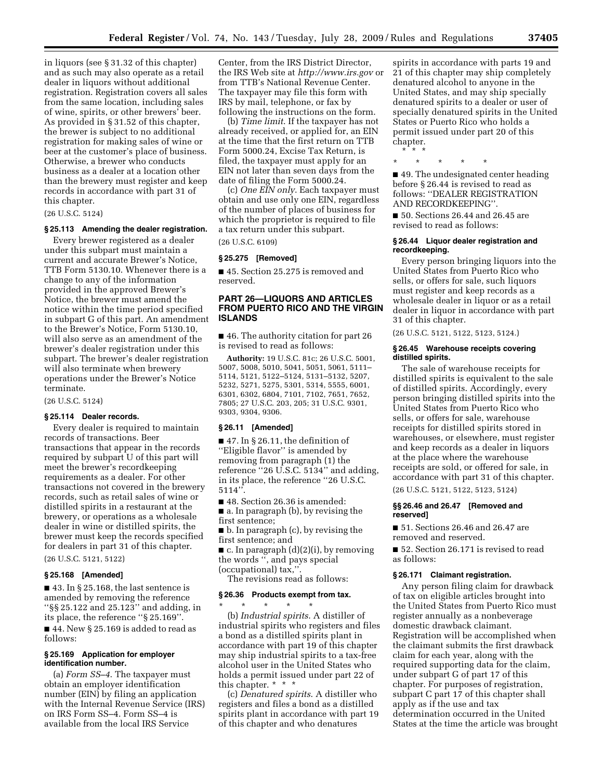in liquors (see § 31.32 of this chapter) and as such may also operate as a retail dealer in liquors without additional registration. Registration covers all sales from the same location, including sales of wine, spirits, or other brewers' beer. As provided in § 31.52 of this chapter, the brewer is subject to no additional registration for making sales of wine or beer at the customer's place of business. Otherwise, a brewer who conducts business as a dealer at a location other than the brewery must register and keep records in accordance with part 31 of this chapter.

(26 U.S.C. 5124)

## **§ 25.113 Amending the dealer registration.**

Every brewer registered as a dealer under this subpart must maintain a current and accurate Brewer's Notice, TTB Form 5130.10. Whenever there is a change to any of the information provided in the approved Brewer's Notice, the brewer must amend the notice within the time period specified in subpart G of this part. An amendment to the Brewer's Notice, Form 5130.10, will also serve as an amendment of the brewer's dealer registration under this subpart. The brewer's dealer registration will also terminate when brewery operations under the Brewer's Notice terminate.

(26 U.S.C. 5124)

## **§ 25.114 Dealer records.**

Every dealer is required to maintain records of transactions. Beer transactions that appear in the records required by subpart U of this part will meet the brewer's recordkeeping requirements as a dealer. For other transactions not covered in the brewery records, such as retail sales of wine or distilled spirits in a restaurant at the brewery, or operations as a wholesale dealer in wine or distilled spirits, the brewer must keep the records specified for dealers in part 31 of this chapter.

(26 U.S.C. 5121, 5122)

#### **§ 25.168 [Amended]**

■ 43. In § 25.168, the last sentence is amended by removing the reference ''§§ 25.122 and 25.123'' and adding, in its place, the reference ''§ 25.169''.

■ 44. New § 25.169 is added to read as follows:

#### **§ 25.169 Application for employer identification number.**

(a) *Form SS–4*. The taxpayer must obtain an employer identification number (EIN) by filing an application with the Internal Revenue Service (IRS) on IRS Form SS–4. Form SS–4 is available from the local IRS Service

Center, from the IRS District Director, the IRS Web site at *http://www.irs.gov* or from TTB's National Revenue Center. The taxpayer may file this form with IRS by mail, telephone, or fax by following the instructions on the form.

(b) *Time limit*. If the taxpayer has not already received, or applied for, an EIN at the time that the first return on TTB Form 5000.24, Excise Tax Return, is filed, the taxpayer must apply for an EIN not later than seven days from the date of filing the Form 5000.24.

(c) *One EIN only*. Each taxpayer must obtain and use only one EIN, regardless of the number of places of business for which the proprietor is required to file a tax return under this subpart.

(26 U.S.C. 6109)

#### **§ 25.275 [Removed]**

■ 45. Section 25.275 is removed and reserved.

## **PART 26—LIQUORS AND ARTICLES FROM PUERTO RICO AND THE VIRGIN ISLANDS**

■ 46. The authority citation for part 26 is revised to read as follows:

**Authority:** 19 U.S.C. 81c; 26 U.S.C. 5001, 5007, 5008, 5010, 5041, 5051, 5061, 5111– 5114, 5121, 5122–5124, 5131–5132, 5207, 5232, 5271, 5275, 5301, 5314, 5555, 6001, 6301, 6302, 6804, 7101, 7102, 7651, 7652, 7805; 27 U.S.C. 203, 205; 31 U.S.C. 9301, 9303, 9304, 9306.

#### **§ 26.11 [Amended]**

■ 47. In § 26.11, the definition of ''Eligible flavor'' is amended by removing from paragraph (1) the reference ''26 U.S.C. 5134'' and adding, in its place, the reference ''26 U.S.C. 5114''.

■ 48. Section 26.36 is amended:

■ a. In paragraph (b), by revising the first sentence;

■ b. In paragraph (c), by revising the first sentence; and

 $\blacksquare$  c. In paragraph  $(d)(2)(i)$ , by removing the words '', and pays special

(occupational) tax,''.

The revisions read as follows:

## **§ 26.36 Products exempt from tax.**

\* \* \* \* \* (b) *Industrial spirits*. A distiller of industrial spirits who registers and files a bond as a distilled spirits plant in accordance with part 19 of this chapter may ship industrial spirits to a tax-free alcohol user in the United States who holds a permit issued under part 22 of this chapter. \* \* \*

(c) *Denatured spirits*. A distiller who registers and files a bond as a distilled spirits plant in accordance with part 19 of this chapter and who denatures

spirits in accordance with parts 19 and 21 of this chapter may ship completely denatured alcohol to anyone in the United States, and may ship specially denatured spirits to a dealer or user of specially denatured spirits in the United States or Puerto Rico who holds a permit issued under part 20 of this chapter. \* \* \*

\* \* \* \* \*

■ 49. The undesignated center heading before § 26.44 is revised to read as follows: ''DEALER REGISTRATION AND RECORDKEEPING''.

■ 50. Sections 26.44 and 26.45 are revised to read as follows:

#### **§ 26.44 Liquor dealer registration and recordkeeping.**

Every person bringing liquors into the United States from Puerto Rico who sells, or offers for sale, such liquors must register and keep records as a wholesale dealer in liquor or as a retail dealer in liquor in accordance with part 31 of this chapter.

(26 U.S.C. 5121, 5122, 5123, 5124.)

#### **§ 26.45 Warehouse receipts covering distilled spirits.**

The sale of warehouse receipts for distilled spirits is equivalent to the sale of distilled spirits. Accordingly, every person bringing distilled spirits into the United States from Puerto Rico who sells, or offers for sale, warehouse receipts for distilled spirits stored in warehouses, or elsewhere, must register and keep records as a dealer in liquors at the place where the warehouse receipts are sold, or offered for sale, in accordance with part 31 of this chapter.

(26 U.S.C. 5121, 5122, 5123, 5124)

#### **§§ 26.46 and 26.47 [Removed and reserved]**

■ 51. Sections 26.46 and 26.47 are removed and reserved.

■ 52. Section 26.171 is revised to read as follows:

#### **§ 26.171 Claimant registration.**

Any person filing claim for drawback of tax on eligible articles brought into the United States from Puerto Rico must register annually as a nonbeverage domestic drawback claimant. Registration will be accomplished when the claimant submits the first drawback claim for each year, along with the required supporting data for the claim, under subpart G of part 17 of this chapter. For purposes of registration, subpart C part 17 of this chapter shall apply as if the use and tax determination occurred in the United States at the time the article was brought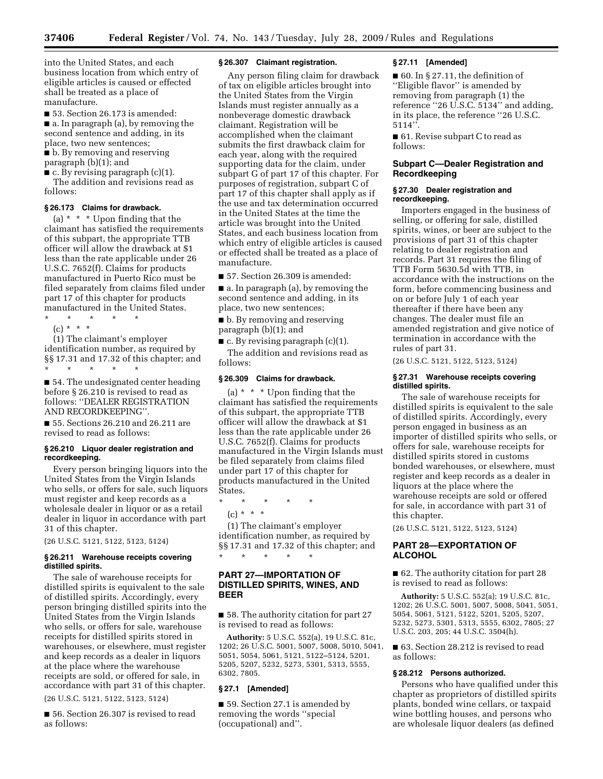**37406 Federal Register** / Vol. 74, No. 143 / Tuesday, July 28, 2009 / Rules and Regulations

into the United States, and each business location from which entry of eligible articles is caused or effected shall be treated as a place of manufacture.

■ 53. Section 26.173 is amended: ■ a. In paragraph (a), by removing the second sentence and adding, in its

place, two new sentences; ■ b. By removing and reserving

paragraph (b)(1); and

 $\blacksquare$  c. By revising paragraph (c)(1). The addition and revisions read as follows:

#### **§ 26.173 Claims for drawback.**

(a)  $*$   $*$   $*$  Upon finding that the claimant has satisfied the requirements of this subpart, the appropriate TTB officer will allow the drawback at \$1 less than the rate applicable under 26 U.S.C. 7652(f). Claims for products manufactured in Puerto Rico must be filed separately from claims filed under part 17 of this chapter for products manufactured in the United States.

\* \* \* \* \*

(c) \* \* \*

(1) The claimant's employer identification number, as required by §§ 17.31 and 17.32 of this chapter; and \* \* \* \* \*

■ 54. The undesignated center heading before § 26.210 is revised to read as follows: ''DEALER REGISTRATION AND RECORDKEEPING''.

■ 55. Sections 26.210 and 26.211 are revised to read as follows:

#### **§ 26.210 Liquor dealer registration and recordkeeping.**

Every person bringing liquors into the United States from the Virgin Islands who sells, or offers for sale, such liquors must register and keep records as a wholesale dealer in liquor or as a retail dealer in liquor in accordance with part 31 of this chapter.

(26 U.S.C. 5121, 5122, 5123, 5124)

#### **§ 26.211 Warehouse receipts covering distilled spirits.**

The sale of warehouse receipts for distilled spirits is equivalent to the sale of distilled spirits. Accordingly, every person bringing distilled spirits into the United States from the Virgin Islands who sells, or offers for sale, warehouse receipts for distilled spirits stored in warehouses, or elsewhere, must register and keep records as a dealer in liquors at the place where the warehouse receipts are sold, or offered for sale, in accordance with part 31 of this chapter.

(26 U.S.C. 5121, 5122, 5123, 5124)

■ 56. Section 26.307 is revised to read as follows:

## **§ 26.307 Claimant registration.**

Any person filing claim for drawback of tax on eligible articles brought into the United States from the Virgin Islands must register annually as a nonbeverage domestic drawback claimant. Registration will be accomplished when the claimant submits the first drawback claim for each year, along with the required supporting data for the claim, under subpart G of part 17 of this chapter. For purposes of registration, subpart C of part 17 of this chapter shall apply as if the use and tax determination occurred in the United States at the time the article was brought into the United States, and each business location from which entry of eligible articles is caused or effected shall be treated as a place of manufacture.

■ 57. Section 26.309 is amended:

■ a. In paragraph (a), by removing the second sentence and adding, in its place, two new sentences;

■ b. By removing and reserving paragraph (b)(1); and

■ c. By revising paragraph (c)(1). The addition and revisions read as follows:

## **§ 26.309 Claims for drawback.**

(a)  $*$   $*$   $*$  Upon finding that the claimant has satisfied the requirements of this subpart, the appropriate TTB officer will allow the drawback at \$1 less than the rate applicable under 26 U.S.C. 7652(f). Claims for products manufactured in the Virgin Islands must be filed separately from claims filed under part 17 of this chapter for products manufactured in the United States.

\* \* \* \* \*

 $(c) * * * *$ 

(1) The claimant's employer identification number, as required by §§ 17.31 and 17.32 of this chapter; and \* \* \* \* \*

## **PART 27—IMPORTATION OF DISTILLED SPIRITS, WINES, AND BEER**

■ 58. The authority citation for part 27 is revised to read as follows:

**Authority:** 5 U.S.C. 552(a), 19 U.S.C. 81c, 1202; 26 U.S.C. 5001, 5007, 5008, 5010, 5041, 5051, 5054, 5061, 5121, 5122–5124, 5201, 5205, 5207, 5232, 5273, 5301, 5313, 5555, 6302, 7805.

#### **§ 27.1 [Amended]**

■ 59. Section 27.1 is amended by removing the words ''special (occupational) and''.

#### **§ 27.11 [Amended]**

■ 60. In § 27.11, the definition of ''Eligible flavor'' is amended by removing from paragraph (1) the reference ''26 U.S.C. 5134'' and adding, in its place, the reference ''26 U.S.C. 5114''.

■ 61. Revise subpart C to read as follows:

## **Subpart C—Dealer Registration and Recordkeeping**

#### **§ 27.30 Dealer registration and recordkeeping.**

Importers engaged in the business of selling, or offering for sale, distilled spirits, wines, or beer are subject to the provisions of part 31 of this chapter relating to dealer registration and records. Part 31 requires the filing of TTB Form 5630.5d with TTB, in accordance with the instructions on the form, before commencing business and on or before July 1 of each year thereafter if there have been any changes. The dealer must file an amended registration and give notice of termination in accordance with the rules of part 31.

(26 U.S.C. 5121, 5122, 5123, 5124)

## **§ 27.31 Warehouse receipts covering distilled spirits.**

The sale of warehouse receipts for distilled spirits is equivalent to the sale of distilled spirits. Accordingly, every person engaged in business as an importer of distilled spirits who sells, or offers for sale, warehouse receipts for distilled spirits stored in customs bonded warehouses, or elsewhere, must register and keep records as a dealer in liquors at the place where the warehouse receipts are sold or offered for sale, in accordance with part 31 of this chapter.

(26 U.S.C. 5121, 5122, 5123, 5124)

## **PART 28—EXPORTATION OF ALCOHOL**

■ 62. The authority citation for part 28 is revised to read as follows:

**Authority:** 5 U.S.C. 552(a); 19 U.S.C. 81c, 1202; 26 U.S.C. 5001, 5007, 5008, 5041, 5051, 5054, 5061, 5121, 5122, 5201, 5205, 5207, 5232, 5273, 5301, 5313, 5555, 6302, 7805; 27 U.S.C. 203, 205; 44 U.S.C. 3504(h).

■ 63. Section 28.212 is revised to read as follows:

## **§ 28.212 Persons authorized.**

Persons who have qualified under this chapter as proprietors of distilled spirits plants, bonded wine cellars, or taxpaid wine bottling houses, and persons who are wholesale liquor dealers (as defined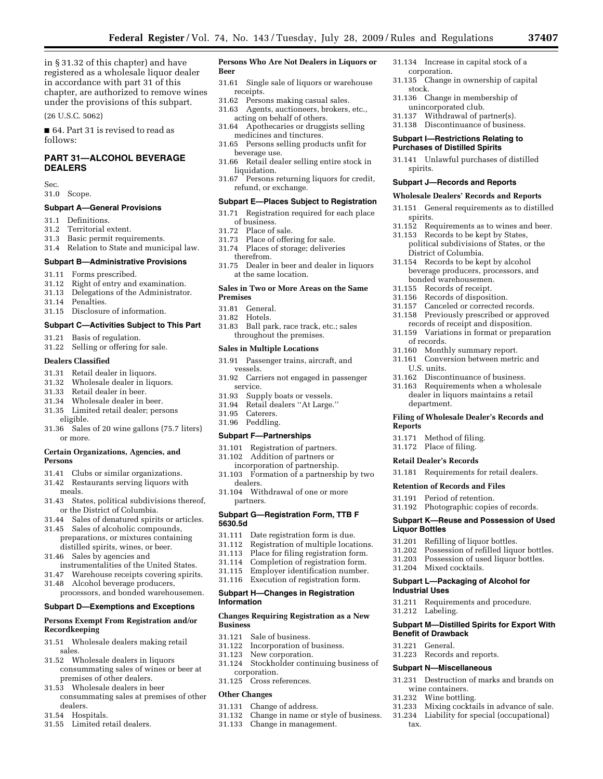in § 31.32 of this chapter) and have registered as a wholesale liquor dealer in accordance with part 31 of this chapter, are authorized to remove wines under the provisions of this subpart.

(26 U.S.C. 5062)

■ 64. Part 31 is revised to read as follows:

## **PART 31—ALCOHOL BEVERAGE DEALERS**

Sec.

31.0 Scope.

## **Subpart A—General Provisions**

- 31.1 Definitions.
- 31.2 Territorial extent.
- 31.3 Basic permit requirements.
- 31.4 Relation to State and municipal law.

## **Subpart B—Administrative Provisions**

- 31.11 Forms prescribed.
- 31.12 Right of entry and examination.
- 31.13 Delegations of the Administrator.
- 31.14 Penalties.
- 31.15 Disclosure of information.

## **Subpart C—Activities Subject to This Part**

- 31.21 Basis of regulation.
- 31.22 Selling or offering for sale.

## **Dealers Classified**

- 31.31 Retail dealer in liquors.<br>31.32 Wholesale dealer in liqu
- Wholesale dealer in liquors.
- 31.33 Retail dealer in beer.
- 31.34 Wholesale dealer in beer.
- 31.35 Limited retail dealer; persons eligible.
- 31.36 Sales of 20 wine gallons (75.7 liters) or more.

## **Certain Organizations, Agencies, and Persons**

- 31.41 Clubs or similar organizations.
- 31.42 Restaurants serving liquors with meals.
- 31.43 States, political subdivisions thereof, or the District of Columbia.
- 31.44 Sales of denatured spirits or articles.
- 31.45 Sales of alcoholic compounds, preparations, or mixtures containing distilled spirits, wines, or beer.
- 31.46 Sales by agencies and instrumentalities of the United States.
- 31.47 Warehouse receipts covering spirits.
- 31.48 Alcohol beverage producers,
- processors, and bonded warehousemen.

#### **Subpart D—Exemptions and Exceptions**

## **Persons Exempt From Registration and/or Recordkeeping**

- 31.51 Wholesale dealers making retail sales.
- 31.52 Wholesale dealers in liquors consummating sales of wines or beer at premises of other dealers.
- 31.53 Wholesale dealers in beer consummating sales at premises of other dealers.
- 31.54 Hospitals.
- 31.55 Limited retail dealers.

#### **Persons Who Are Not Dealers in Liquors or Beer**

- 31.61 Single sale of liquors or warehouse receipts.
- 31.62 Persons making casual sales.<br>31.63 Agents, auctioneers, brokers.
- Agents, auctioneers, brokers, etc., acting on behalf of others.
- 31.64 Apothecaries or druggists selling medicines and tinctures.
- 31.65 Persons selling products unfit for beverage use.
- 31.66 Retail dealer selling entire stock in liquidation.
- 31.67 Persons returning liquors for credit, refund, or exchange.

#### **Subpart E—Places Subject to Registration**

- 31.71 Registration required for each place of business.
- 31.72 Place of sale.<br>31.73 Place of offer
- Place of offering for sale.
- 31.74 Places of storage; deliveries therefrom.
- 31.75 Dealer in beer and dealer in liquors at the same location.

## **Sales in Two or More Areas on the Same Premises**

- 31.81 General.
- 31.82 Hotels.
- 31.83 Ball park, race track, etc.; sales throughout the premises.

#### **Sales in Multiple Locations**

- 31.91 Passenger trains, aircraft, and vessels.
- 31.92 Carriers not engaged in passenger service.
- 31.93 Supply boats or vessels.
- 31.94 Retail dealers ''At Large.''
- 31.95 Caterers.
- 31.96 Peddling.

#### **Subpart F—Partnerships**

- 31.101 Registration of partners.
- 31.102 Addition of partners or incorporation of partnership.
- 31.103 Formation of a partnership by two dealers.
- 31.104 Withdrawal of one or more partners.

## **Subpart G—Registration Form, TTB F 5630.5d**

- 31.111 Date registration form is due.<br>31.112 Registration of multiple locat
- 31.112 Registration of multiple locations.<br>31.113 Place for filing registration form.
- 31.113 Place for filing registration form.
- Completion of registration form.
- 31.115 Employer identification number.
- 31.116 Execution of registration form.

## **Subpart H—Changes in Registration Information**

#### **Changes Requiring Registration as a New Business**

- 31.121 Sale of business.
- 31.122 Incorporation of business.<br>31.123 New corporation.
- New corporation.
- 31.124 Stockholder continuing business of corporation.
- 31.125 Cross references.

## **Other Changes**

- 31.131 Change of address.
- 31.132 Change in name or style of business.
- Change in management.
- 31.134 Increase in capital stock of a corporation.
- 31.135 Change in ownership of capital stock.
- 31.136 Change in membership of unincorporated club.
- 31.137 Withdrawal of partner(s).
- 31.138 Discontinuance of business.

## **Subpart I—Restrictions Relating to Purchases of Distilled Spirits**

**Subpart J—Records and Reports Wholesale Dealers' Records and Reports**  31.151 General requirements as to distilled

District of Columbia. 31.154 Records to be kept by alcohol beverage producers, processors, and

bonded warehousemen. 31.155 Records of receipt. 31.156 Records of disposition.

31.160 Monthly summary report. 31.161 Conversion between metric and

31.162 Discontinuance of business. 31.163 Requirements when a wholesale dealer in liquors maintains a retail

**Filing of Wholesale Dealer's Records and** 

31.181 Requirements for retail dealers.

31.192 Photographic copies of records. **Subpart K—Reuse and Possession of Used** 

31.202 Possession of refilled liquor bottles. 31.203 Possession of used liquor bottles.<br>31.204 Mixed cocktails. Mixed cocktails. **Subpart L—Packaging of Alcohol for** 

**Subpart M—Distilled Spirits for Export With** 

31.231 Destruction of marks and brands on

31.234 Liability for special (occupational)

Mixing cocktails in advance of sale.

31.201 Refilling of liquor bottles.

31.211 Requirements and procedure.

spirits.

of records.

U.S. units.

department.

31.171 Method of filing. 31.172 Place of filing. **Retail Dealer's Records** 

**Retention of Records and Files**  31.191 Period of retention.

**Reports** 

**Liquor Bottles** 

**Industrial Uses** 

31.212 Labeling.

**Benefit of Drawback**  31.221 General.

31.223 Records and reports. **Subpart N—Miscellaneous** 

wine containers. 31.232 Wine bottling.

tax.

31.141 Unlawful purchases of distilled spirits.

31.152 Requirements as to wines and beer. 31.153 Records to be kept by States, political subdivisions of States, or the

Canceled or corrected records. 31.158 Previously prescribed or approved records of receipt and disposition. 31.159 Variations in format or preparation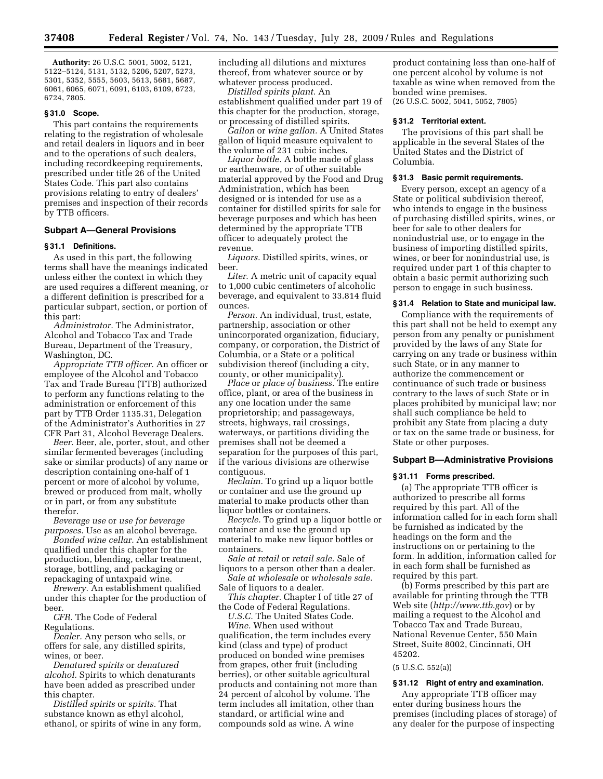**Authority:** 26 U.S.C. 5001, 5002, 5121, 5122–5124, 5131, 5132, 5206, 5207, 5273, 5301, 5352, 5555, 5603, 5613, 5681, 5687, 6061, 6065, 6071, 6091, 6103, 6109, 6723, 6724, 7805.

#### **§ 31.0 Scope.**

This part contains the requirements relating to the registration of wholesale and retail dealers in liquors and in beer and to the operations of such dealers, including recordkeeping requirements, prescribed under title 26 of the United States Code. This part also contains provisions relating to entry of dealers' premises and inspection of their records by TTB officers.

## **Subpart A—General Provisions**

## **§ 31.1 Definitions.**

As used in this part, the following terms shall have the meanings indicated unless either the context in which they are used requires a different meaning, or a different definition is prescribed for a particular subpart, section, or portion of this part:

*Administrator.* The Administrator, Alcohol and Tobacco Tax and Trade Bureau, Department of the Treasury, Washington, DC.

*Appropriate TTB officer.* An officer or employee of the Alcohol and Tobacco Tax and Trade Bureau (TTB) authorized to perform any functions relating to the administration or enforcement of this part by TTB Order 1135.31, Delegation of the Administrator's Authorities in 27 CFR Part 31, Alcohol Beverage Dealers.

*Beer.* Beer, ale, porter, stout, and other similar fermented beverages (including sake or similar products) of any name or description containing one-half of 1 percent or more of alcohol by volume, brewed or produced from malt, wholly or in part, or from any substitute therefor.

*Beverage use* or *use for beverage purposes.* Use as an alcohol beverage.

*Bonded wine cellar.* An establishment qualified under this chapter for the production, blending, cellar treatment, storage, bottling, and packaging or repackaging of untaxpaid wine.

*Brewery.* An establishment qualified under this chapter for the production of beer.

*CFR.* The Code of Federal Regulations.

*Dealer.* Any person who sells, or offers for sale, any distilled spirits, wines, or beer.

*Denatured spirits* or *denatured alcohol.* Spirits to which denaturants have been added as prescribed under this chapter.

*Distilled spirits* or *spirits.* That substance known as ethyl alcohol, ethanol, or spirits of wine in any form, including all dilutions and mixtures thereof, from whatever source or by whatever process produced.

*Distilled spirits plant.* An establishment qualified under part 19 of this chapter for the production, storage, or processing of distilled spirits.

*Gallon* or *wine gallon.* A United States gallon of liquid measure equivalent to the volume of 231 cubic inches.

*Liquor bottle.* A bottle made of glass or earthenware, or of other suitable material approved by the Food and Drug Administration, which has been designed or is intended for use as a container for distilled spirits for sale for beverage purposes and which has been determined by the appropriate TTB officer to adequately protect the revenue.

*Liquors.* Distilled spirits, wines, or beer.

*Liter.* A metric unit of capacity equal to 1,000 cubic centimeters of alcoholic beverage, and equivalent to 33.814 fluid ounces.

*Person.* An individual, trust, estate, partnership, association or other unincorporated organization, fiduciary, company, or corporation, the District of Columbia, or a State or a political subdivision thereof (including a city, county, or other municipality).

*Place* or *place of business.* The entire office, plant, or area of the business in any one location under the same proprietorship; and passageways, streets, highways, rail crossings, waterways, or partitions dividing the premises shall not be deemed a separation for the purposes of this part, if the various divisions are otherwise contiguous.

*Reclaim.* To grind up a liquor bottle or container and use the ground up material to make products other than liquor bottles or containers.

*Recycle.* To grind up a liquor bottle or container and use the ground up material to make new liquor bottles or containers.

*Sale at retail* or *retail sale.* Sale of liquors to a person other than a dealer.

*Sale at wholesale* or *wholesale sale.*  Sale of liquors to a dealer.

*This chapter.* Chapter I of title 27 of the Code of Federal Regulations.

*U.S.C.* The United States Code.

*Wine.* When used without qualification, the term includes every kind (class and type) of product produced on bonded wine premises from grapes, other fruit (including berries), or other suitable agricultural products and containing not more than 24 percent of alcohol by volume. The term includes all imitation, other than standard, or artificial wine and compounds sold as wine. A wine

product containing less than one-half of one percent alcohol by volume is not taxable as wine when removed from the bonded wine premises. (26 U.S.C. 5002, 5041, 5052, 7805)

#### **§ 31.2 Territorial extent.**

The provisions of this part shall be applicable in the several States of the United States and the District of Columbia.

#### **§ 31.3 Basic permit requirements.**

Every person, except an agency of a State or political subdivision thereof, who intends to engage in the business of purchasing distilled spirits, wines, or beer for sale to other dealers for nonindustrial use, or to engage in the business of importing distilled spirits, wines, or beer for nonindustrial use, is required under part 1 of this chapter to obtain a basic permit authorizing such person to engage in such business.

#### **§ 31.4 Relation to State and municipal law.**

Compliance with the requirements of this part shall not be held to exempt any person from any penalty or punishment provided by the laws of any State for carrying on any trade or business within such State, or in any manner to authorize the commencement or continuance of such trade or business contrary to the laws of such State or in places prohibited by municipal law; nor shall such compliance be held to prohibit any State from placing a duty or tax on the same trade or business, for State or other purposes.

#### **Subpart B—Administrative Provisions**

## **§ 31.11 Forms prescribed.**

(a) The appropriate TTB officer is authorized to prescribe all forms required by this part. All of the information called for in each form shall be furnished as indicated by the headings on the form and the instructions on or pertaining to the form. In addition, information called for in each form shall be furnished as required by this part.

(b) Forms prescribed by this part are available for printing through the TTB Web site (*http://www.ttb.gov*) or by mailing a request to the Alcohol and Tobacco Tax and Trade Bureau, National Revenue Center, 550 Main Street, Suite 8002, Cincinnati, OH 45202.

(5 U.S.C. 552(a))

## **§ 31.12 Right of entry and examination.**

Any appropriate TTB officer may enter during business hours the premises (including places of storage) of any dealer for the purpose of inspecting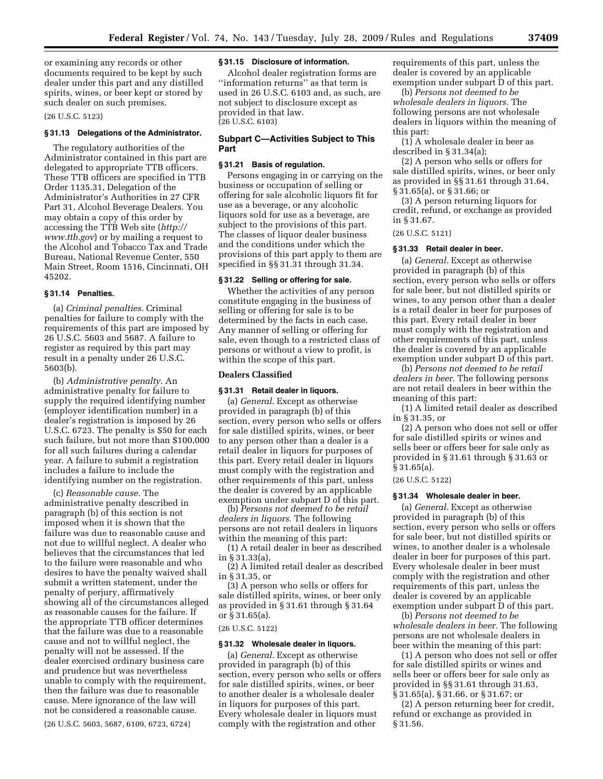or examining any records or other documents required to be kept by such dealer under this part and any distilled spirits, wines, or beer kept or stored by such dealer on such premises.

#### (26 U.S.C. 5123)

#### **§ 31.13 Delegations of the Administrator.**

The regulatory authorities of the Administrator contained in this part are delegated to appropriate TTB officers. These TTB officers are specified in TTB Order 1135.31, Delegation of the Administrator's Authorities in 27 CFR Part 31, Alcohol Beverage Dealers. You may obtain a copy of this order by accessing the TTB Web site (*http:// www.ttb.gov*) or by mailing a request to the Alcohol and Tobacco Tax and Trade Bureau, National Revenue Center, 550 Main Street, Room 1516, Cincinnati, OH 45202.

#### **§ 31.14 Penalties.**

(a) *Criminal penalties.* Criminal penalties for failure to comply with the requirements of this part are imposed by 26 U.S.C. 5603 and 5687. A failure to register as required by this part may result in a penalty under 26 U.S.C. 5603(b).

(b) *Administrative penalty.* An administrative penalty for failure to supply the required identifying number (employer identification number) in a dealer's registration is imposed by 26 U.S.C. 6723. The penalty is \$50 for each such failure, but not more than \$100,000 for all such failures during a calendar year. A failure to submit a registration includes a failure to include the identifying number on the registration.

(c) *Reasonable cause.* The administrative penalty described in paragraph (b) of this section is not imposed when it is shown that the failure was due to reasonable cause and not due to willful neglect. A dealer who believes that the circumstances that led to the failure were reasonable and who desires to have the penalty waived shall submit a written statement, under the penalty of perjury, affirmatively showing all of the circumstances alleged as reasonable causes for the failure. If the appropriate TTB officer determines that the failure was due to a reasonable cause and not to willful neglect, the penalty will not be assessed. If the dealer exercised ordinary business care and prudence but was nevertheless unable to comply with the requirement, then the failure was due to reasonable cause. Mere ignorance of the law will not be considered a reasonable cause.

(26 U.S.C. 5603, 5687, 6109, 6723, 6724)

#### **§ 31.15 Disclosure of information.**

Alcohol dealer registration forms are ''information returns'' as that term is used in 26 U.S.C. 6103 and, as such, are not subject to disclosure except as provided in that law. (26 U.S.C. 6103)

## **Subpart C—Activities Subject to This Part**

#### **§ 31.21 Basis of regulation.**

Persons engaging in or carrying on the business or occupation of selling or offering for sale alcoholic liquors fit for use as a beverage, or any alcoholic liquors sold for use as a beverage, are subject to the provisions of this part. The classes of liquor dealer business and the conditions under which the provisions of this part apply to them are specified in §§ 31.31 through 31.34.

#### **§ 31.22 Selling or offering for sale.**

Whether the activities of any person constitute engaging in the business of selling or offering for sale is to be determined by the facts in each case. Any manner of selling or offering for sale, even though to a restricted class of persons or without a view to profit, is within the scope of this part.

#### **Dealers Classified**

#### **§ 31.31 Retail dealer in liquors.**

(a) *General.* Except as otherwise provided in paragraph (b) of this section, every person who sells or offers for sale distilled spirits, wines, or beer to any person other than a dealer is a retail dealer in liquors for purposes of this part. Every retail dealer in liquors must comply with the registration and other requirements of this part, unless the dealer is covered by an applicable exemption under subpart D of this part.

(b) *Persons not deemed to be retail dealers in liquors.* The following persons are not retail dealers in liquors within the meaning of this part:

(1) A retail dealer in beer as described in § 31.33(a),

(2) A limited retail dealer as described in § 31.35, or

(3) A person who sells or offers for sale distilled spirits, wines, or beer only as provided in § 31.61 through § 31.64 or § 31.65(a).

## (26 U.S.C. 5122)

#### **§ 31.32 Wholesale dealer in liquors.**

(a) *General.* Except as otherwise provided in paragraph (b) of this section, every person who sells or offers for sale distilled spirits, wines, or beer to another dealer is a wholesale dealer in liquors for purposes of this part. Every wholesale dealer in liquors must comply with the registration and other

requirements of this part, unless the dealer is covered by an applicable exemption under subpart D of this part.

(b) *Persons not deemed to be wholesale dealers in liquors.* The following persons are not wholesale dealers in liquors within the meaning of this part:

(1) A wholesale dealer in beer as described in § 31.34(a);

(2) A person who sells or offers for sale distilled spirits, wines, or beer only as provided in §§ 31.61 through 31.64, § 31.65(a), or § 31.66; or

(3) A person returning liquors for credit, refund, or exchange as provided in § 31.67.

## (26 U.S.C. 5121)

#### **§ 31.33 Retail dealer in beer.**

(a) *General.* Except as otherwise provided in paragraph (b) of this section, every person who sells or offers for sale beer, but not distilled spirits or wines, to any person other than a dealer is a retail dealer in beer for purposes of this part. Every retail dealer in beer must comply with the registration and other requirements of this part, unless the dealer is covered by an applicable exemption under subpart D of this part.

(b) *Persons not deemed to be retail dealers in beer.* The following persons are not retail dealers in beer within the meaning of this part:

(1) A limited retail dealer as described in § 31.35, or

(2) A person who does not sell or offer for sale distilled spirits or wines and sells beer or offers beer for sale only as provided in § 31.61 through § 31.63 or § 31.65(a).

## (26 U.S.C. 5122)

#### **§ 31.34 Wholesale dealer in beer.**

(a) *General.* Except as otherwise provided in paragraph (b) of this section, every person who sells or offers for sale beer, but not distilled spirits or wines, to another dealer is a wholesale dealer in beer for purposes of this part. Every wholesale dealer in beer must comply with the registration and other requirements of this part, unless the dealer is covered by an applicable exemption under subpart D of this part.

(b) *Persons not deemed to be wholesale dealers in beer.* The following persons are not wholesale dealers in beer within the meaning of this part:

(1) A person who does not sell or offer for sale distilled spirits or wines and sells beer or offers beer for sale only as provided in §§ 31.61 through 31.63, § 31.65(a), § 31.66, or § 31.67; or

(2) A person returning beer for credit, refund or exchange as provided in § 31.56.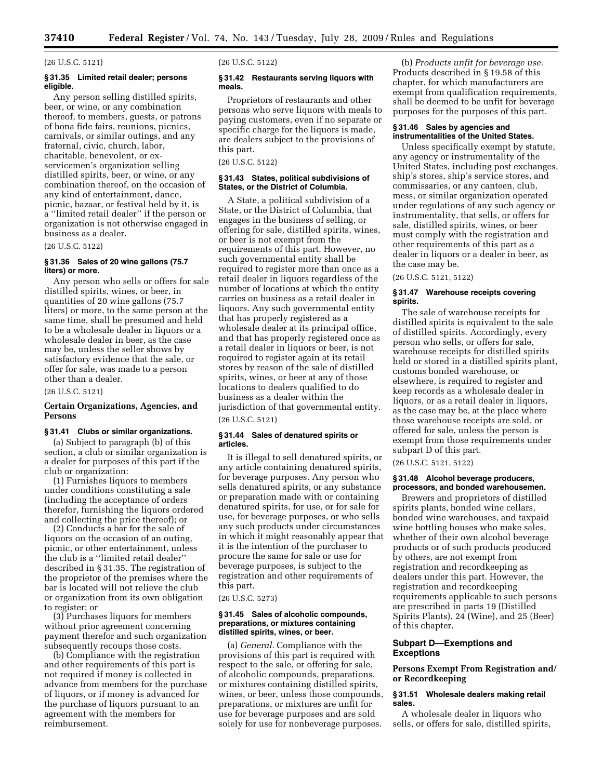#### (26 U.S.C. 5121)

## **§ 31.35 Limited retail dealer; persons eligible.**

Any person selling distilled spirits, beer, or wine, or any combination thereof, to members, guests, or patrons of bona fide fairs, reunions, picnics, carnivals, or similar outings, and any fraternal, civic, church, labor, charitable, benevolent, or exservicemen's organization selling distilled spirits, beer, or wine, or any combination thereof, on the occasion of any kind of entertainment, dance, picnic, bazaar, or festival held by it, is a ''limited retail dealer'' if the person or organization is not otherwise engaged in business as a dealer.

(26 U.S.C. 5122)

## **§ 31.36 Sales of 20 wine gallons (75.7 liters) or more.**

Any person who sells or offers for sale distilled spirits, wines, or beer, in quantities of 20 wine gallons (75.7 liters) or more, to the same person at the same time, shall be presumed and held to be a wholesale dealer in liquors or a wholesale dealer in beer, as the case may be, unless the seller shows by satisfactory evidence that the sale, or offer for sale, was made to a person other than a dealer.

(26 U.S.C. 5121)

## **Certain Organizations, Agencies, and Persons**

## **§ 31.41 Clubs or similar organizations.**

(a) Subject to paragraph (b) of this section, a club or similar organization is a dealer for purposes of this part if the club or organization:

(1) Furnishes liquors to members under conditions constituting a sale (including the acceptance of orders therefor, furnishing the liquors ordered and collecting the price thereof); or

(2) Conducts a bar for the sale of liquors on the occasion of an outing, picnic, or other entertainment, unless the club is a ''limited retail dealer'' described in § 31.35. The registration of the proprietor of the premises where the bar is located will not relieve the club or organization from its own obligation to register; or

(3) Purchases liquors for members without prior agreement concerning payment therefor and such organization subsequently recoups those costs.

(b) Compliance with the registration and other requirements of this part is not required if money is collected in advance from members for the purchase of liquors, or if money is advanced for the purchase of liquors pursuant to an agreement with the members for reimbursement.

(26 U.S.C. 5122)

#### **§ 31.42 Restaurants serving liquors with meals.**

Proprietors of restaurants and other persons who serve liquors with meals to paying customers, even if no separate or specific charge for the liquors is made, are dealers subject to the provisions of this part.

(26 U.S.C. 5122)

## **§ 31.43 States, political subdivisions of States, or the District of Columbia.**

A State, a political subdivision of a State, or the District of Columbia, that engages in the business of selling, or offering for sale, distilled spirits, wines, or beer is not exempt from the requirements of this part. However, no such governmental entity shall be required to register more than once as a retail dealer in liquors regardless of the number of locations at which the entity carries on business as a retail dealer in liquors. Any such governmental entity that has properly registered as a wholesale dealer at its principal office, and that has properly registered once as a retail dealer in liquors or beer, is not required to register again at its retail stores by reason of the sale of distilled spirits, wines, or beer at any of those locations to dealers qualified to do business as a dealer within the jurisdiction of that governmental entity.

#### (26 U.S.C. 5121)

#### **§ 31.44 Sales of denatured spirits or articles.**

It is illegal to sell denatured spirits, or any article containing denatured spirits, for beverage purposes. Any person who sells denatured spirits, or any substance or preparation made with or containing denatured spirits, for use, or for sale for use, for beverage purposes, or who sells any such products under circumstances in which it might reasonably appear that it is the intention of the purchaser to procure the same for sale or use for beverage purposes, is subject to the registration and other requirements of this part.

(26 U.S.C. 5273)

#### **§ 31.45 Sales of alcoholic compounds, preparations, or mixtures containing distilled spirits, wines, or beer.**

(a) *General.* Compliance with the provisions of this part is required with respect to the sale, or offering for sale, of alcoholic compounds, preparations, or mixtures containing distilled spirits, wines, or beer, unless those compounds, preparations, or mixtures are unfit for use for beverage purposes and are sold solely for use for nonbeverage purposes.

(b) *Products unfit for beverage use.*  Products described in § 19.58 of this chapter, for which manufacturers are exempt from qualification requirements, shall be deemed to be unfit for beverage purposes for the purposes of this part.

## **§ 31.46 Sales by agencies and instrumentalities of the United States.**

Unless specifically exempt by statute, any agency or instrumentality of the United States, including post exchanges, ship's stores, ship's service stores, and commissaries, or any canteen, club, mess, or similar organization operated under regulations of any such agency or instrumentality, that sells, or offers for sale, distilled spirits, wines, or beer must comply with the registration and other requirements of this part as a dealer in liquors or a dealer in beer, as the case may be.

(26 U.S.C. 5121, 5122)

## **§ 31.47 Warehouse receipts covering spirits.**

The sale of warehouse receipts for distilled spirits is equivalent to the sale of distilled spirits. Accordingly, every person who sells, or offers for sale, warehouse receipts for distilled spirits held or stored in a distilled spirits plant, customs bonded warehouse, or elsewhere, is required to register and keep records as a wholesale dealer in liquors, or as a retail dealer in liquors, as the case may be, at the place where those warehouse receipts are sold, or offered for sale, unless the person is exempt from those requirements under subpart D of this part.

(26 U.S.C. 5121, 5122)

## **§ 31.48 Alcohol beverage producers, processors, and bonded warehousemen.**

Brewers and proprietors of distilled spirits plants, bonded wine cellars, bonded wine warehouses, and taxpaid wine bottling houses who make sales, whether of their own alcohol beverage products or of such products produced by others, are not exempt from registration and recordkeeping as dealers under this part. However, the registration and recordkeeping requirements applicable to such persons are prescribed in parts 19 (Distilled Spirits Plants), 24 (Wine), and 25 (Beer) of this chapter.

## **Subpart D—Exemptions and Exceptions**

## **Persons Exempt From Registration and/ or Recordkeeping**

## **§ 31.51 Wholesale dealers making retail sales.**

A wholesale dealer in liquors who sells, or offers for sale, distilled spirits,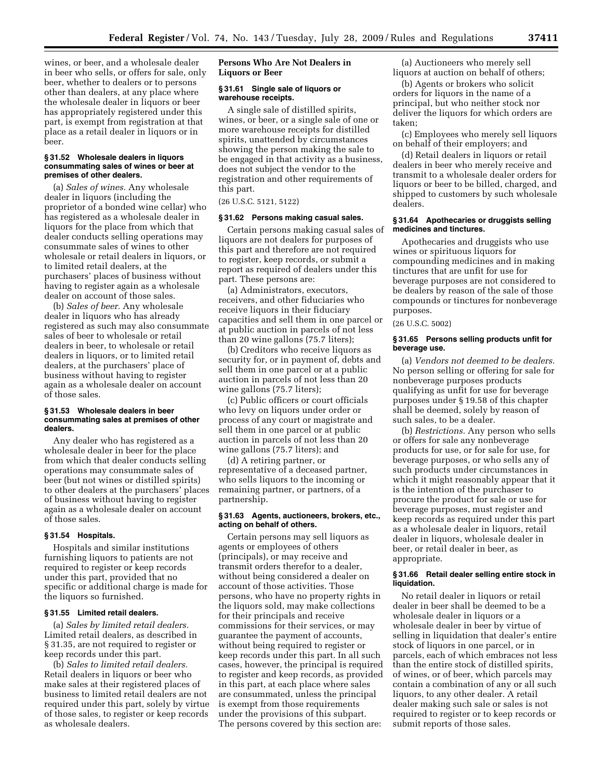wines, or beer, and a wholesale dealer in beer who sells, or offers for sale, only beer, whether to dealers or to persons other than dealers, at any place where the wholesale dealer in liquors or beer has appropriately registered under this part, is exempt from registration at that place as a retail dealer in liquors or in beer.

#### **§ 31.52 Wholesale dealers in liquors consummating sales of wines or beer at premises of other dealers.**

(a) *Sales of wines.* Any wholesale dealer in liquors (including the proprietor of a bonded wine cellar) who has registered as a wholesale dealer in liquors for the place from which that dealer conducts selling operations may consummate sales of wines to other wholesale or retail dealers in liquors, or to limited retail dealers, at the purchasers' places of business without having to register again as a wholesale dealer on account of those sales.

(b) *Sales of beer.* Any wholesale dealer in liquors who has already registered as such may also consummate sales of beer to wholesale or retail dealers in beer, to wholesale or retail dealers in liquors, or to limited retail dealers, at the purchasers' place of business without having to register again as a wholesale dealer on account of those sales.

## **§ 31.53 Wholesale dealers in beer consummating sales at premises of other dealers.**

Any dealer who has registered as a wholesale dealer in beer for the place from which that dealer conducts selling operations may consummate sales of beer (but not wines or distilled spirits) to other dealers at the purchasers' places of business without having to register again as a wholesale dealer on account of those sales.

## **§ 31.54 Hospitals.**

Hospitals and similar institutions furnishing liquors to patients are not required to register or keep records under this part, provided that no specific or additional charge is made for the liquors so furnished.

## **§ 31.55 Limited retail dealers.**

(a) *Sales by limited retail dealers.*  Limited retail dealers, as described in § 31.35, are not required to register or keep records under this part.

(b) *Sales to limited retail dealers.*  Retail dealers in liquors or beer who make sales at their registered places of business to limited retail dealers are not required under this part, solely by virtue of those sales, to register or keep records as wholesale dealers.

## **Persons Who Are Not Dealers in Liquors or Beer**

## **§ 31.61 Single sale of liquors or warehouse receipts.**

A single sale of distilled spirits, wines, or beer, or a single sale of one or more warehouse receipts for distilled spirits, unattended by circumstances showing the person making the sale to be engaged in that activity as a business, does not subject the vendor to the registration and other requirements of this part.

(26 U.S.C. 5121, 5122)

## **§ 31.62 Persons making casual sales.**

Certain persons making casual sales of liquors are not dealers for purposes of this part and therefore are not required to register, keep records, or submit a report as required of dealers under this part. These persons are:

(a) Administrators, executors, receivers, and other fiduciaries who receive liquors in their fiduciary capacities and sell them in one parcel or at public auction in parcels of not less than 20 wine gallons (75.7 liters);

(b) Creditors who receive liquors as security for, or in payment of, debts and sell them in one parcel or at a public auction in parcels of not less than 20 wine gallons (75.7 liters);

(c) Public officers or court officials who levy on liquors under order or process of any court or magistrate and sell them in one parcel or at public auction in parcels of not less than 20 wine gallons (75.7 liters); and

(d) A retiring partner, or representative of a deceased partner, who sells liquors to the incoming or remaining partner, or partners, of a partnership.

#### **§ 31.63 Agents, auctioneers, brokers, etc., acting on behalf of others.**

Certain persons may sell liquors as agents or employees of others (principals), or may receive and transmit orders therefor to a dealer, without being considered a dealer on account of those activities. Those persons, who have no property rights in the liquors sold, may make collections for their principals and receive commissions for their services, or may guarantee the payment of accounts, without being required to register or keep records under this part. In all such cases, however, the principal is required to register and keep records, as provided in this part, at each place where sales are consummated, unless the principal is exempt from those requirements under the provisions of this subpart. The persons covered by this section are:

(a) Auctioneers who merely sell liquors at auction on behalf of others;

(b) Agents or brokers who solicit orders for liquors in the name of a principal, but who neither stock nor deliver the liquors for which orders are taken;

(c) Employees who merely sell liquors on behalf of their employers; and

(d) Retail dealers in liquors or retail dealers in beer who merely receive and transmit to a wholesale dealer orders for liquors or beer to be billed, charged, and shipped to customers by such wholesale dealers.

## **§ 31.64 Apothecaries or druggists selling medicines and tinctures.**

Apothecaries and druggists who use wines or spirituous liquors for compounding medicines and in making tinctures that are unfit for use for beverage purposes are not considered to be dealers by reason of the sale of those compounds or tinctures for nonbeverage purposes.

(26 U.S.C. 5002)

#### **§ 31.65 Persons selling products unfit for beverage use.**

(a) *Vendors not deemed to be dealers.*  No person selling or offering for sale for nonbeverage purposes products qualifying as unfit for use for beverage purposes under § 19.58 of this chapter shall be deemed, solely by reason of such sales, to be a dealer.

(b) *Restrictions.* Any person who sells or offers for sale any nonbeverage products for use, or for sale for use, for beverage purposes, or who sells any of such products under circumstances in which it might reasonably appear that it is the intention of the purchaser to procure the product for sale or use for beverage purposes, must register and keep records as required under this part as a wholesale dealer in liquors, retail dealer in liquors, wholesale dealer in beer, or retail dealer in beer, as appropriate.

## **§ 31.66 Retail dealer selling entire stock in liquidation.**

No retail dealer in liquors or retail dealer in beer shall be deemed to be a wholesale dealer in liquors or a wholesale dealer in beer by virtue of selling in liquidation that dealer's entire stock of liquors in one parcel, or in parcels, each of which embraces not less than the entire stock of distilled spirits, of wines, or of beer, which parcels may contain a combination of any or all such liquors, to any other dealer. A retail dealer making such sale or sales is not required to register or to keep records or submit reports of those sales.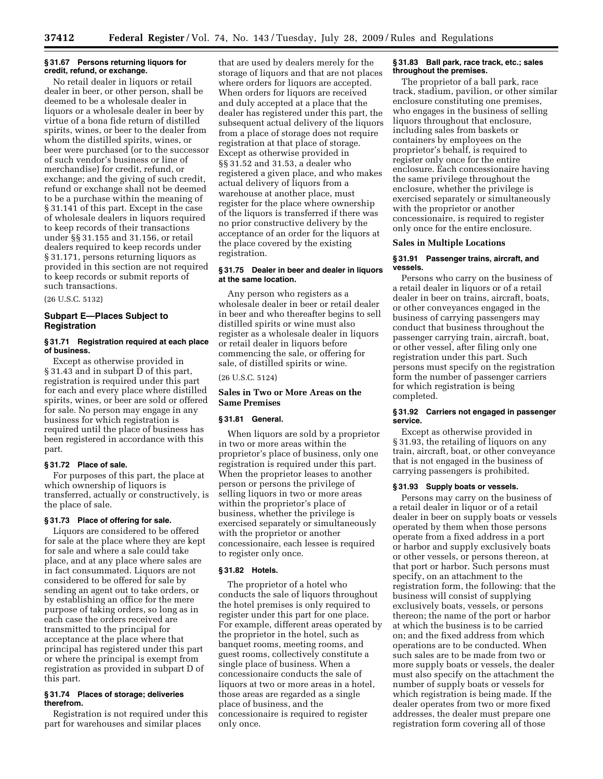#### **§ 31.67 Persons returning liquors for credit, refund, or exchange.**

No retail dealer in liquors or retail dealer in beer, or other person, shall be deemed to be a wholesale dealer in liquors or a wholesale dealer in beer by virtue of a bona fide return of distilled spirits, wines, or beer to the dealer from whom the distilled spirits, wines, or beer were purchased (or to the successor of such vendor's business or line of merchandise) for credit, refund, or exchange; and the giving of such credit, refund or exchange shall not be deemed to be a purchase within the meaning of § 31.141 of this part. Except in the case of wholesale dealers in liquors required to keep records of their transactions under §§ 31.155 and 31.156, or retail dealers required to keep records under § 31.171, persons returning liquors as provided in this section are not required to keep records or submit reports of such transactions.

(26 U.S.C. 5132)

## **Subpart E—Places Subject to Registration**

## **§ 31.71 Registration required at each place of business.**

Except as otherwise provided in § 31.43 and in subpart D of this part, registration is required under this part for each and every place where distilled spirits, wines, or beer are sold or offered for sale. No person may engage in any business for which registration is required until the place of business has been registered in accordance with this part.

## **§ 31.72 Place of sale.**

For purposes of this part, the place at which ownership of liquors is transferred, actually or constructively, is the place of sale.

#### **§ 31.73 Place of offering for sale.**

Liquors are considered to be offered for sale at the place where they are kept for sale and where a sale could take place, and at any place where sales are in fact consummated. Liquors are not considered to be offered for sale by sending an agent out to take orders, or by establishing an office for the mere purpose of taking orders, so long as in each case the orders received are transmitted to the principal for acceptance at the place where that principal has registered under this part or where the principal is exempt from registration as provided in subpart D of this part.

## **§ 31.74 Places of storage; deliveries therefrom.**

Registration is not required under this part for warehouses and similar places

that are used by dealers merely for the storage of liquors and that are not places where orders for liquors are accepted. When orders for liquors are received and duly accepted at a place that the dealer has registered under this part, the subsequent actual delivery of the liquors from a place of storage does not require registration at that place of storage. Except as otherwise provided in §§ 31.52 and 31.53, a dealer who registered a given place, and who makes actual delivery of liquors from a warehouse at another place, must register for the place where ownership of the liquors is transferred if there was no prior constructive delivery by the acceptance of an order for the liquors at the place covered by the existing registration.

## **§ 31.75 Dealer in beer and dealer in liquors at the same location.**

Any person who registers as a wholesale dealer in beer or retail dealer in beer and who thereafter begins to sell distilled spirits or wine must also register as a wholesale dealer in liquors or retail dealer in liquors before commencing the sale, or offering for sale, of distilled spirits or wine.

## (26 U.S.C. 5124)

## **Sales in Two or More Areas on the Same Premises**

## **§ 31.81 General.**

When liquors are sold by a proprietor in two or more areas within the proprietor's place of business, only one registration is required under this part. When the proprietor leases to another person or persons the privilege of selling liquors in two or more areas within the proprietor's place of business, whether the privilege is exercised separately or simultaneously with the proprietor or another concessionaire, each lessee is required to register only once.

#### **§ 31.82 Hotels.**

The proprietor of a hotel who conducts the sale of liquors throughout the hotel premises is only required to register under this part for one place. For example, different areas operated by the proprietor in the hotel, such as banquet rooms, meeting rooms, and guest rooms, collectively constitute a single place of business. When a concessionaire conducts the sale of liquors at two or more areas in a hotel, those areas are regarded as a single place of business, and the concessionaire is required to register only once.

#### **§ 31.83 Ball park, race track, etc.; sales throughout the premises.**

The proprietor of a ball park, race track, stadium, pavilion, or other similar enclosure constituting one premises, who engages in the business of selling liquors throughout that enclosure, including sales from baskets or containers by employees on the proprietor's behalf, is required to register only once for the entire enclosure. Each concessionaire having the same privilege throughout the enclosure, whether the privilege is exercised separately or simultaneously with the proprietor or another concessionaire, is required to register only once for the entire enclosure.

#### **Sales in Multiple Locations**

#### **§ 31.91 Passenger trains, aircraft, and vessels.**

Persons who carry on the business of a retail dealer in liquors or of a retail dealer in beer on trains, aircraft, boats, or other conveyances engaged in the business of carrying passengers may conduct that business throughout the passenger carrying train, aircraft, boat, or other vessel, after filing only one registration under this part. Such persons must specify on the registration form the number of passenger carriers for which registration is being completed.

#### **§ 31.92 Carriers not engaged in passenger service.**

Except as otherwise provided in § 31.93, the retailing of liquors on any train, aircraft, boat, or other conveyance that is not engaged in the business of carrying passengers is prohibited.

#### **§ 31.93 Supply boats or vessels.**

Persons may carry on the business of a retail dealer in liquor or of a retail dealer in beer on supply boats or vessels operated by them when those persons operate from a fixed address in a port or harbor and supply exclusively boats or other vessels, or persons thereon, at that port or harbor. Such persons must specify, on an attachment to the registration form, the following: that the business will consist of supplying exclusively boats, vessels, or persons thereon; the name of the port or harbor at which the business is to be carried on; and the fixed address from which operations are to be conducted. When such sales are to be made from two or more supply boats or vessels, the dealer must also specify on the attachment the number of supply boats or vessels for which registration is being made. If the dealer operates from two or more fixed addresses, the dealer must prepare one registration form covering all of those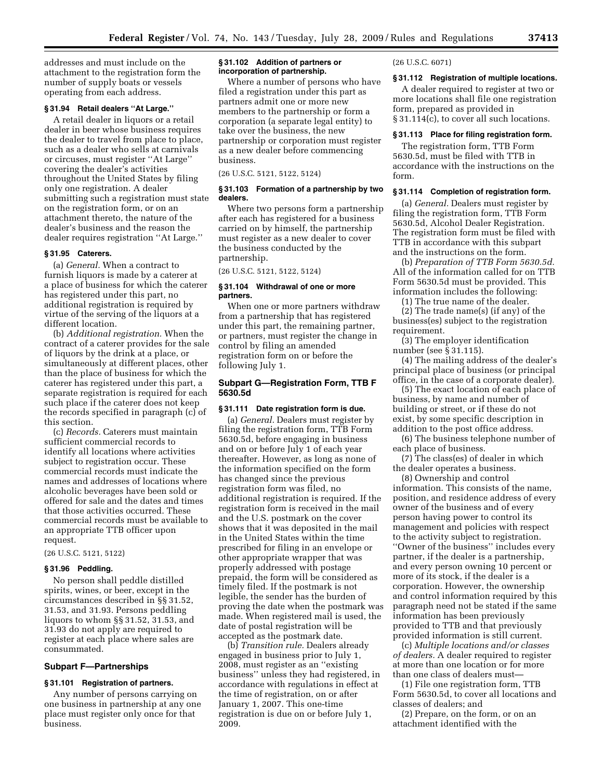addresses and must include on the attachment to the registration form the number of supply boats or vessels operating from each address.

## **§ 31.94 Retail dealers ''At Large.''**

A retail dealer in liquors or a retail dealer in beer whose business requires the dealer to travel from place to place, such as a dealer who sells at carnivals or circuses, must register ''At Large'' covering the dealer's activities throughout the United States by filing only one registration. A dealer submitting such a registration must state on the registration form, or on an attachment thereto, the nature of the dealer's business and the reason the dealer requires registration ''At Large.''

## **§ 31.95 Caterers.**

(a) *General.* When a contract to furnish liquors is made by a caterer at a place of business for which the caterer has registered under this part, no additional registration is required by virtue of the serving of the liquors at a different location.

(b) *Additional registration.* When the contract of a caterer provides for the sale of liquors by the drink at a place, or simultaneously at different places, other than the place of business for which the caterer has registered under this part, a separate registration is required for each such place if the caterer does not keep the records specified in paragraph (c) of this section.

(c) *Records.* Caterers must maintain sufficient commercial records to identify all locations where activities subject to registration occur. These commercial records must indicate the names and addresses of locations where alcoholic beverages have been sold or offered for sale and the dates and times that those activities occurred. These commercial records must be available to an appropriate TTB officer upon request.

(26 U.S.C. 5121, 5122)

## **§ 31.96 Peddling.**

No person shall peddle distilled spirits, wines, or beer, except in the circumstances described in §§ 31.52, 31.53, and 31.93. Persons peddling liquors to whom §§ 31.52, 31.53, and 31.93 do not apply are required to register at each place where sales are consummated.

#### **Subpart F—Partnerships**

## **§ 31.101 Registration of partners.**

Any number of persons carrying on one business in partnership at any one place must register only once for that business.

#### **§ 31.102 Addition of partners or incorporation of partnership.**

Where a number of persons who have filed a registration under this part as partners admit one or more new members to the partnership or form a corporation (a separate legal entity) to take over the business, the new partnership or corporation must register as a new dealer before commencing business.

(26 U.S.C. 5121, 5122, 5124)

## **§ 31.103 Formation of a partnership by two dealers.**

Where two persons form a partnership after each has registered for a business carried on by himself, the partnership must register as a new dealer to cover the business conducted by the partnership.

(26 U.S.C. 5121, 5122, 5124)

#### **§ 31.104 Withdrawal of one or more partners.**

When one or more partners withdraw from a partnership that has registered under this part, the remaining partner, or partners, must register the change in control by filing an amended registration form on or before the following July 1.

## **Subpart G—Registration Form, TTB F 5630.5d**

#### **§ 31.111 Date registration form is due.**

(a) *General.* Dealers must register by filing the registration form, TTB Form 5630.5d, before engaging in business and on or before July 1 of each year thereafter. However, as long as none of the information specified on the form has changed since the previous registration form was filed, no additional registration is required. If the registration form is received in the mail and the U.S. postmark on the cover shows that it was deposited in the mail in the United States within the time prescribed for filing in an envelope or other appropriate wrapper that was properly addressed with postage prepaid, the form will be considered as timely filed. If the postmark is not legible, the sender has the burden of proving the date when the postmark was made. When registered mail is used, the date of postal registration will be accepted as the postmark date.

(b) *Transition rule.* Dealers already engaged in business prior to July 1, 2008, must register as an ''existing business'' unless they had registered, in accordance with regulations in effect at the time of registration, on or after January 1, 2007. This one-time registration is due on or before July 1, 2009.

(26 U.S.C. 6071)

## **§ 31.112 Registration of multiple locations.**

A dealer required to register at two or more locations shall file one registration form, prepared as provided in § 31.114(c), to cover all such locations.

## **§ 31.113 Place for filing registration form.**

The registration form, TTB Form 5630.5d, must be filed with TTB in accordance with the instructions on the form.

## **§ 31.114 Completion of registration form.**

(a) *General.* Dealers must register by filing the registration form, TTB Form 5630.5d, Alcohol Dealer Registration. The registration form must be filed with TTB in accordance with this subpart and the instructions on the form.

(b) *Preparation of TTB Form 5630.5d.*  All of the information called for on TTB Form 5630.5d must be provided. This information includes the following:

(1) The true name of the dealer.

(2) The trade name(s) (if any) of the business(es) subject to the registration requirement.

(3) The employer identification number (see § 31.115).

(4) The mailing address of the dealer's principal place of business (or principal office, in the case of a corporate dealer).

(5) The exact location of each place of business, by name and number of building or street, or if these do not exist, by some specific description in addition to the post office address.

(6) The business telephone number of each place of business.

(7) The class(es) of dealer in which the dealer operates a business.

(8) Ownership and control information. This consists of the name, position, and residence address of every owner of the business and of every person having power to control its management and policies with respect to the activity subject to registration. ''Owner of the business'' includes every partner, if the dealer is a partnership, and every person owning 10 percent or more of its stock, if the dealer is a corporation. However, the ownership and control information required by this paragraph need not be stated if the same information has been previously provided to TTB and that previously provided information is still current.

(c) *Multiple locations and/or classes of dealers.* A dealer required to register at more than one location or for more than one class of dealers must—

(1) File one registration form, TTB Form 5630.5d, to cover all locations and classes of dealers; and

(2) Prepare, on the form, or on an attachment identified with the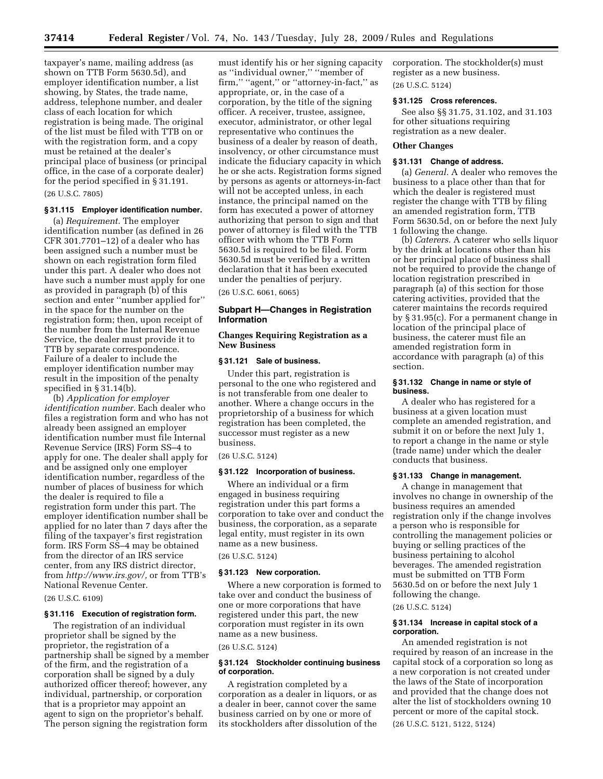taxpayer's name, mailing address (as shown on TTB Form 5630.5d), and employer identification number, a list showing, by States, the trade name, address, telephone number, and dealer class of each location for which registration is being made. The original of the list must be filed with TTB on or with the registration form, and a copy must be retained at the dealer's principal place of business (or principal office, in the case of a corporate dealer) for the period specified in § 31.191.

#### (26 U.S.C. 7805)

## **§ 31.115 Employer identification number.**

(a) *Requirement.* The employer identification number (as defined in 26 CFR 301.7701–12) of a dealer who has been assigned such a number must be shown on each registration form filed under this part. A dealer who does not have such a number must apply for one as provided in paragraph (b) of this section and enter ''number applied for'' in the space for the number on the registration form; then, upon receipt of the number from the Internal Revenue Service, the dealer must provide it to TTB by separate correspondence. Failure of a dealer to include the employer identification number may result in the imposition of the penalty specified in § 31.14(b).

(b) *Application for employer identification number.* Each dealer who files a registration form and who has not already been assigned an employer identification number must file Internal Revenue Service (IRS) Form SS–4 to apply for one. The dealer shall apply for and be assigned only one employer identification number, regardless of the number of places of business for which the dealer is required to file a registration form under this part. The employer identification number shall be applied for no later than 7 days after the filing of the taxpayer's first registration form. IRS Form SS–4 may be obtained from the director of an IRS service center, from any IRS district director, from *http://www.irs.gov/,* or from TTB's National Revenue Center.

## (26 U.S.C. 6109)

#### **§ 31.116 Execution of registration form.**

The registration of an individual proprietor shall be signed by the proprietor, the registration of a partnership shall be signed by a member of the firm, and the registration of a corporation shall be signed by a duly authorized officer thereof; however, any individual, partnership, or corporation that is a proprietor may appoint an agent to sign on the proprietor's behalf. The person signing the registration form

must identify his or her signing capacity as ''individual owner,'' ''member of firm," "agent," or "attorney-in-fact," as appropriate, or, in the case of a corporation, by the title of the signing officer. A receiver, trustee, assignee, executor, administrator, or other legal representative who continues the business of a dealer by reason of death, insolvency, or other circumstance must indicate the fiduciary capacity in which he or she acts. Registration forms signed by persons as agents or attorneys-in-fact will not be accepted unless, in each instance, the principal named on the form has executed a power of attorney authorizing that person to sign and that power of attorney is filed with the TTB officer with whom the TTB Form 5630.5d is required to be filed. Form 5630.5d must be verified by a written declaration that it has been executed under the penalties of perjury.

(26 U.S.C. 6061, 6065)

## **Subpart H—Changes in Registration Information**

## **Changes Requiring Registration as a New Business**

## **§ 31.121 Sale of business.**

Under this part, registration is personal to the one who registered and is not transferable from one dealer to another. Where a change occurs in the proprietorship of a business for which registration has been completed, the successor must register as a new business.

#### (26 U.S.C. 5124)

#### **§ 31.122 Incorporation of business.**

Where an individual or a firm engaged in business requiring registration under this part forms a corporation to take over and conduct the business, the corporation, as a separate legal entity, must register in its own name as a new business.

(26 U.S.C. 5124)

#### **§ 31.123 New corporation.**

Where a new corporation is formed to take over and conduct the business of one or more corporations that have registered under this part, the new corporation must register in its own name as a new business.

#### (26 U.S.C. 5124)

#### **§ 31.124 Stockholder continuing business of corporation.**

A registration completed by a corporation as a dealer in liquors, or as a dealer in beer, cannot cover the same business carried on by one or more of its stockholders after dissolution of the corporation. The stockholder(s) must register as a new business. (26 U.S.C. 5124)

**§ 31.125 Cross references.** 

See also §§ 31.75, 31.102, and 31.103 for other situations requiring registration as a new dealer.

## **Other Changes**

## **§ 31.131 Change of address.**

(a) *General.* A dealer who removes the business to a place other than that for which the dealer is registered must register the change with TTB by filing an amended registration form, TTB Form 5630.5d, on or before the next July 1 following the change.

(b) *Caterers.* A caterer who sells liquor by the drink at locations other than his or her principal place of business shall not be required to provide the change of location registration prescribed in paragraph (a) of this section for those catering activities, provided that the caterer maintains the records required by § 31.95(c). For a permanent change in location of the principal place of business, the caterer must file an amended registration form in accordance with paragraph (a) of this section.

#### **§ 31.132 Change in name or style of business.**

A dealer who has registered for a business at a given location must complete an amended registration, and submit it on or before the next July 1, to report a change in the name or style (trade name) under which the dealer conducts that business.

## **§ 31.133 Change in management.**

A change in management that involves no change in ownership of the business requires an amended registration only if the change involves a person who is responsible for controlling the management policies or buying or selling practices of the business pertaining to alcohol beverages. The amended registration must be submitted on TTB Form 5630.5d on or before the next July 1 following the change.

## (26 U.S.C. 5124)

#### **§ 31.134 Increase in capital stock of a corporation.**

An amended registration is not required by reason of an increase in the capital stock of a corporation so long as a new corporation is not created under the laws of the State of incorporation and provided that the change does not alter the list of stockholders owning 10 percent or more of the capital stock.

(26 U.S.C. 5121, 5122, 5124)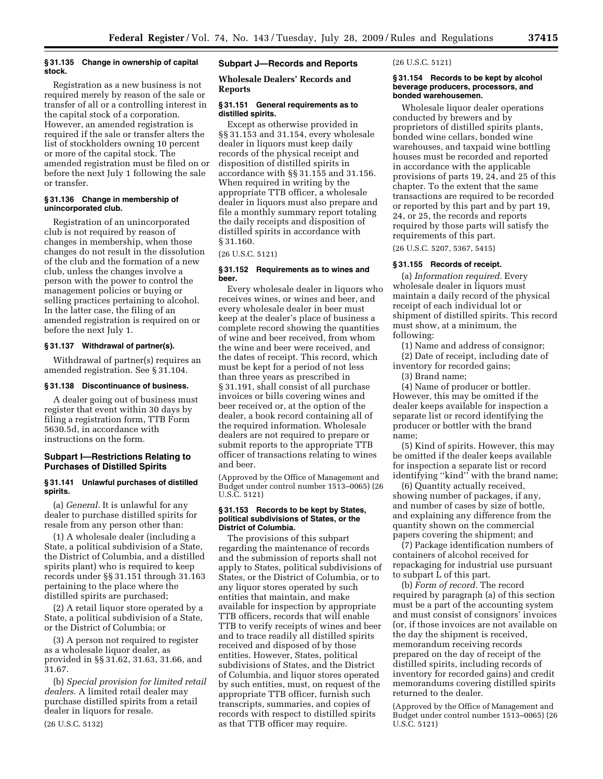#### **§ 31.135 Change in ownership of capital stock.**

Registration as a new business is not required merely by reason of the sale or transfer of all or a controlling interest in the capital stock of a corporation. However, an amended registration is required if the sale or transfer alters the list of stockholders owning 10 percent or more of the capital stock. The amended registration must be filed on or before the next July 1 following the sale or transfer.

#### **§ 31.136 Change in membership of unincorporated club.**

Registration of an unincorporated club is not required by reason of changes in membership, when those changes do not result in the dissolution of the club and the formation of a new club, unless the changes involve a person with the power to control the management policies or buying or selling practices pertaining to alcohol. In the latter case, the filing of an amended registration is required on or before the next July 1.

## **§ 31.137 Withdrawal of partner(s).**

Withdrawal of partner(s) requires an amended registration. See § 31.104.

#### **§ 31.138 Discontinuance of business.**

A dealer going out of business must register that event within 30 days by filing a registration form, TTB Form 5630.5d, in accordance with instructions on the form.

## **Subpart I—Restrictions Relating to Purchases of Distilled Spirits**

## **§ 31.141 Unlawful purchases of distilled spirits.**

(a) *General.* It is unlawful for any dealer to purchase distilled spirits for resale from any person other than:

(1) A wholesale dealer (including a State, a political subdivision of a State, the District of Columbia, and a distilled spirits plant) who is required to keep records under §§ 31.151 through 31.163 pertaining to the place where the distilled spirits are purchased;

(2) A retail liquor store operated by a State, a political subdivision of a State, or the District of Columbia; or

(3) A person not required to register as a wholesale liquor dealer, as provided in §§ 31.62, 31.63, 31.66, and 31.67.

(b) *Special provision for limited retail dealers.* A limited retail dealer may purchase distilled spirits from a retail dealer in liquors for resale. (26 U.S.C. 5132)

## **Subpart J—Records and Reports**

**Wholesale Dealers' Records and Reports** 

## **§ 31.151 General requirements as to distilled spirits.**

Except as otherwise provided in §§ 31.153 and 31.154, every wholesale dealer in liquors must keep daily records of the physical receipt and disposition of distilled spirits in accordance with §§ 31.155 and 31.156. When required in writing by the appropriate TTB officer, a wholesale dealer in liquors must also prepare and file a monthly summary report totaling the daily receipts and disposition of distilled spirits in accordance with § 31.160.

#### (26 U.S.C. 5121)

## **§ 31.152 Requirements as to wines and beer.**

Every wholesale dealer in liquors who receives wines, or wines and beer, and every wholesale dealer in beer must keep at the dealer's place of business a complete record showing the quantities of wine and beer received, from whom the wine and beer were received, and the dates of receipt. This record, which must be kept for a period of not less than three years as prescribed in § 31.191, shall consist of all purchase invoices or bills covering wines and beer received or, at the option of the dealer, a book record containing all of the required information. Wholesale dealers are not required to prepare or submit reports to the appropriate TTB officer of transactions relating to wines and beer.

(Approved by the Office of Management and Budget under control number 1513–0065) (26 U.S.C. 5121)

#### **§ 31.153 Records to be kept by States, political subdivisions of States, or the District of Columbia.**

The provisions of this subpart regarding the maintenance of records and the submission of reports shall not apply to States, political subdivisions of States, or the District of Columbia, or to any liquor stores operated by such entities that maintain, and make available for inspection by appropriate TTB officers, records that will enable TTB to verify receipts of wines and beer and to trace readily all distilled spirits received and disposed of by those entities. However, States, political subdivisions of States, and the District of Columbia, and liquor stores operated by such entities, must, on request of the appropriate TTB officer, furnish such transcripts, summaries, and copies of records with respect to distilled spirits as that TTB officer may require.

## (26 U.S.C. 5121)

## **§ 31.154 Records to be kept by alcohol beverage producers, processors, and bonded warehousemen.**

Wholesale liquor dealer operations conducted by brewers and by proprietors of distilled spirits plants, bonded wine cellars, bonded wine warehouses, and taxpaid wine bottling houses must be recorded and reported in accordance with the applicable provisions of parts 19, 24, and 25 of this chapter. To the extent that the same transactions are required to be recorded or reported by this part and by part 19, 24, or 25, the records and reports required by those parts will satisfy the requirements of this part.

(26 U.S.C. 5207, 5367, 5415)

## **§ 31.155 Records of receipt.**

(a) *Information required.* Every wholesale dealer in liquors must maintain a daily record of the physical receipt of each individual lot or shipment of distilled spirits. This record must show, at a minimum, the following:

(1) Name and address of consignor; (2) Date of receipt, including date of inventory for recorded gains;

(3) Brand name;

(4) Name of producer or bottler. However, this may be omitted if the dealer keeps available for inspection a separate list or record identifying the producer or bottler with the brand name;

(5) Kind of spirits. However, this may be omitted if the dealer keeps available for inspection a separate list or record identifying ''kind'' with the brand name;

(6) Quantity actually received, showing number of packages, if any, and number of cases by size of bottle, and explaining any difference from the quantity shown on the commercial papers covering the shipment; and

(7) Package identification numbers of containers of alcohol received for repackaging for industrial use pursuant to subpart L of this part.

(b) *Form of record.* The record required by paragraph (a) of this section must be a part of the accounting system and must consist of consignors' invoices (or, if those invoices are not available on the day the shipment is received, memorandum receiving records prepared on the day of receipt of the distilled spirits, including records of inventory for recorded gains) and credit memorandums covering distilled spirits returned to the dealer.

(Approved by the Office of Management and Budget under control number 1513–0065) (26 U.S.C. 5121)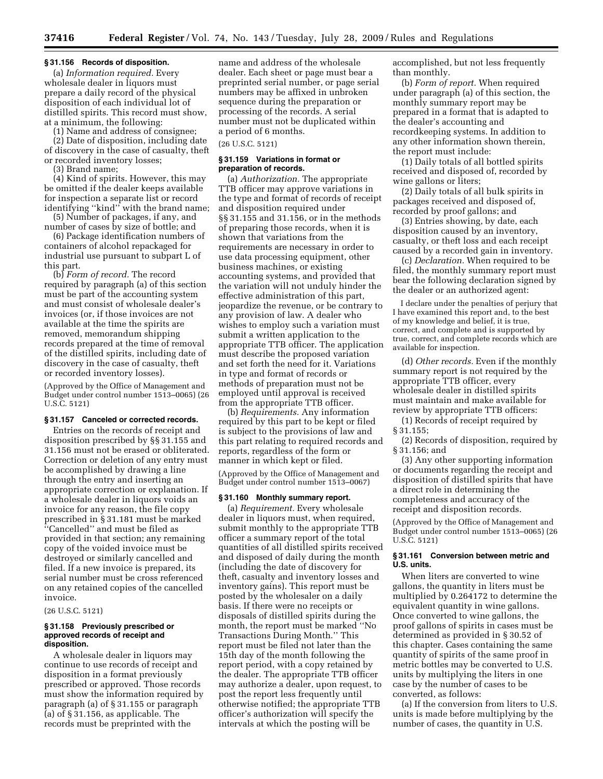#### **§ 31.156 Records of disposition.**

(a) *Information required.* Every wholesale dealer in liquors must prepare a daily record of the physical disposition of each individual lot of distilled spirits. This record must show, at a minimum, the following:

(1) Name and address of consignee;

(2) Date of disposition, including date of discovery in the case of casualty, theft or recorded inventory losses;

(3) Brand name;

(4) Kind of spirits. However, this may be omitted if the dealer keeps available for inspection a separate list or record identifying ''kind'' with the brand name;

(5) Number of packages, if any, and number of cases by size of bottle; and

(6) Package identification numbers of containers of alcohol repackaged for industrial use pursuant to subpart L of this part.

(b) *Form of record.* The record required by paragraph (a) of this section must be part of the accounting system and must consist of wholesale dealer's invoices (or, if those invoices are not available at the time the spirits are removed, memorandum shipping records prepared at the time of removal of the distilled spirits, including date of discovery in the case of casualty, theft or recorded inventory losses).

(Approved by the Office of Management and Budget under control number 1513–0065) (26 U.S.C. 5121)

## **§ 31.157 Canceled or corrected records.**

Entries on the records of receipt and disposition prescribed by §§ 31.155 and 31.156 must not be erased or obliterated. Correction or deletion of any entry must be accomplished by drawing a line through the entry and inserting an appropriate correction or explanation. If a wholesale dealer in liquors voids an invoice for any reason, the file copy prescribed in § 31.181 must be marked ''Cancelled'' and must be filed as provided in that section; any remaining copy of the voided invoice must be destroyed or similarly cancelled and filed. If a new invoice is prepared, its serial number must be cross referenced on any retained copies of the cancelled invoice.

#### (26 U.S.C. 5121)

#### **§ 31.158 Previously prescribed or approved records of receipt and disposition.**

A wholesale dealer in liquors may continue to use records of receipt and disposition in a format previously prescribed or approved. Those records must show the information required by paragraph (a) of § 31.155 or paragraph (a) of § 31.156, as applicable. The records must be preprinted with the

name and address of the wholesale dealer. Each sheet or page must bear a preprinted serial number, or page serial numbers may be affixed in unbroken sequence during the preparation or processing of the records. A serial number must not be duplicated within a period of 6 months.

#### (26 U.S.C. 5121)

#### **§ 31.159 Variations in format or preparation of records.**

(a) *Authorization.* The appropriate TTB officer may approve variations in the type and format of records of receipt and disposition required under §§ 31.155 and 31.156, or in the methods of preparing those records, when it is shown that variations from the requirements are necessary in order to use data processing equipment, other business machines, or existing accounting systems, and provided that the variation will not unduly hinder the effective administration of this part, jeopardize the revenue, or be contrary to any provision of law. A dealer who wishes to employ such a variation must submit a written application to the appropriate TTB officer. The application must describe the proposed variation and set forth the need for it. Variations in type and format of records or methods of preparation must not be employed until approval is received from the appropriate TTB officer.

(b) *Requirements.* Any information required by this part to be kept or filed is subject to the provisions of law and this part relating to required records and reports, regardless of the form or manner in which kept or filed.

(Approved by the Office of Management and Budget under control number 1513–0067)

#### **§ 31.160 Monthly summary report.**

(a) *Requirement.* Every wholesale dealer in liquors must, when required, submit monthly to the appropriate TTB officer a summary report of the total quantities of all distilled spirits received and disposed of daily during the month (including the date of discovery for theft, casualty and inventory losses and inventory gains). This report must be posted by the wholesaler on a daily basis. If there were no receipts or disposals of distilled spirits during the month, the report must be marked ''No Transactions During Month.'' This report must be filed not later than the 15th day of the month following the report period, with a copy retained by the dealer. The appropriate TTB officer may authorize a dealer, upon request, to post the report less frequently until otherwise notified; the appropriate TTB officer's authorization will specify the intervals at which the posting will be

accomplished, but not less frequently than monthly.

(b) *Form of report.* When required under paragraph (a) of this section, the monthly summary report may be prepared in a format that is adapted to the dealer's accounting and recordkeeping systems. In addition to any other information shown therein, the report must include:

(1) Daily totals of all bottled spirits received and disposed of, recorded by wine gallons or liters;

(2) Daily totals of all bulk spirits in packages received and disposed of, recorded by proof gallons; and

(3) Entries showing, by date, each disposition caused by an inventory, casualty, or theft loss and each receipt caused by a recorded gain in inventory.

(c) *Declaration.* When required to be filed, the monthly summary report must bear the following declaration signed by the dealer or an authorized agent:

I declare under the penalties of perjury that I have examined this report and, to the best of my knowledge and belief, it is true, correct, and complete and is supported by true, correct, and complete records which are available for inspection.

(d) *Other records.* Even if the monthly summary report is not required by the appropriate TTB officer, every wholesale dealer in distilled spirits must maintain and make available for review by appropriate TTB officers:

(1) Records of receipt required by § 31.155;

(2) Records of disposition, required by § 31.156; and

(3) Any other supporting information or documents regarding the receipt and disposition of distilled spirits that have a direct role in determining the completeness and accuracy of the receipt and disposition records.

(Approved by the Office of Management and Budget under control number 1513–0065) (26 U.S.C. 5121)

## **§ 31.161 Conversion between metric and U.S. units.**

When liters are converted to wine gallons, the quantity in liters must be multiplied by 0.264172 to determine the equivalent quantity in wine gallons. Once converted to wine gallons, the proof gallons of spirits in cases must be determined as provided in § 30.52 of this chapter. Cases containing the same quantity of spirits of the same proof in metric bottles may be converted to U.S. units by multiplying the liters in one case by the number of cases to be converted, as follows:

(a) If the conversion from liters to U.S. units is made before multiplying by the number of cases, the quantity in U.S.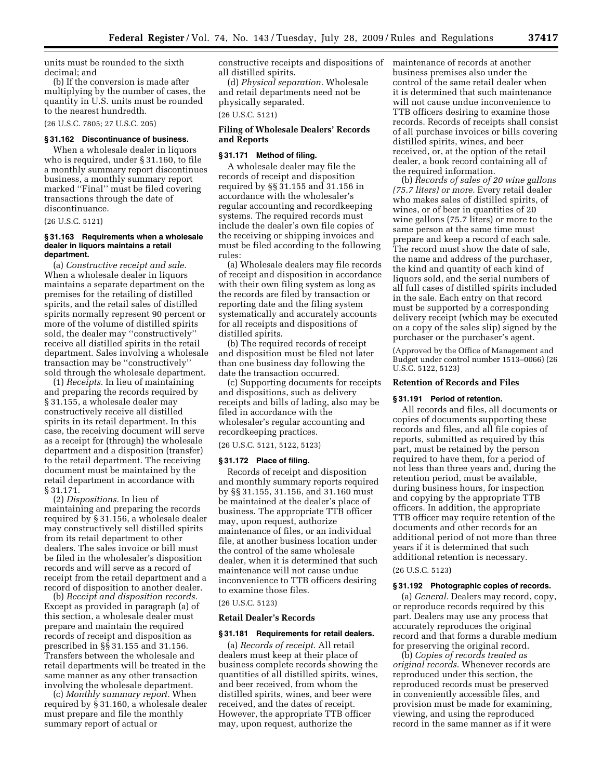units must be rounded to the sixth decimal; and

(b) If the conversion is made after multiplying by the number of cases, the quantity in U.S. units must be rounded to the nearest hundredth.

(26 U.S.C. 7805; 27 U.S.C. 205)

#### **§ 31.162 Discontinuance of business.**

When a wholesale dealer in liquors who is required, under § 31.160, to file a monthly summary report discontinues business, a monthly summary report marked ''Final'' must be filed covering transactions through the date of discontinuance.

(26 U.S.C. 5121)

## **§ 31.163 Requirements when a wholesale dealer in liquors maintains a retail department.**

(a) *Constructive receipt and sale.*  When a wholesale dealer in liquors maintains a separate department on the premises for the retailing of distilled spirits, and the retail sales of distilled spirits normally represent 90 percent or more of the volume of distilled spirits sold, the dealer may ''constructively'' receive all distilled spirits in the retail department. Sales involving a wholesale transaction may be ''constructively'' sold through the wholesale department.

(1) *Receipts.* In lieu of maintaining and preparing the records required by § 31.155, a wholesale dealer may constructively receive all distilled spirits in its retail department. In this case, the receiving document will serve as a receipt for (through) the wholesale department and a disposition (transfer) to the retail department. The receiving document must be maintained by the retail department in accordance with § 31.171.

(2) *Dispositions.* In lieu of maintaining and preparing the records required by § 31.156, a wholesale dealer may constructively sell distilled spirits from its retail department to other dealers. The sales invoice or bill must be filed in the wholesaler's disposition records and will serve as a record of receipt from the retail department and a record of disposition to another dealer.

(b) *Receipt and disposition records.*  Except as provided in paragraph (a) of this section, a wholesale dealer must prepare and maintain the required records of receipt and disposition as prescribed in §§ 31.155 and 31.156. Transfers between the wholesale and retail departments will be treated in the same manner as any other transaction involving the wholesale department.

(c) *Monthly summary report.* When required by § 31.160, a wholesale dealer must prepare and file the monthly summary report of actual or

constructive receipts and dispositions of all distilled spirits.

(d) *Physical separation.* Wholesale and retail departments need not be physically separated.

(26 U.S.C. 5121)

## **Filing of Wholesale Dealers' Records and Reports**

## **§ 31.171 Method of filing.**

A wholesale dealer may file the records of receipt and disposition required by §§ 31.155 and 31.156 in accordance with the wholesaler's regular accounting and recordkeeping systems. The required records must include the dealer's own file copies of the receiving or shipping invoices and must be filed according to the following rules:

(a) Wholesale dealers may file records of receipt and disposition in accordance with their own filing system as long as the records are filed by transaction or reporting date and the filing system systematically and accurately accounts for all receipts and dispositions of distilled spirits.

(b) The required records of receipt and disposition must be filed not later than one business day following the date the transaction occurred.

(c) Supporting documents for receipts and dispositions, such as delivery receipts and bills of lading, also may be filed in accordance with the wholesaler's regular accounting and recordkeeping practices.

(26 U.S.C. 5121, 5122, 5123)

#### **§ 31.172 Place of filing.**

Records of receipt and disposition and monthly summary reports required by §§ 31.155, 31.156, and 31.160 must be maintained at the dealer's place of business. The appropriate TTB officer may, upon request, authorize maintenance of files, or an individual file, at another business location under the control of the same wholesale dealer, when it is determined that such maintenance will not cause undue inconvenience to TTB officers desiring to examine those files.

#### (26 U.S.C. 5123)

#### **Retail Dealer's Records**

#### **§ 31.181 Requirements for retail dealers.**

(a) *Records of receipt.* All retail dealers must keep at their place of business complete records showing the quantities of all distilled spirits, wines, and beer received, from whom the distilled spirits, wines, and beer were received, and the dates of receipt. However, the appropriate TTB officer may, upon request, authorize the

maintenance of records at another business premises also under the control of the same retail dealer when it is determined that such maintenance will not cause undue inconvenience to TTB officers desiring to examine those records. Records of receipts shall consist of all purchase invoices or bills covering distilled spirits, wines, and beer received, or, at the option of the retail dealer, a book record containing all of the required information.

(b) *Records of sales of 20 wine gallons (75.7 liters) or more.* Every retail dealer who makes sales of distilled spirits, of wines, or of beer in quantities of 20 wine gallons (75.7 liters) or more to the same person at the same time must prepare and keep a record of each sale. The record must show the date of sale, the name and address of the purchaser, the kind and quantity of each kind of liquors sold, and the serial numbers of all full cases of distilled spirits included in the sale. Each entry on that record must be supported by a corresponding delivery receipt (which may be executed on a copy of the sales slip) signed by the purchaser or the purchaser's agent.

(Approved by the Office of Management and Budget under control number 1513–0066) (26 U.S.C. 5122, 5123)

## **Retention of Records and Files**

## **§ 31.191 Period of retention.**

All records and files, all documents or copies of documents supporting these records and files, and all file copies of reports, submitted as required by this part, must be retained by the person required to have them, for a period of not less than three years and, during the retention period, must be available, during business hours, for inspection and copying by the appropriate TTB officers. In addition, the appropriate TTB officer may require retention of the documents and other records for an additional period of not more than three years if it is determined that such additional retention is necessary.

#### (26 U.S.C. 5123)

#### **§ 31.192 Photographic copies of records.**

(a) *General.* Dealers may record, copy, or reproduce records required by this part. Dealers may use any process that accurately reproduces the original record and that forms a durable medium for preserving the original record.

(b) *Copies of records treated as original records.* Whenever records are reproduced under this section, the reproduced records must be preserved in conveniently accessible files, and provision must be made for examining, viewing, and using the reproduced record in the same manner as if it were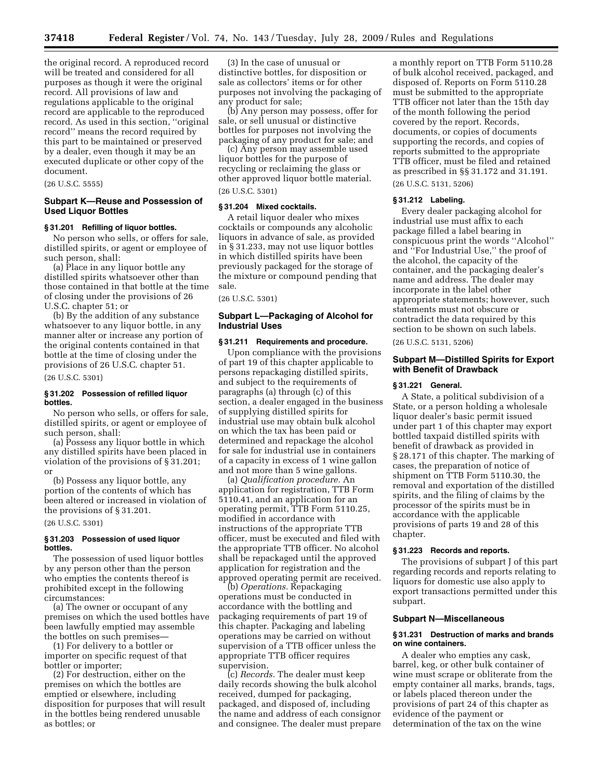the original record. A reproduced record will be treated and considered for all purposes as though it were the original record. All provisions of law and regulations applicable to the original record are applicable to the reproduced record. As used in this section, ''original record'' means the record required by this part to be maintained or preserved by a dealer, even though it may be an executed duplicate or other copy of the document.

(26 U.S.C. 5555)

## **Subpart K—Reuse and Possession of Used Liquor Bottles**

#### **§ 31.201 Refilling of liquor bottles.**

No person who sells, or offers for sale, distilled spirits, or agent or employee of such person, shall:

(a) Place in any liquor bottle any distilled spirits whatsoever other than those contained in that bottle at the time of closing under the provisions of 26 U.S.C. chapter 51; or

(b) By the addition of any substance whatsoever to any liquor bottle, in any manner alter or increase any portion of the original contents contained in that bottle at the time of closing under the provisions of 26 U.S.C. chapter 51.

(26 U.S.C. 5301)

## **§ 31.202 Possession of refilled liquor bottles.**

No person who sells, or offers for sale, distilled spirits, or agent or employee of such person, shall:

(a) Possess any liquor bottle in which any distilled spirits have been placed in violation of the provisions of § 31.201; or

(b) Possess any liquor bottle, any portion of the contents of which has been altered or increased in violation of the provisions of § 31.201.

(26 U.S.C. 5301)

#### **§ 31.203 Possession of used liquor bottles.**

The possession of used liquor bottles by any person other than the person who empties the contents thereof is prohibited except in the following circumstances:

(a) The owner or occupant of any premises on which the used bottles have been lawfully emptied may assemble the bottles on such premises—

(1) For delivery to a bottler or importer on specific request of that bottler or importer;

(2) For destruction, either on the premises on which the bottles are emptied or elsewhere, including disposition for purposes that will result in the bottles being rendered unusable as bottles; or

(3) In the case of unusual or distinctive bottles, for disposition or sale as collectors' items or for other purposes not involving the packaging of any product for sale;

(b) Any person may possess, offer for sale, or sell unusual or distinctive bottles for purposes not involving the packaging of any product for sale; and

(c) Any person may assemble used liquor bottles for the purpose of recycling or reclaiming the glass or other approved liquor bottle material. (26 U.S.C. 5301)

## **§ 31.204 Mixed cocktails.**

A retail liquor dealer who mixes cocktails or compounds any alcoholic liquors in advance of sale, as provided in § 31.233, may not use liquor bottles in which distilled spirits have been previously packaged for the storage of the mixture or compound pending that sale.

(26 U.S.C. 5301)

## **Subpart L—Packaging of Alcohol for Industrial Uses**

#### **§ 31.211 Requirements and procedure.**

Upon compliance with the provisions of part 19 of this chapter applicable to persons repackaging distilled spirits, and subject to the requirements of paragraphs (a) through (c) of this section, a dealer engaged in the business of supplying distilled spirits for industrial use may obtain bulk alcohol on which the tax has been paid or determined and repackage the alcohol for sale for industrial use in containers of a capacity in excess of 1 wine gallon and not more than 5 wine gallons.

(a) *Qualification procedure.* An application for registration, TTB Form 5110.41, and an application for an operating permit, TTB Form 5110.25, modified in accordance with instructions of the appropriate TTB officer, must be executed and filed with the appropriate TTB officer. No alcohol shall be repackaged until the approved application for registration and the approved operating permit are received.

(b) *Operations.* Repackaging operations must be conducted in accordance with the bottling and packaging requirements of part 19 of this chapter. Packaging and labeling operations may be carried on without supervision of a TTB officer unless the appropriate TTB officer requires supervision.

(c) *Records.* The dealer must keep daily records showing the bulk alcohol received, dumped for packaging, packaged, and disposed of, including the name and address of each consignor and consignee. The dealer must prepare a monthly report on TTB Form 5110.28 of bulk alcohol received, packaged, and disposed of. Reports on Form 5110.28 must be submitted to the appropriate TTB officer not later than the 15th day of the month following the period covered by the report. Records, documents, or copies of documents supporting the records, and copies of reports submitted to the appropriate TTB officer, must be filed and retained as prescribed in §§ 31.172 and 31.191. (26 U.S.C. 5131, 5206)

#### **§ 31.212 Labeling.**

Every dealer packaging alcohol for industrial use must affix to each package filled a label bearing in conspicuous print the words ''Alcohol'' and ''For Industrial Use,'' the proof of the alcohol, the capacity of the container, and the packaging dealer's name and address. The dealer may incorporate in the label other appropriate statements; however, such statements must not obscure or contradict the data required by this section to be shown on such labels.

(26 U.S.C. 5131, 5206)

## **Subpart M—Distilled Spirits for Export with Benefit of Drawback**

#### **§ 31.221 General.**

A State, a political subdivision of a State, or a person holding a wholesale liquor dealer's basic permit issued under part 1 of this chapter may export bottled taxpaid distilled spirits with benefit of drawback as provided in § 28.171 of this chapter. The marking of cases, the preparation of notice of shipment on TTB Form 5110.30, the removal and exportation of the distilled spirits, and the filing of claims by the processor of the spirits must be in accordance with the applicable provisions of parts 19 and 28 of this chapter.

## **§ 31.223 Records and reports.**

The provisions of subpart J of this part regarding records and reports relating to liquors for domestic use also apply to export transactions permitted under this subpart.

#### **Subpart N—Miscellaneous**

#### **§ 31.231 Destruction of marks and brands on wine containers.**

A dealer who empties any cask, barrel, keg, or other bulk container of wine must scrape or obliterate from the empty container all marks, brands, tags, or labels placed thereon under the provisions of part 24 of this chapter as evidence of the payment or determination of the tax on the wine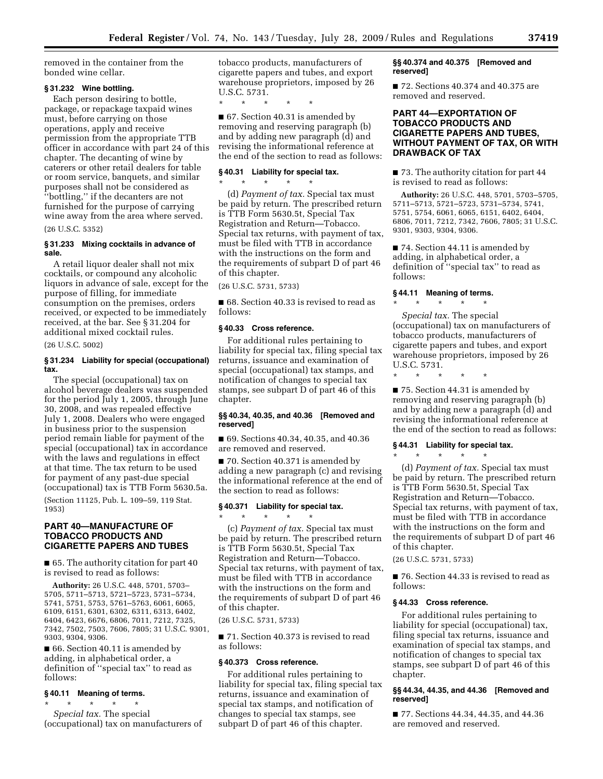removed in the container from the bonded wine cellar.

## **§ 31.232 Wine bottling.**

Each person desiring to bottle, package, or repackage taxpaid wines must, before carrying on those operations, apply and receive permission from the appropriate TTB officer in accordance with part 24 of this chapter. The decanting of wine by caterers or other retail dealers for table or room service, banquets, and similar purposes shall not be considered as ''bottling,'' if the decanters are not furnished for the purpose of carrying wine away from the area where served. (26 U.S.C. 5352)

## **§ 31.233 Mixing cocktails in advance of sale.**

A retail liquor dealer shall not mix cocktails, or compound any alcoholic liquors in advance of sale, except for the purpose of filling, for immediate consumption on the premises, orders received, or expected to be immediately received, at the bar. See § 31.204 for additional mixed cocktail rules.

(26 U.S.C. 5002)

## **§ 31.234 Liability for special (occupational) tax.**

The special (occupational) tax on alcohol beverage dealers was suspended for the period July 1, 2005, through June 30, 2008, and was repealed effective July 1, 2008. Dealers who were engaged in business prior to the suspension period remain liable for payment of the special (occupational) tax in accordance with the laws and regulations in effect at that time. The tax return to be used for payment of any past-due special (occupational) tax is TTB Form 5630.5a.

(Section 11125, Pub. L. 109–59, 119 Stat. 1953)

## **PART 40—MANUFACTURE OF TOBACCO PRODUCTS AND CIGARETTE PAPERS AND TUBES**

■ 65. The authority citation for part 40 is revised to read as follows:

**Authority:** 26 U.S.C. 448, 5701, 5703– 5705, 5711–5713, 5721–5723, 5731–5734, 5741, 5751, 5753, 5761–5763, 6061, 6065, 6109, 6151, 6301, 6302, 6311, 6313, 6402, 6404, 6423, 6676, 6806, 7011, 7212, 7325, 7342, 7502, 7503, 7606, 7805; 31 U.S.C. 9301, 9303, 9304, 9306.

■ 66. Section 40.11 is amended by adding, in alphabetical order, a definition of ''special tax'' to read as follows:

## **§ 40.11 Meaning of terms.**

\* \* \* \* \* *Special tax.* The special (occupational) tax on manufacturers of tobacco products, manufacturers of cigarette papers and tubes, and export warehouse proprietors, imposed by 26 U.S.C. 5731.

\* \* \* \* \*

■ 67. Section 40.31 is amended by removing and reserving paragraph (b) and by adding new paragraph (d) and revising the informational reference at the end of the section to read as follows:

## **§ 40.31 Liability for special tax.**

\* \* \* \* \* (d) *Payment of tax.* Special tax must be paid by return. The prescribed return is TTB Form 5630.5t, Special Tax Registration and Return—Tobacco. Special tax returns, with payment of tax, must be filed with TTB in accordance with the instructions on the form and the requirements of subpart D of part 46 of this chapter.

(26 U.S.C. 5731, 5733)

■ 68. Section 40.33 is revised to read as follows:

## **§ 40.33 Cross reference.**

For additional rules pertaining to liability for special tax, filing special tax returns, issuance and examination of special (occupational) tax stamps, and notification of changes to special tax stamps, see subpart D of part 46 of this chapter.

## **§§ 40.34, 40.35, and 40.36 [Removed and reserved]**

■ 69. Sections 40.34, 40.35, and 40.36 are removed and reserved.

■ 70. Section 40.371 is amended by adding a new paragraph (c) and revising the informational reference at the end of the section to read as follows:

#### **§ 40.371 Liability for special tax.**  \* \* \* \* \*

(c) *Payment of tax.* Special tax must be paid by return. The prescribed return is TTB Form 5630.5t, Special Tax Registration and Return—Tobacco. Special tax returns, with payment of tax, must be filed with TTB in accordance with the instructions on the form and the requirements of subpart D of part 46 of this chapter.

(26 U.S.C. 5731, 5733)

■ 71. Section 40.373 is revised to read as follows:

## **§ 40.373 Cross reference.**

For additional rules pertaining to liability for special tax, filing special tax returns, issuance and examination of special tax stamps, and notification of changes to special tax stamps, see subpart D of part 46 of this chapter.

## **§§ 40.374 and 40.375 [Removed and reserved]**

■ 72. Sections 40.374 and 40.375 are removed and reserved.

## **PART 44—EXPORTATION OF TOBACCO PRODUCTS AND CIGARETTE PAPERS AND TUBES, WITHOUT PAYMENT OF TAX, OR WITH DRAWBACK OF TAX**

■ 73. The authority citation for part 44 is revised to read as follows:

**Authority:** 26 U.S.C. 448, 5701, 5703–5705, 5711–5713, 5721–5723, 5731–5734, 5741, 5751, 5754, 6061, 6065, 6151, 6402, 6404, 6806, 7011, 7212, 7342, 7606, 7805; 31 U.S.C. 9301, 9303, 9304, 9306.

■ 74. Section 44.11 is amended by adding, in alphabetical order, a definition of ''special tax'' to read as follows:

## **§ 44.11 Meaning of terms.**

\* \* \* \* \* *Special tax.* The special (occupational) tax on manufacturers of tobacco products, manufacturers of cigarette papers and tubes, and export warehouse proprietors, imposed by 26 U.S.C. 5731.

\* \* \* \* \*

■ 75. Section 44.31 is amended by removing and reserving paragraph (b) and by adding new a paragraph (d) and revising the informational reference at the end of the section to read as follows:

## **§ 44.31 Liability for special tax.**   $\star$   $\qquad$   $\star$   $\qquad$   $\star$   $\qquad$   $\star$

(d) *Payment of tax.* Special tax must be paid by return. The prescribed return is TTB Form 5630.5t, Special Tax Registration and Return—Tobacco. Special tax returns, with payment of tax, must be filed with TTB in accordance with the instructions on the form and the requirements of subpart D of part 46 of this chapter.

(26 U.S.C. 5731, 5733)

■ 76. Section 44.33 is revised to read as follows:

## **§ 44.33 Cross reference.**

For additional rules pertaining to liability for special (occupational) tax, filing special tax returns, issuance and examination of special tax stamps, and notification of changes to special tax stamps, see subpart D of part 46 of this chapter.

## **§§ 44.34, 44.35, and 44.36 [Removed and reserved]**

■ 77. Sections 44.34, 44.35, and 44.36 are removed and reserved.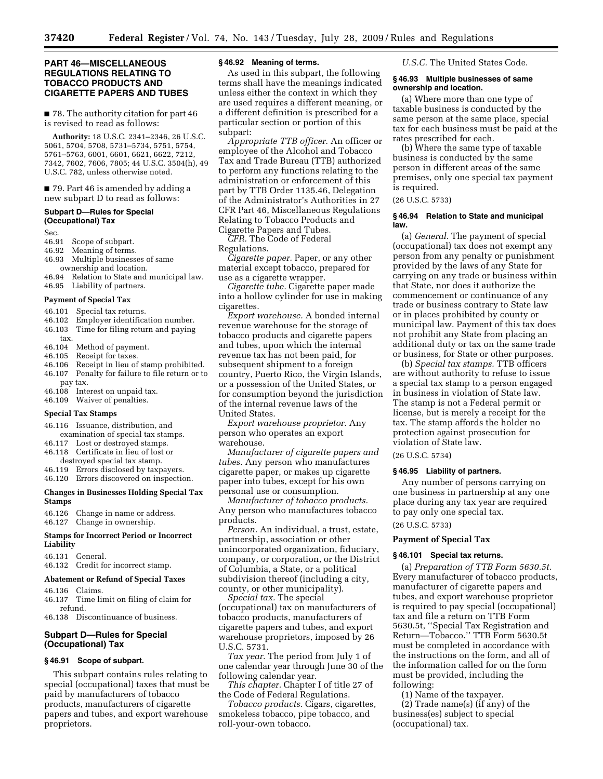## **PART 46—MISCELLANEOUS REGULATIONS RELATING TO TOBACCO PRODUCTS AND CIGARETTE PAPERS AND TUBES**

## ■ 78. The authority citation for part 46 is revised to read as follows:

**Authority:** 18 U.S.C. 2341–2346, 26 U.S.C. 5061, 5704, 5708, 5731–5734, 5751, 5754, 5761–5763, 6001, 6601, 6621, 6622, 7212, 7342, 7602, 7606, 7805; 44 U.S.C. 3504(h), 49 U.S.C. 782, unless otherwise noted.

■ 79. Part 46 is amended by adding a new subpart D to read as follows:

#### **Subpart D—Rules for Special (Occupational) Tax**

Sec.

- 46.91 Scope of subpart.
- 46.92 Meaning of terms.
- 46.93 Multiple businesses of same ownership and location.
- 46.94 Relation to State and municipal law.
- 46.95 Liability of partners.

#### **Payment of Special Tax**

- 46.101 Special tax returns.
- 46.102 Employer identification number.
- 46.103 Time for filing return and paying tax.
- 46.104 Method of payment.
- 46.105 Receipt for taxes.
- 46.106 Receipt in lieu of stamp prohibited. 46.107 Penalty for failure to file return or to
- pay tax.
- 46.108 Interest on unpaid tax.
- 46.109 Waiver of penalties.

#### **Special Tax Stamps**

- 46.116 Issuance, distribution, and
- examination of special tax stamps.
- 46.117 Lost or destroyed stamps.
- 46.118 Certificate in lieu of lost or destroyed special tax stamp.
- 46.119 Errors disclosed by taxpayers.
- 46.120 Errors discovered on inspection.

#### **Changes in Businesses Holding Special Tax Stamps**

46.126 Change in name or address. 46.127 Change in ownership.

## **Stamps for Incorrect Period or Incorrect Liability**

46.131 General.

46.132 Credit for incorrect stamp.

## **Abatement or Refund of Special Taxes**

- 46.136 Claims.
- 46.137 Time limit on filing of claim for refund.
- 46.138 Discontinuance of business.

## **Subpart D—Rules for Special (Occupational) Tax**

## **§ 46.91 Scope of subpart.**

This subpart contains rules relating to special (occupational) taxes that must be paid by manufacturers of tobacco products, manufacturers of cigarette papers and tubes, and export warehouse proprietors.

#### **§ 46.92 Meaning of terms.**

As used in this subpart, the following terms shall have the meanings indicated unless either the context in which they are used requires a different meaning, or a different definition is prescribed for a particular section or portion of this subpart:

*Appropriate TTB officer.* An officer or employee of the Alcohol and Tobacco Tax and Trade Bureau (TTB) authorized to perform any functions relating to the administration or enforcement of this part by TTB Order 1135.46, Delegation of the Administrator's Authorities in 27 CFR Part 46, Miscellaneous Regulations Relating to Tobacco Products and Cigarette Papers and Tubes.

*CFR.* The Code of Federal Regulations.

*Cigarette paper.* Paper, or any other material except tobacco, prepared for use as a cigarette wrapper.

*Cigarette tube.* Cigarette paper made into a hollow cylinder for use in making cigarettes.

*Export warehouse.* A bonded internal revenue warehouse for the storage of tobacco products and cigarette papers and tubes, upon which the internal revenue tax has not been paid, for subsequent shipment to a foreign country, Puerto Rico, the Virgin Islands, or a possession of the United States, or for consumption beyond the jurisdiction of the internal revenue laws of the United States.

*Export warehouse proprietor.* Any person who operates an export warehouse.

*Manufacturer of cigarette papers and tubes.* Any person who manufactures cigarette paper, or makes up cigarette paper into tubes, except for his own personal use or consumption.

*Manufacturer of tobacco products.*  Any person who manufactures tobacco products.

*Person.* An individual, a trust, estate, partnership, association or other unincorporated organization, fiduciary, company, or corporation, or the District of Columbia, a State, or a political subdivision thereof (including a city, county, or other municipality).

*Special tax.* The special (occupational) tax on manufacturers of tobacco products, manufacturers of cigarette papers and tubes, and export warehouse proprietors, imposed by 26 U.S.C. 5731.

*Tax year.* The period from July 1 of one calendar year through June 30 of the following calendar year.

*This chapter.* Chapter I of title 27 of the Code of Federal Regulations.

*Tobacco products.* Cigars, cigarettes, smokeless tobacco, pipe tobacco, and roll-your-own tobacco.

*U.S.C.* The United States Code.

#### **§ 46.93 Multiple businesses of same ownership and location.**

(a) Where more than one type of taxable business is conducted by the same person at the same place, special tax for each business must be paid at the rates prescribed for each.

(b) Where the same type of taxable business is conducted by the same person in different areas of the same premises, only one special tax payment is required.

#### (26 U.S.C. 5733)

#### **§ 46.94 Relation to State and municipal law.**

(a) *General.* The payment of special (occupational) tax does not exempt any person from any penalty or punishment provided by the laws of any State for carrying on any trade or business within that State, nor does it authorize the commencement or continuance of any trade or business contrary to State law or in places prohibited by county or municipal law. Payment of this tax does not prohibit any State from placing an additional duty or tax on the same trade or business, for State or other purposes.

(b) *Special tax stamps.* TTB officers are without authority to refuse to issue a special tax stamp to a person engaged in business in violation of State law. The stamp is not a Federal permit or license, but is merely a receipt for the tax. The stamp affords the holder no protection against prosecution for violation of State law.

## (26 U.S.C. 5734)

#### **§ 46.95 Liability of partners.**

Any number of persons carrying on one business in partnership at any one place during any tax year are required to pay only one special tax.

## (26 U.S.C. 5733)

## **Payment of Special Tax**

## **§ 46.101 Special tax returns.**

(a) *Preparation of TTB Form 5630.5t.*  Every manufacturer of tobacco products, manufacturer of cigarette papers and tubes, and export warehouse proprietor is required to pay special (occupational) tax and file a return on TTB Form 5630.5t, ''Special Tax Registration and Return—Tobacco.'' TTB Form 5630.5t must be completed in accordance with the instructions on the form, and all of the information called for on the form must be provided, including the following:

(1) Name of the taxpayer. (2) Trade name(s) (if any) of the business(es) subject to special

(occupational) tax.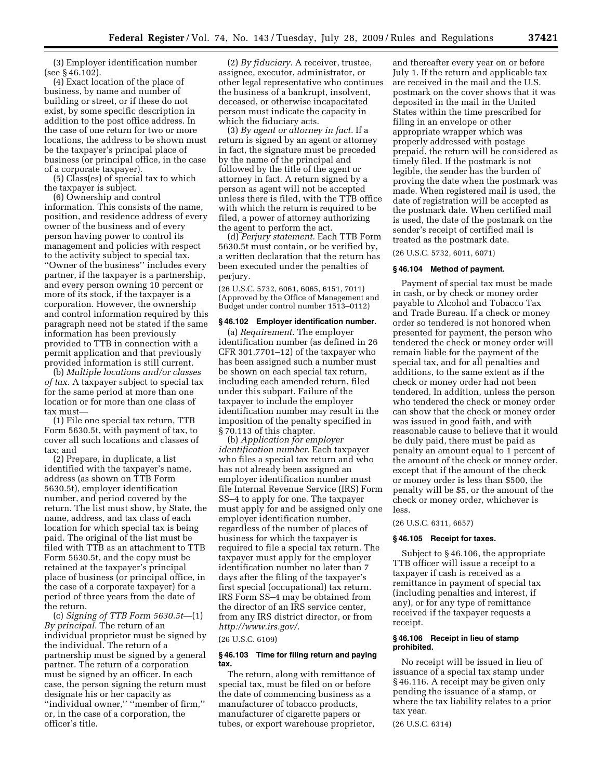(3) Employer identification number (see § 46.102).

(4) Exact location of the place of business, by name and number of building or street, or if these do not exist, by some specific description in addition to the post office address. In the case of one return for two or more locations, the address to be shown must be the taxpayer's principal place of business (or principal office, in the case of a corporate taxpayer).

(5) Class(es) of special tax to which the taxpayer is subject.

(6) Ownership and control information. This consists of the name, position, and residence address of every owner of the business and of every person having power to control its management and policies with respect to the activity subject to special tax. ''Owner of the business'' includes every partner, if the taxpayer is a partnership, and every person owning 10 percent or more of its stock, if the taxpayer is a corporation. However, the ownership and control information required by this paragraph need not be stated if the same information has been previously provided to TTB in connection with a permit application and that previously provided information is still current.

(b) *Multiple locations and/or classes of tax.* A taxpayer subject to special tax for the same period at more than one location or for more than one class of tax must—

(1) File one special tax return, TTB Form 5630.5t, with payment of tax, to cover all such locations and classes of tax; and

(2) Prepare, in duplicate, a list identified with the taxpayer's name, address (as shown on TTB Form 5630.5t), employer identification number, and period covered by the return. The list must show, by State, the name, address, and tax class of each location for which special tax is being paid. The original of the list must be filed with TTB as an attachment to TTB Form 5630.5t, and the copy must be retained at the taxpayer's principal place of business (or principal office, in the case of a corporate taxpayer) for a period of three years from the date of the return.

(c) *Signing of TTB Form 5630.5t*—(1) *By principal.* The return of an individual proprietor must be signed by the individual. The return of a partnership must be signed by a general partner. The return of a corporation must be signed by an officer. In each case, the person signing the return must designate his or her capacity as ''individual owner,'' ''member of firm,'' or, in the case of a corporation, the officer's title.

(2) *By fiduciary.* A receiver, trustee, assignee, executor, administrator, or other legal representative who continues the business of a bankrupt, insolvent, deceased, or otherwise incapacitated person must indicate the capacity in which the fiduciary acts.

(3) *By agent or attorney in fact.* If a return is signed by an agent or attorney in fact, the signature must be preceded by the name of the principal and followed by the title of the agent or attorney in fact. A return signed by a person as agent will not be accepted unless there is filed, with the TTB office with which the return is required to be filed, a power of attorney authorizing the agent to perform the act.

(d) *Perjury statement.* Each TTB Form 5630.5t must contain, or be verified by, a written declaration that the return has been executed under the penalties of perjury.

(26 U.S.C. 5732, 6061, 6065, 6151, 7011) (Approved by the Office of Management and Budget under control number 1513–0112)

## **§ 46.102 Employer identification number.**

(a) *Requirement.* The employer identification number (as defined in 26 CFR 301.7701–12) of the taxpayer who has been assigned such a number must be shown on each special tax return, including each amended return, filed under this subpart. Failure of the taxpayer to include the employer identification number may result in the imposition of the penalty specified in § 70.113 of this chapter.

(b) *Application for employer identification number.* Each taxpayer who files a special tax return and who has not already been assigned an employer identification number must file Internal Revenue Service (IRS) Form SS–4 to apply for one. The taxpayer must apply for and be assigned only one employer identification number, regardless of the number of places of business for which the taxpayer is required to file a special tax return. The taxpayer must apply for the employer identification number no later than 7 days after the filing of the taxpayer's first special (occupational) tax return. IRS Form SS–4 may be obtained from the director of an IRS service center, from any IRS district director, or from *http://www.irs.gov/.* 

#### (26 U.S.C. 6109)

#### **§ 46.103 Time for filing return and paying tax.**

The return, along with remittance of special tax, must be filed on or before the date of commencing business as a manufacturer of tobacco products, manufacturer of cigarette papers or tubes, or export warehouse proprietor,

and thereafter every year on or before July 1. If the return and applicable tax are received in the mail and the U.S. postmark on the cover shows that it was deposited in the mail in the United States within the time prescribed for filing in an envelope or other appropriate wrapper which was properly addressed with postage prepaid, the return will be considered as timely filed. If the postmark is not legible, the sender has the burden of proving the date when the postmark was made. When registered mail is used, the date of registration will be accepted as the postmark date. When certified mail is used, the date of the postmark on the sender's receipt of certified mail is treated as the postmark date.

(26 U.S.C. 5732, 6011, 6071)

#### **§ 46.104 Method of payment.**

Payment of special tax must be made in cash, or by check or money order payable to Alcohol and Tobacco Tax and Trade Bureau. If a check or money order so tendered is not honored when presented for payment, the person who tendered the check or money order will remain liable for the payment of the special tax, and for all penalties and additions, to the same extent as if the check or money order had not been tendered. In addition, unless the person who tendered the check or money order can show that the check or money order was issued in good faith, and with reasonable cause to believe that it would be duly paid, there must be paid as penalty an amount equal to 1 percent of the amount of the check or money order, except that if the amount of the check or money order is less than \$500, the penalty will be \$5, or the amount of the check or money order, whichever is less.

(26 U.S.C. 6311, 6657)

## **§ 46.105 Receipt for taxes.**

Subject to § 46.106, the appropriate TTB officer will issue a receipt to a taxpayer if cash is received as a remittance in payment of special tax (including penalties and interest, if any), or for any type of remittance received if the taxpayer requests a receipt.

## **§ 46.106 Receipt in lieu of stamp prohibited.**

No receipt will be issued in lieu of issuance of a special tax stamp under § 46.116. A receipt may be given only pending the issuance of a stamp, or where the tax liability relates to a prior tax year.

(26 U.S.C. 6314)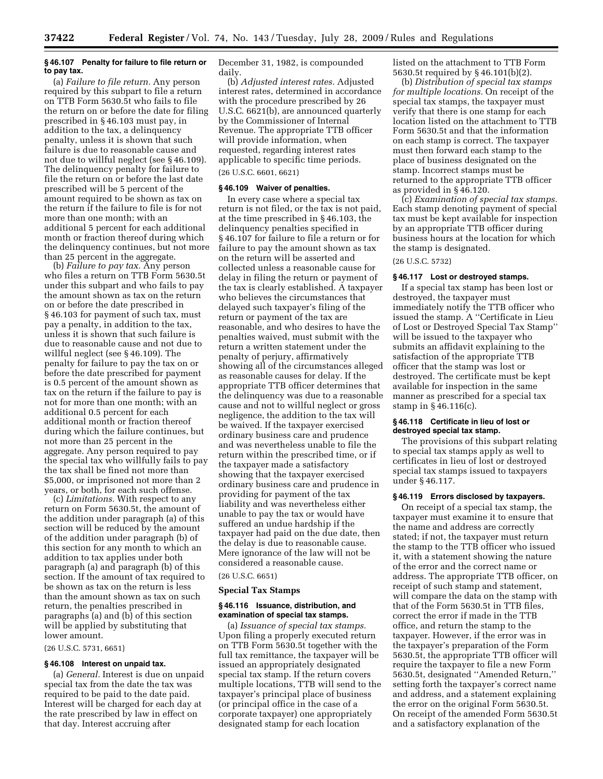## **§ 46.107 Penalty for failure to file return or to pay tax.**

(a) *Failure to file return.* Any person required by this subpart to file a return on TTB Form 5630.5t who fails to file the return on or before the date for filing prescribed in § 46.103 must pay, in addition to the tax, a delinquency penalty, unless it is shown that such failure is due to reasonable cause and not due to willful neglect (see § 46.109). The delinquency penalty for failure to file the return on or before the last date prescribed will be 5 percent of the amount required to be shown as tax on the return if the failure to file is for not more than one month; with an additional 5 percent for each additional month or fraction thereof during which the delinquency continues, but not more than 25 percent in the aggregate.

(b) *Failure to pay tax.* Any person who files a return on TTB Form 5630.5t under this subpart and who fails to pay the amount shown as tax on the return on or before the date prescribed in § 46.103 for payment of such tax, must pay a penalty, in addition to the tax, unless it is shown that such failure is due to reasonable cause and not due to willful neglect (see § 46.109). The penalty for failure to pay the tax on or before the date prescribed for payment is 0.5 percent of the amount shown as tax on the return if the failure to pay is not for more than one month; with an additional 0.5 percent for each additional month or fraction thereof during which the failure continues, but not more than 25 percent in the aggregate. Any person required to pay the special tax who willfully fails to pay the tax shall be fined not more than \$5,000, or imprisoned not more than 2 years, or both, for each such offense.

(c) *Limitations.* With respect to any return on Form 5630.5t, the amount of the addition under paragraph (a) of this section will be reduced by the amount of the addition under paragraph (b) of this section for any month to which an addition to tax applies under both paragraph (a) and paragraph (b) of this section. If the amount of tax required to be shown as tax on the return is less than the amount shown as tax on such return, the penalties prescribed in paragraphs (a) and (b) of this section will be applied by substituting that lower amount.

(26 U.S.C. 5731, 6651)

## **§ 46.108 Interest on unpaid tax.**

(a) *General.* Interest is due on unpaid special tax from the date the tax was required to be paid to the date paid. Interest will be charged for each day at the rate prescribed by law in effect on that day. Interest accruing after

December 31, 1982, is compounded daily.

(b) *Adjusted interest rates.* Adjusted interest rates, determined in accordance with the procedure prescribed by 26 U.S.C. 6621(b), are announced quarterly by the Commissioner of Internal Revenue. The appropriate TTB officer will provide information, when requested, regarding interest rates applicable to specific time periods. (26 U.S.C. 6601, 6621)

## **§ 46.109 Waiver of penalties.**

In every case where a special tax return is not filed, or the tax is not paid, at the time prescribed in § 46.103, the delinquency penalties specified in § 46.107 for failure to file a return or for failure to pay the amount shown as tax on the return will be asserted and collected unless a reasonable cause for delay in filing the return or payment of the tax is clearly established. A taxpayer who believes the circumstances that delayed such taxpayer's filing of the return or payment of the tax are reasonable, and who desires to have the penalties waived, must submit with the return a written statement under the penalty of perjury, affirmatively showing all of the circumstances alleged as reasonable causes for delay. If the appropriate TTB officer determines that the delinquency was due to a reasonable cause and not to willful neglect or gross negligence, the addition to the tax will be waived. If the taxpayer exercised ordinary business care and prudence and was nevertheless unable to file the return within the prescribed time, or if the taxpayer made a satisfactory showing that the taxpayer exercised ordinary business care and prudence in providing for payment of the tax liability and was nevertheless either unable to pay the tax or would have suffered an undue hardship if the taxpayer had paid on the due date, then the delay is due to reasonable cause. Mere ignorance of the law will not be considered a reasonable cause.

(26 U.S.C. 6651)

#### **Special Tax Stamps**

#### **§ 46.116 Issuance, distribution, and examination of special tax stamps.**

(a) *Issuance of special tax stamps.*  Upon filing a properly executed return on TTB Form 5630.5t together with the full tax remittance, the taxpayer will be issued an appropriately designated special tax stamp. If the return covers multiple locations, TTB will send to the taxpayer's principal place of business (or principal office in the case of a corporate taxpayer) one appropriately designated stamp for each location

listed on the attachment to TTB Form 5630.5t required by § 46.101(b)(2).

(b) *Distribution of special tax stamps for multiple locations.* On receipt of the special tax stamps, the taxpayer must verify that there is one stamp for each location listed on the attachment to TTB Form 5630.5t and that the information on each stamp is correct. The taxpayer must then forward each stamp to the place of business designated on the stamp. Incorrect stamps must be returned to the appropriate TTB officer as provided in § 46.120.

(c) *Examination of special tax stamps.*  Each stamp denoting payment of special tax must be kept available for inspection by an appropriate TTB officer during business hours at the location for which the stamp is designated.

(26 U.S.C. 5732)

#### **§ 46.117 Lost or destroyed stamps.**

If a special tax stamp has been lost or destroyed, the taxpayer must immediately notify the TTB officer who issued the stamp. A ''Certificate in Lieu of Lost or Destroyed Special Tax Stamp'' will be issued to the taxpayer who submits an affidavit explaining to the satisfaction of the appropriate TTB officer that the stamp was lost or destroyed. The certificate must be kept available for inspection in the same manner as prescribed for a special tax stamp in § 46.116(c).

## **§ 46.118 Certificate in lieu of lost or destroyed special tax stamp.**

The provisions of this subpart relating to special tax stamps apply as well to certificates in lieu of lost or destroyed special tax stamps issued to taxpayers under § 46.117.

#### **§ 46.119 Errors disclosed by taxpayers.**

On receipt of a special tax stamp, the taxpayer must examine it to ensure that the name and address are correctly stated; if not, the taxpayer must return the stamp to the TTB officer who issued it, with a statement showing the nature of the error and the correct name or address. The appropriate TTB officer, on receipt of such stamp and statement, will compare the data on the stamp with that of the Form 5630.5t in TTB files, correct the error if made in the TTB office, and return the stamp to the taxpayer. However, if the error was in the taxpayer's preparation of the Form 5630.5t, the appropriate TTB officer will require the taxpayer to file a new Form 5630.5t, designated ''Amended Return,'' setting forth the taxpayer's correct name and address, and a statement explaining the error on the original Form 5630.5t. On receipt of the amended Form 5630.5t and a satisfactory explanation of the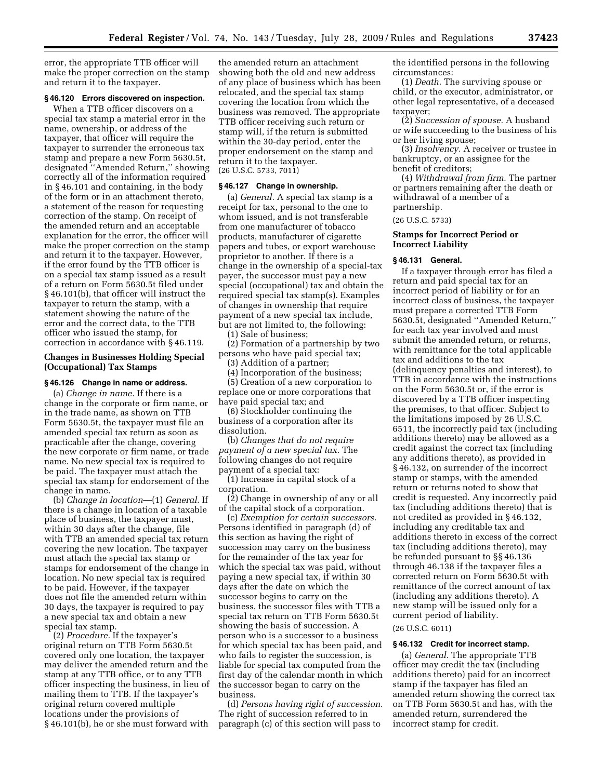error, the appropriate TTB officer will make the proper correction on the stamp and return it to the taxpayer.

## **§ 46.120 Errors discovered on inspection.**

When a TTB officer discovers on a special tax stamp a material error in the name, ownership, or address of the taxpayer, that officer will require the taxpayer to surrender the erroneous tax stamp and prepare a new Form 5630.5t, designated ''Amended Return,'' showing correctly all of the information required in § 46.101 and containing, in the body of the form or in an attachment thereto, a statement of the reason for requesting correction of the stamp. On receipt of the amended return and an acceptable explanation for the error, the officer will make the proper correction on the stamp and return it to the taxpayer. However, if the error found by the TTB officer is on a special tax stamp issued as a result of a return on Form 5630.5t filed under § 46.101(b), that officer will instruct the taxpayer to return the stamp, with a statement showing the nature of the error and the correct data, to the TTB officer who issued the stamp, for correction in accordance with § 46.119.

## **Changes in Businesses Holding Special (Occupational) Tax Stamps**

## **§ 46.126 Change in name or address.**

(a) *Change in name.* If there is a change in the corporate or firm name, or in the trade name, as shown on TTB Form 5630.5t, the taxpayer must file an amended special tax return as soon as practicable after the change, covering the new corporate or firm name, or trade name. No new special tax is required to be paid. The taxpayer must attach the special tax stamp for endorsement of the change in name.

(b) *Change in location*—(1) *General.* If there is a change in location of a taxable place of business, the taxpayer must, within 30 days after the change, file with TTB an amended special tax return covering the new location. The taxpayer must attach the special tax stamp or stamps for endorsement of the change in location. No new special tax is required to be paid. However, if the taxpayer does not file the amended return within 30 days, the taxpayer is required to pay a new special tax and obtain a new special tax stamp.

(2) *Procedure.* If the taxpayer's original return on TTB Form 5630.5t covered only one location, the taxpayer may deliver the amended return and the stamp at any TTB office, or to any TTB officer inspecting the business, in lieu of mailing them to TTB. If the taxpayer's original return covered multiple locations under the provisions of § 46.101(b), he or she must forward with

the amended return an attachment showing both the old and new address of any place of business which has been relocated, and the special tax stamp covering the location from which the business was removed. The appropriate TTB officer receiving such return or stamp will, if the return is submitted within the 30-day period, enter the proper endorsement on the stamp and return it to the taxpayer. (26 U.S.C. 5733, 7011)

#### **§ 46.127 Change in ownership.**

(a) *General.* A special tax stamp is a receipt for tax, personal to the one to whom issued, and is not transferable from one manufacturer of tobacco products, manufacturer of cigarette papers and tubes, or export warehouse proprietor to another. If there is a change in the ownership of a special-tax payer, the successor must pay a new special (occupational) tax and obtain the required special tax stamp(s). Examples of changes in ownership that require payment of a new special tax include, but are not limited to, the following: (1) Sale of business;

(2) Formation of a partnership by two persons who have paid special tax; (3) Addition of a partner;

(4) Incorporation of the business;

(5) Creation of a new corporation to replace one or more corporations that have paid special tax; and

(6) Stockholder continuing the business of a corporation after its dissolution.

(b) *Changes that do not require payment of a new special tax.* The following changes do not require payment of a special tax:

(1) Increase in capital stock of a corporation.

(2) Change in ownership of any or all of the capital stock of a corporation.

(c) *Exemption for certain successors.*  Persons identified in paragraph (d) of this section as having the right of succession may carry on the business for the remainder of the tax year for which the special tax was paid, without paying a new special tax, if within 30 days after the date on which the successor begins to carry on the business, the successor files with TTB a special tax return on TTB Form 5630.5t showing the basis of succession. A person who is a successor to a business for which special tax has been paid, and who fails to register the succession, is liable for special tax computed from the first day of the calendar month in which the successor began to carry on the business.

(d) *Persons having right of succession.*  The right of succession referred to in paragraph (c) of this section will pass to

the identified persons in the following circumstances:

(1) *Death.* The surviving spouse or child, or the executor, administrator, or other legal representative, of a deceased taxpayer;

(2) *Succession of spouse.* A husband or wife succeeding to the business of his or her living spouse;

(3) *Insolvency.* A receiver or trustee in bankruptcy, or an assignee for the benefit of creditors;

(4) *Withdrawal from firm.* The partner or partners remaining after the death or withdrawal of a member of a partnership.

(26 U.S.C. 5733)

## **Stamps for Incorrect Period or Incorrect Liability**

#### **§ 46.131 General.**

If a taxpayer through error has filed a return and paid special tax for an incorrect period of liability or for an incorrect class of business, the taxpayer must prepare a corrected TTB Form 5630.5t, designated ''Amended Return,'' for each tax year involved and must submit the amended return, or returns, with remittance for the total applicable tax and additions to the tax (delinquency penalties and interest), to TTB in accordance with the instructions on the Form 5630.5t or, if the error is discovered by a TTB officer inspecting the premises, to that officer. Subject to the limitations imposed by 26 U.S.C. 6511, the incorrectly paid tax (including additions thereto) may be allowed as a credit against the correct tax (including any additions thereto), as provided in § 46.132, on surrender of the incorrect stamp or stamps, with the amended return or returns noted to show that credit is requested. Any incorrectly paid tax (including additions thereto) that is not credited as provided in § 46.132, including any creditable tax and additions thereto in excess of the correct tax (including additions thereto), may be refunded pursuant to §§ 46.136 through 46.138 if the taxpayer files a corrected return on Form 5630.5t with remittance of the correct amount of tax (including any additions thereto). A new stamp will be issued only for a current period of liability.

## (26 U.S.C. 6011)

#### **§ 46.132 Credit for incorrect stamp.**

(a) *General.* The appropriate TTB officer may credit the tax (including additions thereto) paid for an incorrect stamp if the taxpayer has filed an amended return showing the correct tax on TTB Form 5630.5t and has, with the amended return, surrendered the incorrect stamp for credit.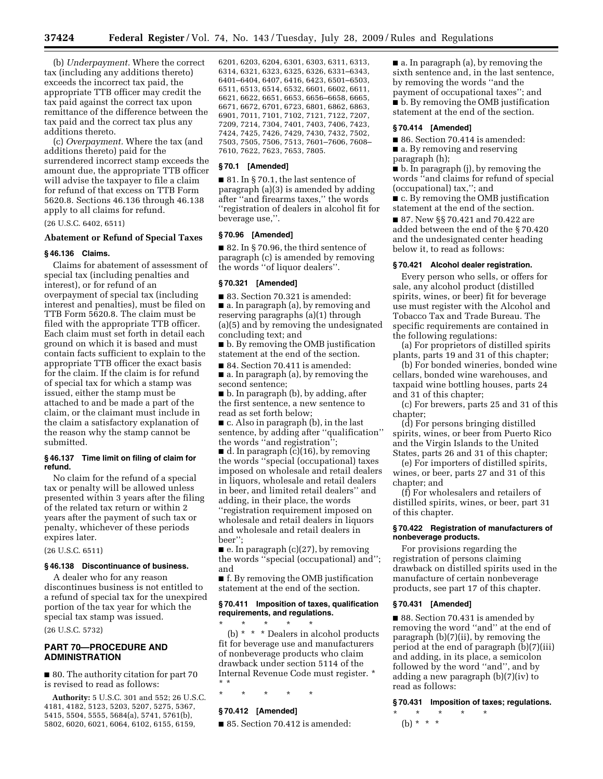(b) *Underpayment.* Where the correct tax (including any additions thereto) exceeds the incorrect tax paid, the appropriate TTB officer may credit the tax paid against the correct tax upon remittance of the difference between the tax paid and the correct tax plus any additions thereto.

(c) *Overpayment.* Where the tax (and additions thereto) paid for the surrendered incorrect stamp exceeds the amount due, the appropriate TTB officer will advise the taxpayer to file a claim for refund of that excess on TTB Form 5620.8. Sections 46.136 through 46.138 apply to all claims for refund.

(26 U.S.C. 6402, 6511)

## **Abatement or Refund of Special Taxes**

## **§ 46.136 Claims.**

Claims for abatement of assessment of special tax (including penalties and interest), or for refund of an overpayment of special tax (including interest and penalties), must be filed on TTB Form 5620.8. The claim must be filed with the appropriate TTB officer. Each claim must set forth in detail each ground on which it is based and must contain facts sufficient to explain to the appropriate TTB officer the exact basis for the claim. If the claim is for refund of special tax for which a stamp was issued, either the stamp must be attached to and be made a part of the claim, or the claimant must include in the claim a satisfactory explanation of the reason why the stamp cannot be submitted.

#### **§ 46.137 Time limit on filing of claim for refund.**

No claim for the refund of a special tax or penalty will be allowed unless presented within 3 years after the filing of the related tax return or within 2 years after the payment of such tax or penalty, whichever of these periods expires later.

## (26 U.S.C. 6511)

## **§ 46.138 Discontinuance of business.**

A dealer who for any reason discontinues business is not entitled to a refund of special tax for the unexpired portion of the tax year for which the special tax stamp was issued.

(26 U.S.C. 5732)

## **PART 70—PROCEDURE AND ADMINISTRATION**

■ 80. The authority citation for part 70 is revised to read as follows:

**Authority:** 5 U.S.C. 301 and 552; 26 U.S.C. 4181, 4182, 5123, 5203, 5207, 5275, 5367, 5415, 5504, 5555, 5684(a), 5741, 5761(b), 5802, 6020, 6021, 6064, 6102, 6155, 6159,

6201, 6203, 6204, 6301, 6303, 6311, 6313, 6314, 6321, 6323, 6325, 6326, 6331–6343, 6401–6404, 6407, 6416, 6423, 6501–6503, 6511, 6513, 6514, 6532, 6601, 6602, 6611, 6621, 6622, 6651, 6653, 6656–6658, 6665, 6671, 6672, 6701, 6723, 6801, 6862, 6863, 6901, 7011, 7101, 7102, 7121, 7122, 7207, 7209, 7214, 7304, 7401, 7403, 7406, 7423, 7424, 7425, 7426, 7429, 7430, 7432, 7502, 7503, 7505, 7506, 7513, 7601–7606, 7608– 7610, 7622, 7623, 7653, 7805.

## **§ 70.1 [Amended]**

■ 81. In § 70.1, the last sentence of paragraph (a)(3) is amended by adding after ''and firearms taxes,'' the words ''registration of dealers in alcohol fit for beverage use,''.

#### **§ 70.96 [Amended]**

■ 82. In § 70.96, the third sentence of paragraph (c) is amended by removing the words ''of liquor dealers''.

## **§ 70.321 [Amended]**

■ 83. Section 70.321 is amended:

■ a. In paragraph (a), by removing and reserving paragraphs (a)(1) through (a)(5) and by removing the undesignated concluding text; and

■ b. By removing the OMB justification statement at the end of the section.

■ 84. Section 70.411 is amended:

■ a. In paragraph (a), by removing the second sentence;

■ b. In paragraph (b), by adding, after the first sentence, a new sentence to read as set forth below;

■ c. Also in paragraph (b), in the last sentence, by adding after "qualification" the words ''and registration'';

 $\blacksquare$  d. In paragraph (c)(16), by removing the words ''special (occupational) taxes imposed on wholesale and retail dealers in liquors, wholesale and retail dealers in beer, and limited retail dealers'' and adding, in their place, the words ''registration requirement imposed on wholesale and retail dealers in liquors and wholesale and retail dealers in beer'';

■ e. In paragraph (c)(27), by removing the words ''special (occupational) and''; and

■ f. By removing the OMB justification statement at the end of the section.

## **§ 70.411 Imposition of taxes, qualification requirements, and regulations.**

\* \* \* \* \* (b) \* \* \* Dealers in alcohol products fit for beverage use and manufacturers of nonbeverage products who claim drawback under section 5114 of the Internal Revenue Code must register. \* \* \*

\* \* \* \* \*

## **§ 70.412 [Amended]**

■ 85. Section 70.412 is amended:

■ a. In paragraph (a), by removing the sixth sentence and, in the last sentence, by removing the words ''and the payment of occupational taxes''; and ■ b. By removing the OMB justification statement at the end of the section.

## **§ 70.414 [Amended]**

■ 86. Section 70.414 is amended:

■ a. By removing and reserving paragraph (h);

■ b. In paragraph (i), by removing the words ''and claims for refund of special (occupational) tax,''; and

■ c. By removing the OMB justification statement at the end of the section.

■ 87. New §§ 70.421 and 70.422 are added between the end of the § 70.420 and the undesignated center heading below it, to read as follows:

## **§ 70.421 Alcohol dealer registration.**

Every person who sells, or offers for sale, any alcohol product (distilled spirits, wines, or beer) fit for beverage use must register with the Alcohol and Tobacco Tax and Trade Bureau. The specific requirements are contained in the following regulations:

(a) For proprietors of distilled spirits plants, parts 19 and 31 of this chapter;

(b) For bonded wineries, bonded wine cellars, bonded wine warehouses, and taxpaid wine bottling houses, parts 24 and 31 of this chapter;

(c) For brewers, parts 25 and 31 of this chapter;

(d) For persons bringing distilled spirits, wines, or beer from Puerto Rico and the Virgin Islands to the United States, parts 26 and 31 of this chapter;

(e) For importers of distilled spirits, wines, or beer, parts 27 and 31 of this chapter; and

(f) For wholesalers and retailers of distilled spirits, wines, or beer, part 31 of this chapter.

## **§ 70.422 Registration of manufacturers of nonbeverage products.**

For provisions regarding the registration of persons claiming drawback on distilled spirits used in the manufacture of certain nonbeverage products, see part 17 of this chapter.

## **§ 70.431 [Amended]**

■ 88. Section 70.431 is amended by removing the word ''and'' at the end of paragraph (b)(7)(ii), by removing the period at the end of paragraph (b)(7)(iii) and adding, in its place, a semicolon followed by the word ''and'', and by adding a new paragraph (b)(7)(iv) to read as follows:

**§ 70.431 Imposition of taxes; regulations.** 

\* \* \* \* \* (b) \* \* \*